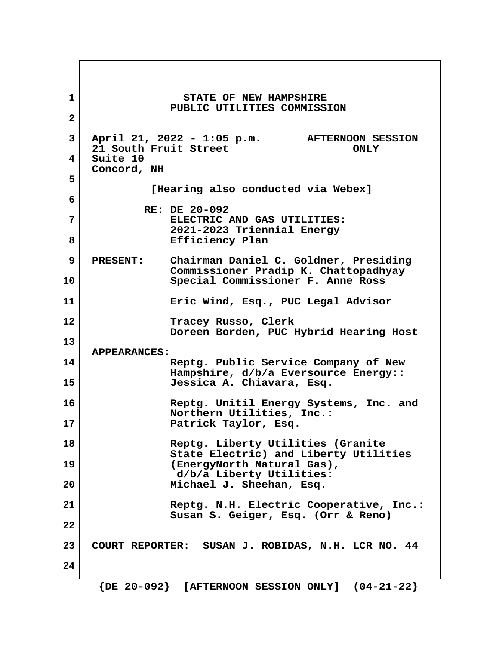**1** STATE OF NEW HAMPSHIRE  **PUBLIC UTILITIES COMMISSION 2 3 April 21, 2022 - 1:05 p.m. AFTERNOON SESSION 21 South Fruit Street ONLY 4 Suite 10 Concord, NH 5 [Hearing also conducted via Webex] 6 RE: DE 20-092 7 ELECTRIC AND GAS UTILITIES: 2021-2023 Triennial Energy** 8 Beart Efficiency Plan  **9 PRESENT: Chairman Daniel C. Goldner, Presiding Commissioner Pradip K. Chattopadhyay 10 Special Commissioner F. Anne Ross 11 Eric Wind, Esq., PUC Legal Advisor 12 Tracey Russo, Clerk Doreen Borden, PUC Hybrid Hearing Host 13 APPEARANCES: 14 Reptg. Public Service Company of New Hampshire, d/b/a Eversource Energy:: 15 Jessica A. Chiavara, Esq. 16 Reptg. Unitil Energy Systems, Inc. and Northern Utilities, Inc.: 17 Patrick Taylor, Esq. 18 Reptg. Liberty Utilities (Granite State Electric) and Liberty Utilities 19 (EnergyNorth Natural Gas), d/b/a Liberty Utilities: 20 Michael J. Sheehan, Esq. 21 Reptg. N.H. Electric Cooperative, Inc.: Susan S. Geiger, Esq. (Orr & Reno) 22 23 COURT REPORTER: SUSAN J. ROBIDAS, N.H. LCR NO. 44 24**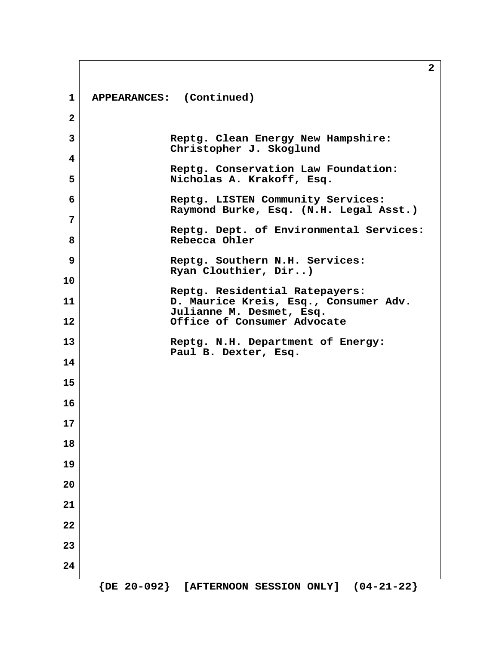|                   | 2                                                                           |
|-------------------|-----------------------------------------------------------------------------|
| $\mathbf{1}$      | APPEARANCES: (Continued)                                                    |
| $\overline{2}$    |                                                                             |
| 3                 | Reptg. Clean Energy New Hampshire:<br>Christopher J. Skoglund               |
| 4                 | Reptg. Conservation Law Foundation:                                         |
| 5                 | Nicholas A. Krakoff, Esq.                                                   |
| 6                 | Reptg. LISTEN Community Services:<br>Raymond Burke, Esq. (N.H. Legal Asst.) |
| 7                 | Reptg. Dept. of Environmental Services:                                     |
| 8                 | Rebecca Ohler                                                               |
| 9                 | Reptg. Southern N.H. Services:                                              |
| 10                | Ryan Clouthier, Dir)                                                        |
| 11                | Reptg. Residential Ratepayers:<br>D. Maurice Kreis, Esq., Consumer Adv.     |
| $12 \overline{ }$ | Julianne M. Desmet, Esq.<br>Office of Consumer Advocate                     |
| 13                | Reptg. N.H. Department of Energy:                                           |
| 14                | Paul B. Dexter, Esq.                                                        |
| 15                |                                                                             |
| 16                |                                                                             |
| 17                |                                                                             |
| 18                |                                                                             |
| 19                |                                                                             |
| 20                |                                                                             |
| 21                |                                                                             |
| 22                |                                                                             |
| 23                |                                                                             |
| 24                |                                                                             |
|                   | ${DE 20-092}$<br>$(04-21-22)$<br>[AFTERNOON SESSION ONLY]                   |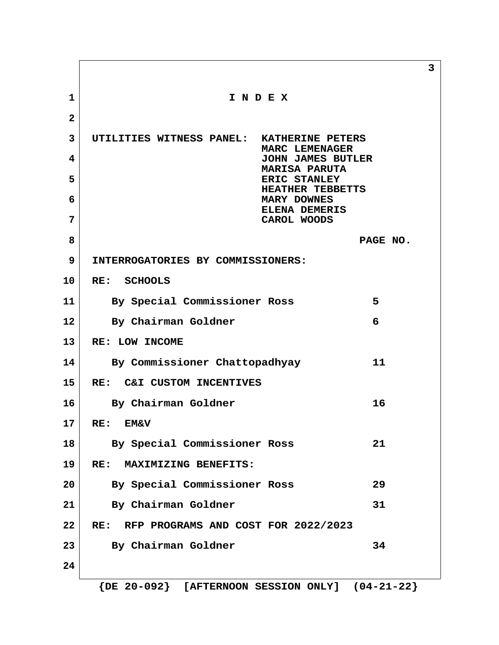**3 1 I N D E X 2 3 UTILITIES WITNESS PANEL: KATHERINE PETERS MARC LEMENAGER 4 JOHN JAMES BUTLER MARISA PARUTA 5 ERIC STANLEY HEATHER TEBBETTS 6 MARY DOWNES ELENA DEMERIS 7 CAROL WOODS 8 PAGE NO. 9 INTERROGATORIES BY COMMISSIONERS: 10 RE: SCHOOLS 11 By Special Commissioner Ross 5 12 By Chairman Goldner 6 13 RE: LOW INCOME 14 By Commissioner Chattopadhyay 11 15 RE: C&I CUSTOM INCENTIVES** 16 By Chairman Goldner 16 **17 RE: EM&V 18 By Special Commissioner Ross 21 19 RE: MAXIMIZING BENEFITS: 20 By Special Commissioner Ross 29 21 By Chairman Goldner 31 22 RE: RFP PROGRAMS AND COST FOR 2022/2023** 23 By Chairman Goldner 34 **24**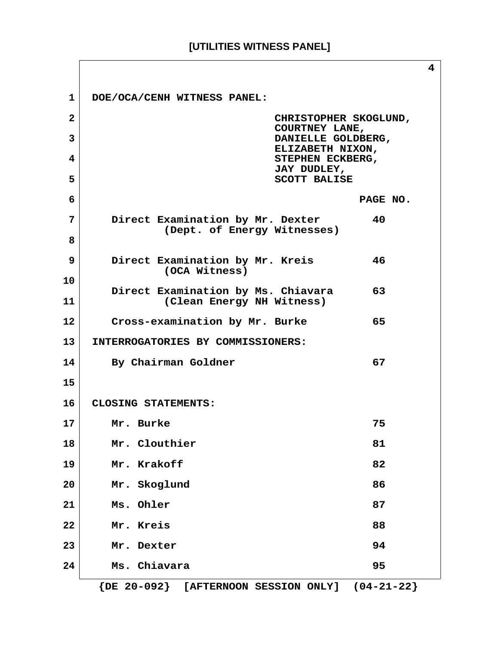|                |                                                                       | 4 |
|----------------|-----------------------------------------------------------------------|---|
| 1              | DOE/OCA/CENH WITNESS PANEL:                                           |   |
| $\overline{a}$ | CHRISTOPHER SKOGLUND,<br>COURTNEY LANE,                               |   |
| 3              | DANIELLE GOLDBERG,<br>ELIZABETH NIXON,                                |   |
| 4              | STEPHEN ECKBERG,<br>JAY DUDLEY,                                       |   |
| 5              | <b>SCOTT BALISE</b>                                                   |   |
| 6              | PAGE NO.                                                              |   |
| 7              | Direct Examination by Mr. Dexter<br>40<br>(Dept. of Energy Witnesses) |   |
| 8              |                                                                       |   |
| 9              | Direct Examination by Mr. Kreis<br>46<br>(OCA Witness)                |   |
| 10             | Direct Examination by Ms. Chiavara<br>63                              |   |
| 11             | (Clean Energy NH Witness)                                             |   |
| $12 \,$        | 65<br>Cross-examination by Mr. Burke                                  |   |
| 13             | INTERROGATORIES BY COMMISSIONERS:                                     |   |
| 14             | By Chairman Goldner<br>67                                             |   |
| 15             |                                                                       |   |
| 16             | CLOSING STATEMENTS:                                                   |   |
| 17             | 75<br>Mr. Burke                                                       |   |
| 18             | Mr. Clouthier<br>81                                                   |   |
| 19             | Mr. Krakoff<br>82                                                     |   |
| 20             | Mr. Skoglund<br>86                                                    |   |
| 21             | Ms. Ohler<br>87                                                       |   |
| 22             | Mr. Kreis<br>88                                                       |   |
| 23             | 94<br>Mr. Dexter                                                      |   |
| 24             | 95<br>Ms. Chiavara                                                    |   |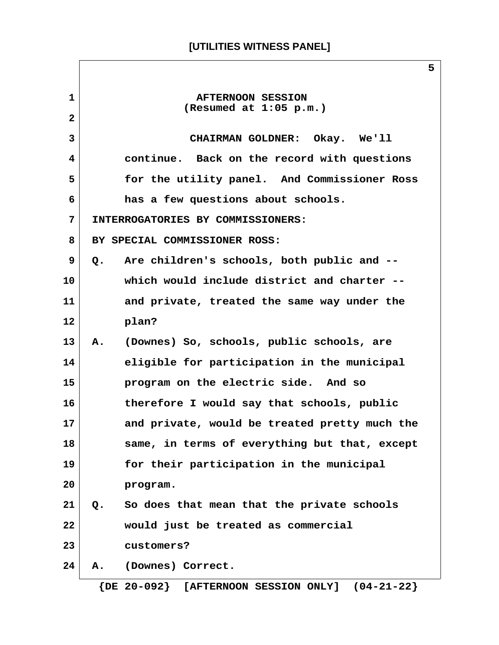**1 AFTERNOON SESSION (Resumed at 1:05 p.m.) 2 3 CHAIRMAN GOLDNER: Okay. We'll 4 continue. Back on the record with questions 5 for the utility panel. And Commissioner Ross 6 has a few questions about schools. 7 INTERROGATORIES BY COMMISSIONERS: 8 BY SPECIAL COMMISSIONER ROSS: 9 Q. Are children's schools, both public and -- 10 which would include district and charter -- 11 and private, treated the same way under the 12 plan? 13 A. (Downes) So, schools, public schools, are 14 eligible for participation in the municipal 15 program on the electric side. And so 16 therefore I would say that schools, public 17 and private, would be treated pretty much the 18 same, in terms of everything but that, except 19 for their participation in the municipal 20 program. 21 Q. So does that mean that the private schools 22 would just be treated as commercial 23 customers? 24 A. (Downes) Correct. {DE 20-092} [AFTERNOON SESSION ONLY] (04-21-22}**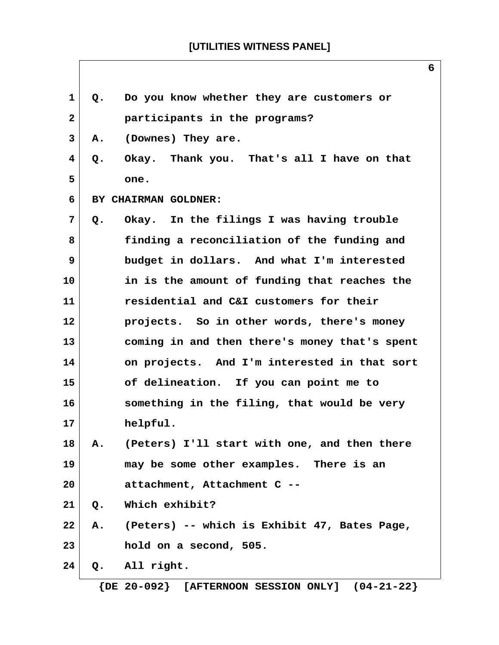**6**

| 1            | Q. | Do you know whether they are customers or     |
|--------------|----|-----------------------------------------------|
| $\mathbf{2}$ |    | participants in the programs?                 |
| 3            | Α. | (Downes) They are.                            |
| 4            | Q. | Okay. Thank you. That's all I have on that    |
| 5            |    | one.                                          |
| 6            |    | BY CHAIRMAN GOLDNER:                          |
| 7            | Q. | Okay. In the filings I was having trouble     |
| 8            |    | finding a reconciliation of the funding and   |
| 9            |    | budget in dollars. And what I'm interested    |
| 10           |    | in is the amount of funding that reaches the  |
| 11           |    | residential and C&I customers for their       |
| 12           |    | projects. So in other words, there's money    |
| 13           |    | coming in and then there's money that's spent |
| 14           |    | on projects. And I'm interested in that sort  |
| 15           |    | of delineation. If you can point me to        |
| 16           |    | something in the filing, that would be very   |
| 17           |    | helpful.                                      |
| 18           | А. | (Peters) I'll start with one, and then there  |
| 19           |    | may be some other examples. There is an       |
| 20           |    | attachment, Attachment C --                   |
| 21           | Q. | Which exhibit?                                |
| 22           | Α. | (Peters) -- which is Exhibit 47, Bates Page,  |
| 23           |    | hold on a second, 505.                        |
| 24           | Q. | All right.                                    |
|              |    |                                               |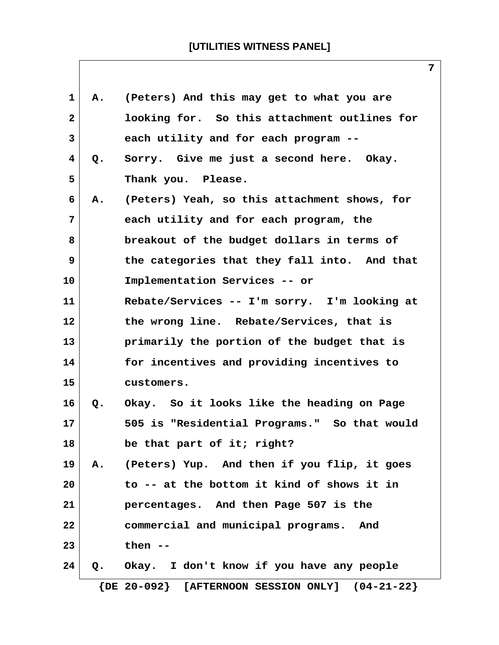| 1            | Α. | (Peters) And this may get to what you are             |
|--------------|----|-------------------------------------------------------|
| $\mathbf{2}$ |    | looking for. So this attachment outlines for          |
| 3            |    | each utility and for each program --                  |
| 4            | Q. | Sorry. Give me just a second here. Okay.              |
| 5            |    | Thank you. Please.                                    |
| 6            | Α. | (Peters) Yeah, so this attachment shows, for          |
| 7            |    | each utility and for each program, the                |
| 8            |    | breakout of the budget dollars in terms of            |
| 9            |    | the categories that they fall into. And that          |
| 10           |    | Implementation Services -- or                         |
| 11           |    | Rebate/Services -- I'm sorry. I'm looking at          |
| 12           |    | the wrong line. Rebate/Services, that is              |
| 13           |    | primarily the portion of the budget that is           |
| 14           |    | for incentives and providing incentives to            |
| 15           |    | customers.                                            |
| 16           | Q. | Okay. So it looks like the heading on Page            |
| 17           |    | 505 is "Residential Programs." So that would          |
| 18           |    | be that part of it; right?                            |
| 19           | Α. | (Peters) Yup. And then if you flip, it goes           |
| 20           |    | to -- at the bottom it kind of shows it in            |
| 21           |    | percentages. And then Page 507 is the                 |
| 22           |    | commercial and municipal programs. And                |
| 23           |    | then $--$                                             |
| 24           | Q. | Okay. I don't know if you have any people             |
|              |    | $\{DE 20-092\}$ [AFTERNOON SESSION ONLY] $(04-21-22)$ |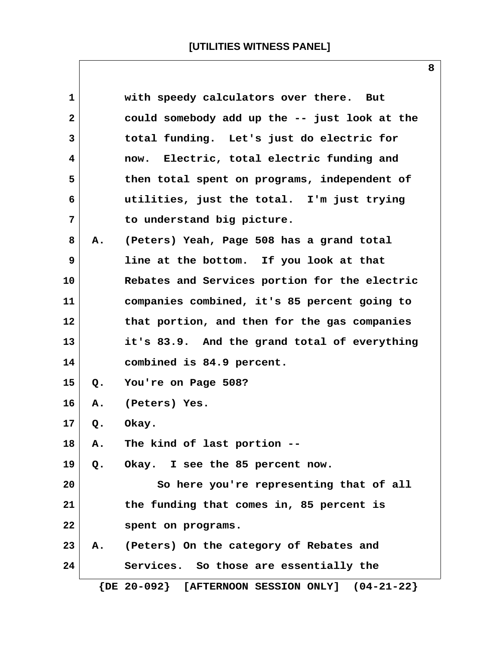| 1              |             | with speedy calculators over there. But               |
|----------------|-------------|-------------------------------------------------------|
| $\overline{2}$ |             | could somebody add up the -- just look at the         |
| 3              |             | total funding. Let's just do electric for             |
| 4              |             | now. Electric, total electric funding and             |
| 5              |             | then total spent on programs, independent of          |
| 6              |             | utilities, just the total. I'm just trying            |
| $7\phantom{.}$ |             | to understand big picture.                            |
| 8              | Α.          | (Peters) Yeah, Page 508 has a grand total             |
| 9              |             | line at the bottom. If you look at that               |
| 10             |             | Rebates and Services portion for the electric         |
| 11             |             | companies combined, it's 85 percent going to          |
| 12             |             | that portion, and then for the gas companies          |
| 13             |             | it's 83.9. And the grand total of everything          |
| 14             |             | combined is 84.9 percent.                             |
| 15             | Q.          | You're on Page 508?                                   |
| 16             | Α.          | (Peters) Yes.                                         |
| 17             | Q.          | Okay.                                                 |
| 18             | Α.          | The kind of last portion --                           |
| 19             | $Q$ .       | Okay. I see the 85 percent now.                       |
| 20             |             | So here you're representing that of all               |
| 21             |             | the funding that comes in, 85 percent is              |
| 22             |             | spent on programs.                                    |
| 23             | ${\bf A}$ . | (Peters) On the category of Rebates and               |
| 24             |             | Services. So those are essentially the                |
|                |             | $\{DE 20-092\}$ [AFTERNOON SESSION ONLY] $(04-21-22)$ |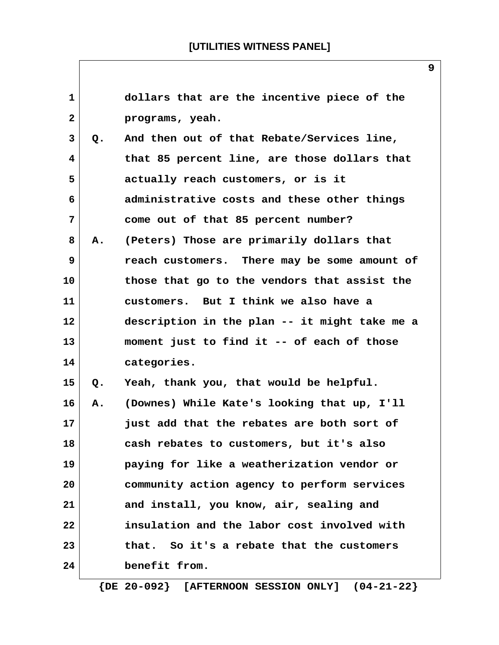| 1            |    | dollars that are the incentive piece of the   |
|--------------|----|-----------------------------------------------|
| $\mathbf{2}$ |    | programs, yeah.                               |
| 3            | Q. | And then out of that Rebate/Services line,    |
| 4            |    | that 85 percent line, are those dollars that  |
| 5            |    | actually reach customers, or is it            |
| 6            |    | administrative costs and these other things   |
| 7            |    | come out of that 85 percent number?           |
| 8            | А. | (Peters) Those are primarily dollars that     |
| 9            |    | reach customers. There may be some amount of  |
| 10           |    | those that go to the vendors that assist the  |
| 11           |    | customers. But I think we also have a         |
| 12           |    | description in the plan -- it might take me a |
| 13           |    | moment just to find it -- of each of those    |
| 14           |    | categories.                                   |
| 15           | Q. | Yeah, thank you, that would be helpful.       |
| 16           | Α. | (Downes) While Kate's looking that up, I'll   |
| 17           |    | just add that the rebates are both sort of    |
| 18           |    | cash rebates to customers, but it's also      |
| 19           |    | paying for like a weatherization vendor or    |
| 20           |    | community action agency to perform services   |
| 21           |    | and install, you know, air, sealing and       |
| 22           |    | insulation and the labor cost involved with   |
| 23           |    | that. So it's a rebate that the customers     |
| 24           |    | benefit from.                                 |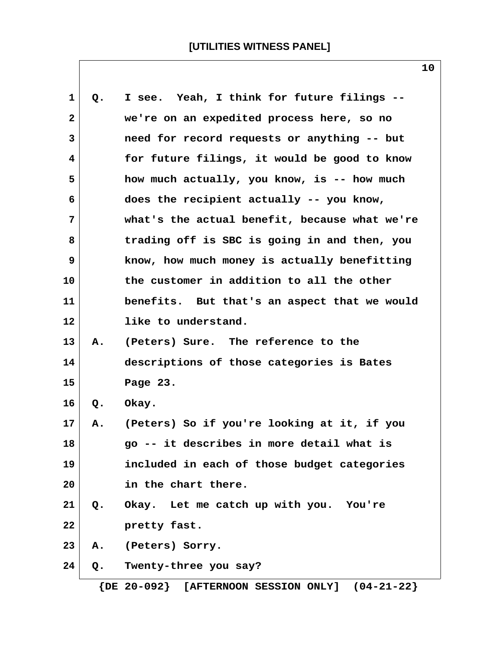| $\mathbf 1$  | Q.    | I see. Yeah, I think for future filings --    |
|--------------|-------|-----------------------------------------------|
| $\mathbf{2}$ |       | we're on an expedited process here, so no     |
| 3            |       | need for record requests or anything -- but   |
| 4            |       | for future filings, it would be good to know  |
| 5            |       | how much actually, you know, is -- how much   |
| 6            |       | does the recipient actually -- you know,      |
| 7            |       | what's the actual benefit, because what we're |
| 8            |       | trading off is SBC is going in and then, you  |
| 9            |       | know, how much money is actually benefitting  |
| 10           |       | the customer in addition to all the other     |
| 11           |       | benefits. But that's an aspect that we would  |
| 12           |       | like to understand.                           |
| 13           | Α.    | (Peters) Sure. The reference to the           |
| 14           |       | descriptions of those categories is Bates     |
| 15           |       | Page 23.                                      |
| 16           | $Q$ . | Okay.                                         |
| 17           | Α.    | (Peters) So if you're looking at it, if you   |
| 18           |       | go -- it describes in more detail what is     |
| 19           |       | included in each of those budget categories   |
| 20           |       | in the chart there.                           |
| 21           | Q.    | Okay. Let me catch up with you. You're        |
| 22           |       | pretty fast.                                  |
| 23           | Α.    | (Peters) Sorry.                               |
| 24           | Q.    | Twenty-three you say?                         |
|              |       |                                               |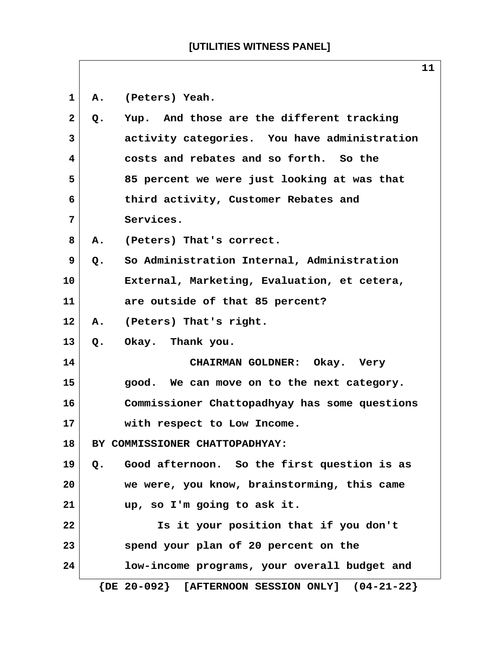**1 A. (Peters) Yeah. 2 Q. Yup. And those are the different tracking 3 activity categories. You have administration 4 costs and rebates and so forth. So the 5 85 percent we were just looking at was that 6 third activity, Customer Rebates and 7 Services. 8 A. (Peters) That's correct. 9 Q. So Administration Internal, Administration 10 External, Marketing, Evaluation, et cetera, 11 are outside of that 85 percent? 12 A. (Peters) That's right. 13 Q. Okay. Thank you. 14 CHAIRMAN GOLDNER: Okay. Very 15 good. We can move on to the next category. 16 Commissioner Chattopadhyay has some questions 17 with respect to Low Income. 18 BY COMMISSIONER CHATTOPADHYAY: 19 Q. Good afternoon. So the first question is as 20 we were, you know, brainstorming, this came 21 up, so I'm going to ask it. 22 Is it your position that if you don't 23 spend your plan of 20 percent on the 24 low-income programs, your overall budget and {DE 20-092} [AFTERNOON SESSION ONLY] (04-21-22}**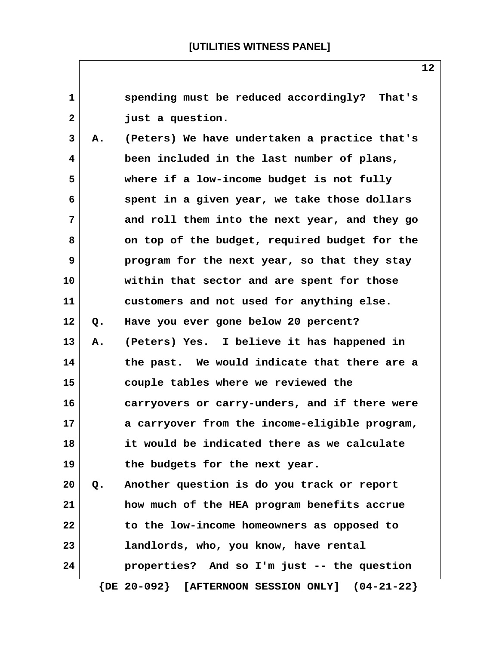| $\mathbf{1}$ |    | spending must be reduced accordingly? That's             |
|--------------|----|----------------------------------------------------------|
| $\mathbf{2}$ |    | just a question.                                         |
| 3            | Α. | (Peters) We have undertaken a practice that's            |
| 4            |    | been included in the last number of plans,               |
| 5            |    | where if a low-income budget is not fully                |
| 6            |    | spent in a given year, we take those dollars             |
| 7            |    | and roll them into the next year, and they go            |
| 8            |    | on top of the budget, required budget for the            |
| 9            |    | program for the next year, so that they stay             |
| 10           |    | within that sector and are spent for those               |
| 11           |    | customers and not used for anything else.                |
| $12 \,$      | Q. | Have you ever gone below 20 percent?                     |
| 13           | Α. | (Peters) Yes. I believe it has happened in               |
| 14           |    | the past. We would indicate that there are a             |
| 15           |    | couple tables where we reviewed the                      |
| 16           |    | carryovers or carry-unders, and if there were            |
| 17           |    | a carryover from the income-eligible program,            |
| 18           |    | it would be indicated there as we calculate              |
| 19           |    | the budgets for the next year.                           |
| 20           | Q. | Another question is do you track or report               |
| 21           |    | how much of the HEA program benefits accrue              |
| 22           |    | to the low-income homeowners as opposed to               |
| 23           |    | landlords, who, you know, have rental                    |
| 24           |    | properties? And so I'm just -- the question              |
|              |    | $\{DE 20-092\}$<br>[AFTERNOON SESSION ONLY] $(04-21-22)$ |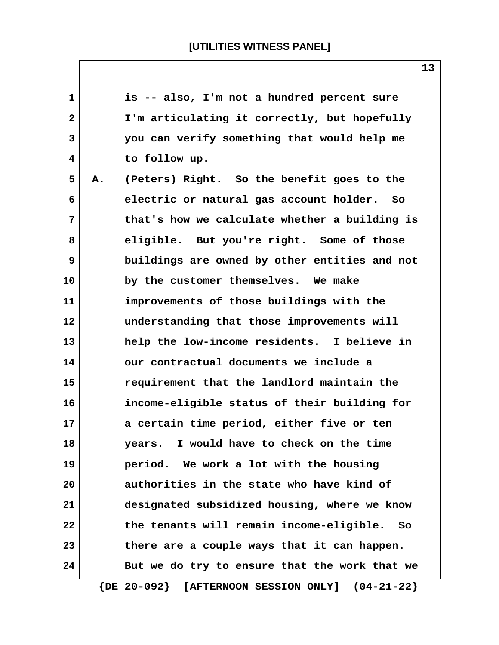| $\mathbf{1}$ |    | is -- also, I'm not a hundred percent sure    |
|--------------|----|-----------------------------------------------|
| $\mathbf{2}$ |    | I'm articulating it correctly, but hopefully  |
| 3            |    | you can verify something that would help me   |
| 4            |    | to follow up.                                 |
| 5            | Α. | (Peters) Right. So the benefit goes to the    |
| 6            |    | electric or natural gas account holder. So    |
| 7            |    | that's how we calculate whether a building is |
| 8            |    | eligible. But you're right. Some of those     |
| 9            |    | buildings are owned by other entities and not |
| 10           |    | by the customer themselves. We make           |
| 11           |    | improvements of those buildings with the      |
| 12           |    | understanding that those improvements will    |
| 13           |    | help the low-income residents. I believe in   |
| 14           |    | our contractual documents we include a        |
| 15           |    | requirement that the landlord maintain the    |
| 16           |    | income-eligible status of their building for  |
| 17           |    | a certain time period, either five or ten     |
| 18           |    | years. I would have to check on the time      |
| 19           |    | period. We work a lot with the housing        |
| 20           |    | authorities in the state who have kind of     |
| 21           |    | designated subsidized housing, where we know  |
| 22           |    | the tenants will remain income-eligible. So   |
| 23           |    | there are a couple ways that it can happen.   |
| 24           |    | But we do try to ensure that the work that we |
|              |    |                                               |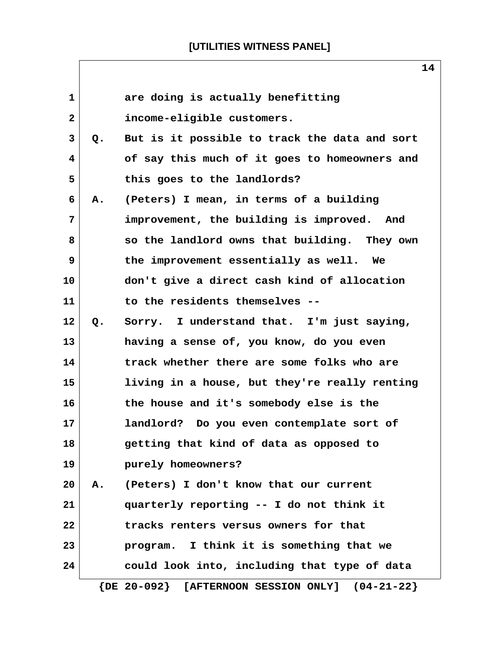| $\mathbf{1}$   |    | are doing is actually benefitting                     |
|----------------|----|-------------------------------------------------------|
| $\mathbf{2}$   |    | income-eligible customers.                            |
| 3              | Q. | But is it possible to track the data and sort         |
| $\overline{4}$ |    | of say this much of it goes to homeowners and         |
| 5              |    | this goes to the landlords?                           |
| 6              | Α. | (Peters) I mean, in terms of a building               |
| 7              |    | improvement, the building is improved. And            |
| 8              |    | so the landlord owns that building. They own          |
| 9              |    | the improvement essentially as well. We               |
| 10             |    | don't give a direct cash kind of allocation           |
| 11             |    | to the residents themselves --                        |
| 12             | Q. | Sorry. I understand that. I'm just saying,            |
| 13             |    | having a sense of, you know, do you even              |
| 14             |    | track whether there are some folks who are            |
| 15             |    | living in a house, but they're really renting         |
| 16             |    | the house and it's somebody else is the               |
| 17             |    | landlord?<br>Do you even contemplate sort of          |
| 18             |    | getting that kind of data as opposed to               |
| 19             |    | purely homeowners?                                    |
| 20             | A. | (Peters) I don't know that our current                |
| 21             |    | quarterly reporting -- I do not think it              |
| 22             |    | tracks renters versus owners for that                 |
| 23             |    | program. I think it is something that we              |
| 24             |    | could look into, including that type of data          |
|                |    | $\{DE 20-092\}$ [AFTERNOON SESSION ONLY] $(04-21-22)$ |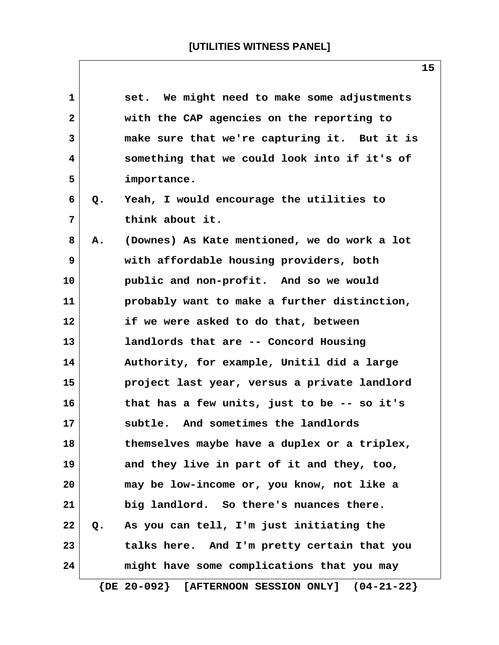| $\mathbf{1}$ |               | set. We might need to make some adjustments                     |
|--------------|---------------|-----------------------------------------------------------------|
| $\mathbf{2}$ |               | with the CAP agencies on the reporting to                       |
| 3            |               | make sure that we're capturing it. But it is                    |
| 4            |               | something that we could look into if it's of                    |
| 5            |               | importance.                                                     |
| 6            | Q.            | Yeah, I would encourage the utilities to                        |
| 7            |               | think about it.                                                 |
| 8            | Α.            | (Downes) As Kate mentioned, we do work a lot                    |
| 9            |               | with affordable housing providers, both                         |
| 10           |               | public and non-profit. And so we would                          |
| 11           |               | probably want to make a further distinction,                    |
| 12           |               | if we were asked to do that, between                            |
| 13           |               | landlords that are -- Concord Housing                           |
| 14           |               | Authority, for example, Unitil did a large                      |
| 15           |               | project last year, versus a private landlord                    |
| 16           |               | that has a few units, just to be -- so it's                     |
| 17           |               | subtle. And sometimes the landlords                             |
| 18           |               | themselves maybe have a duplex or a triplex,                    |
| 19           |               | and they live in part of it and they, too,                      |
| 20           |               | may be low-income or, you know, not like a                      |
| 21           |               | big landlord. So there's nuances there.                         |
| 22           | $Q_{\bullet}$ | As you can tell, I'm just initiating the                        |
| 23           |               | talks here. And I'm pretty certain that you                     |
| 24           |               | might have some complications that you may                      |
|              |               | $\{DE 20-092\}$<br>[AFTERNOON SESSION ONLY]<br>$(04 - 21 - 22)$ |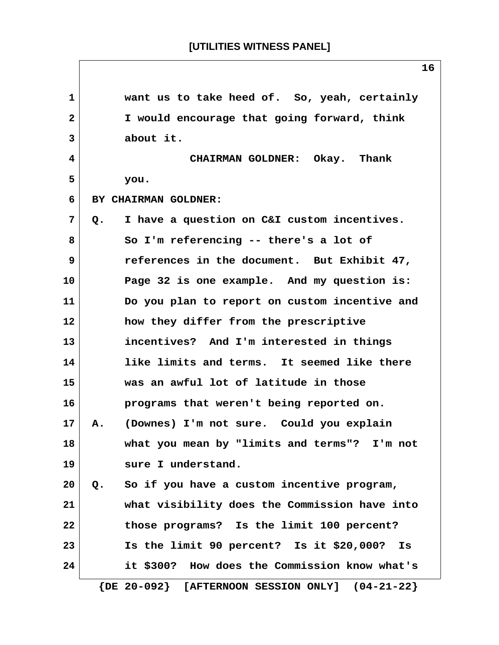**1 want us to take heed of. So, yeah, certainly 2 I would encourage that going forward, think 3 about it. 4 CHAIRMAN GOLDNER: Okay. Thank 5 you. 6 BY CHAIRMAN GOLDNER: 7 Q. I have a question on C&I custom incentives. 8 So I'm referencing -- there's a lot of 9 references in the document. But Exhibit 47, 10 Page 32 is one example. And my question is: 11 Do you plan to report on custom incentive and 12 how they differ from the prescriptive 13 incentives? And I'm interested in things 14 like limits and terms. It seemed like there 15 was an awful lot of latitude in those 16 programs that weren't being reported on. 17 A. (Downes) I'm not sure. Could you explain 18 what you mean by "limits and terms"? I'm not 19 sure I understand. 20 Q. So if you have a custom incentive program, 21 what visibility does the Commission have into 22 those programs? Is the limit 100 percent? 23 Is the limit 90 percent? Is it \$20,000? Is 24 it \$300? How does the Commission know what's {DE 20-092} [AFTERNOON SESSION ONLY] (04-21-22}**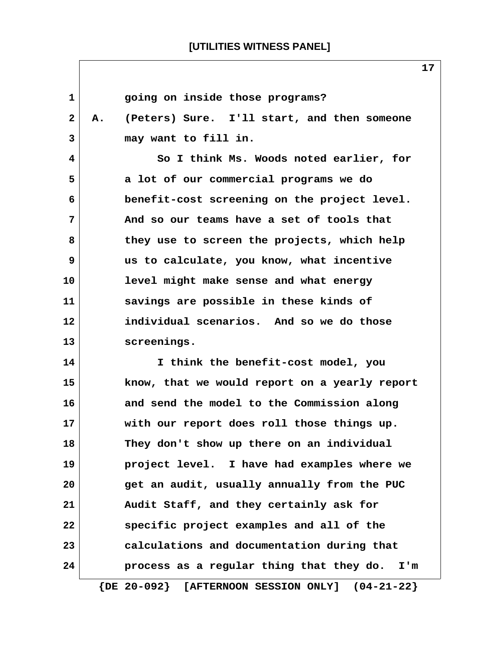| 1            | going on inside those programs?                          |
|--------------|----------------------------------------------------------|
| $\mathbf{2}$ | (Peters) Sure. I'll start, and then someone<br>А.        |
| 3            | may want to fill in.                                     |
| 4            | So I think Ms. Woods noted earlier, for                  |
| 5            | a lot of our commercial programs we do                   |
| 6            | benefit-cost screening on the project level.             |
| 7            | And so our teams have a set of tools that                |
| 8            | they use to screen the projects, which help              |
| 9            | us to calculate, you know, what incentive                |
| 10           | level might make sense and what energy                   |
| 11           | savings are possible in these kinds of                   |
| 12           | individual scenarios. And so we do those                 |
| 13           | screenings.                                              |
| 14           | I think the benefit-cost model, you                      |
| 15           | know, that we would report on a yearly report            |
| 16           | and send the model to the Commission along               |
| 17           | with our report does roll those things up.               |
| 18           | They don't show up there on an individual                |
| 19           | project level. I have had examples where we              |
| 20           | get an audit, usually annually from the PUC              |
| 21           | Audit Staff, and they certainly ask for                  |
| 22           | specific project examples and all of the                 |
| 23           | calculations and documentation during that               |
| 24           | process as a regular thing that they do.<br>I'm          |
|              | $\{DE 20-092\}$<br>[AFTERNOON SESSION ONLY] $(04-21-22)$ |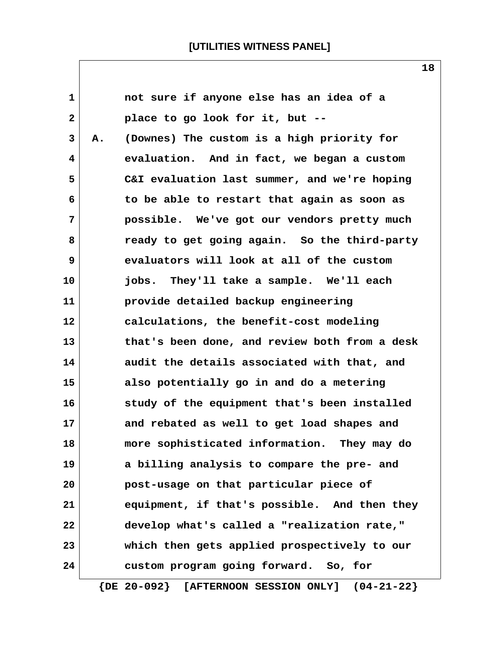| 1              |    | not sure if anyone else has an idea of a      |
|----------------|----|-----------------------------------------------|
| $\overline{2}$ |    | place to go look for it, but --               |
| 3              | Α. | (Downes) The custom is a high priority for    |
| 4              |    | evaluation. And in fact, we began a custom    |
| 5              |    | C&I evaluation last summer, and we're hoping  |
| 6              |    | to be able to restart that again as soon as   |
| $7\phantom{.}$ |    | possible. We've got our vendors pretty much   |
| 8              |    | ready to get going again. So the third-party  |
| 9              |    | evaluators will look at all of the custom     |
| 10             |    | jobs. They'll take a sample. We'll each       |
| 11             |    | provide detailed backup engineering           |
| 12             |    | calculations, the benefit-cost modeling       |
| 13             |    | that's been done, and review both from a desk |
| 14             |    | audit the details associated with that, and   |
| 15             |    | also potentially go in and do a metering      |
| 16             |    | study of the equipment that's been installed  |
| 17             |    | and rebated as well to get load shapes and    |
| 18             |    | more sophisticated information. They may do   |
| 19             |    | a billing analysis to compare the pre- and    |
| 20             |    | post-usage on that particular piece of        |
| 21             |    | equipment, if that's possible. And then they  |
| 22             |    | develop what's called a "realization rate,"   |
| 23             |    | which then gets applied prospectively to our  |
| 24             |    | custom program going forward. So, for         |

 **{DE 20-092} [AFTERNOON SESSION ONLY] (04-21-22}**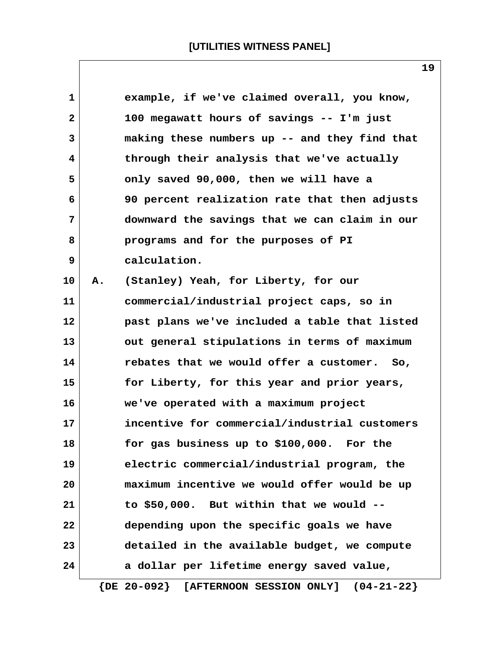| 1            |    | example, if we've claimed overall, you know,  |
|--------------|----|-----------------------------------------------|
| $\mathbf{2}$ |    | 100 megawatt hours of savings -- I'm just     |
| 3            |    | making these numbers up -- and they find that |
| 4            |    | through their analysis that we've actually    |
| 5            |    | only saved 90,000, then we will have a        |
| 6            |    | 90 percent realization rate that then adjusts |
| 7            |    | downward the savings that we can claim in our |
| 8            |    | programs and for the purposes of PI           |
| 9            |    | calculation.                                  |
| 10           | А. | (Stanley) Yeah, for Liberty, for our          |
| 11           |    | commercial/industrial project caps, so in     |
| 12           |    | past plans we've included a table that listed |
| 13           |    | out general stipulations in terms of maximum  |
| 14           |    | rebates that we would offer a customer. So,   |
| 15           |    | for Liberty, for this year and prior years,   |
| 16           |    | we've operated with a maximum project         |
| 17           |    | incentive for commercial/industrial customers |
| 18           |    | for gas business up to \$100,000. For the     |
| 19           |    | electric commercial/industrial program, the   |
| 20           |    | maximum incentive we would offer would be up  |
| 21           |    | to \$50,000. But within that we would --      |
| 22           |    | depending upon the specific goals we have     |
| 23           |    | detailed in the available budget, we compute  |
| 24           |    | a dollar per lifetime energy saved value,     |
|              |    |                                               |

 **{DE 20-092} [AFTERNOON SESSION ONLY] (04-21-22}**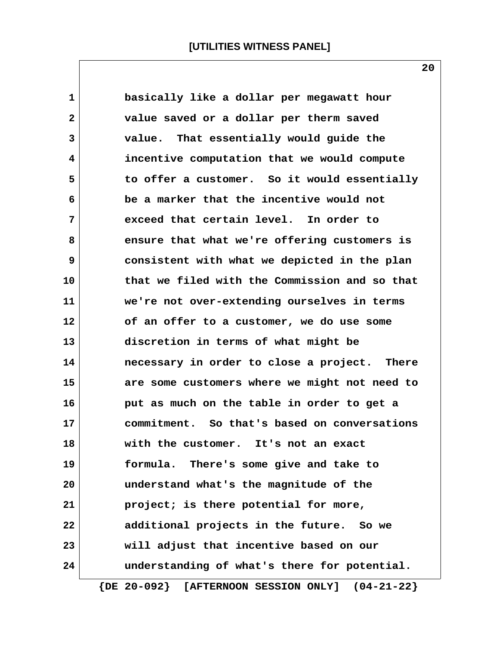**1 basically like a dollar per megawatt hour 2 value saved or a dollar per therm saved 3 value. That essentially would guide the 4 incentive computation that we would compute 5 to offer a customer. So it would essentially 6 be a marker that the incentive would not 7 exceed that certain level. In order to 8 ensure that what we're offering customers is 9 consistent with what we depicted in the plan 10 that we filed with the Commission and so that 11 we're not over-extending ourselves in terms 12 of an offer to a customer, we do use some 13 discretion in terms of what might be 14 necessary in order to close a project. There 15 are some customers where we might not need to 16 put as much on the table in order to get a 17 commitment. So that's based on conversations 18 with the customer. It's not an exact 19 formula. There's some give and take to 20 understand what's the magnitude of the 21 project; is there potential for more, 22 additional projects in the future. So we 23 will adjust that incentive based on our 24 understanding of what's there for potential.**

 **{DE 20-092} [AFTERNOON SESSION ONLY] (04-21-22}**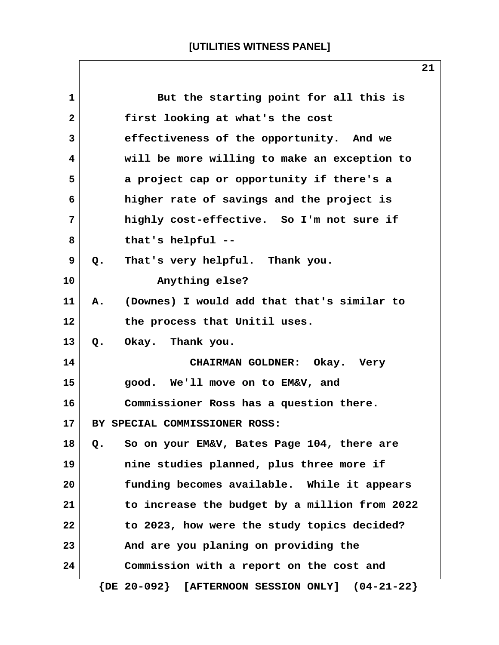| $\mathbf{1}$ | But the starting point for all this is                   |
|--------------|----------------------------------------------------------|
| $\mathbf{2}$ | first looking at what's the cost                         |
| 3            | effectiveness of the opportunity. And we                 |
| 4            | will be more willing to make an exception to             |
| 5            | a project cap or opportunity if there's a                |
| 6            | higher rate of savings and the project is                |
| 7            | highly cost-effective. So I'm not sure if                |
| 8            | that's helpful --                                        |
| 9            | That's very helpful. Thank you.<br>$Q_{\bullet}$         |
| 10           | Anything else?                                           |
| 11           | (Downes) I would add that that's similar to<br>A.        |
| 12           | the process that Unitil uses.                            |
| 13           | Okay. Thank you.<br>$Q_{\bullet}$                        |
| 14           | CHAIRMAN GOLDNER: Okay. Very                             |
| 15           | good. We'll move on to EM&V, and                         |
| 16           | Commissioner Ross has a question there.                  |
| 17           | BY SPECIAL COMMISSIONER ROSS:                            |
| 18           | So on your EM&V, Bates Page 104, there are<br>Q.         |
| 19           | nine studies planned, plus three more if                 |
| 20           | funding becomes available. While it appears              |
| 21           | to increase the budget by a million from 2022            |
| 22           | to 2023, how were the study topics decided?              |
| 23           | And are you planing on providing the                     |
| 24           | Commission with a report on the cost and                 |
|              | $\{DE 20-092\}$<br>[AFTERNOON SESSION ONLY] $(04-21-22)$ |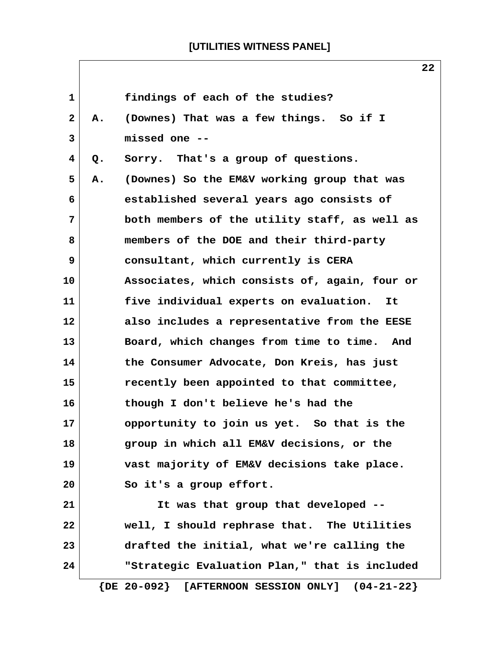$\sqrt{ }$ 

|              |       | 44                                                    |
|--------------|-------|-------------------------------------------------------|
| $\mathbf{1}$ |       | findings of each of the studies?                      |
| $\mathbf{2}$ | А.    | (Downes) That was a few things. So if I               |
| 3            |       | missed one --                                         |
| 4            | $Q$ . | Sorry. That's a group of questions.                   |
| 5            | Α.    | (Downes) So the EM&V working group that was           |
| 6            |       | established several years ago consists of             |
| 7            |       | both members of the utility staff, as well as         |
| 8            |       | members of the DOE and their third-party              |
| 9            |       | consultant, which currently is CERA                   |
| 10           |       | Associates, which consists of, again, four or         |
| 11           |       | five individual experts on evaluation.<br>It          |
| 12           |       | also includes a representative from the EESE          |
| 13           |       | Board, which changes from time to time. And           |
| 14           |       | the Consumer Advocate, Don Kreis, has just            |
| 15           |       | recently been appointed to that committee,            |
| 16           |       | though I don't believe he's had the                   |
| 17           |       | opportunity to join us yet. So that is the            |
| 18           |       | group in which all EM&V decisions, or the             |
| 19           |       | vast majority of EM&V decisions take place.           |
| 20           |       | So it's a group effort.                               |
| 21           |       | It was that group that developed --                   |
| 22           |       | well, I should rephrase that. The Utilities           |
| 23           |       | drafted the initial, what we're calling the           |
| 24           |       | "Strategic Evaluation Plan," that is included         |
|              |       | $\{DE 20-092\}$ [AFTERNOON SESSION ONLY] $(04-21-22)$ |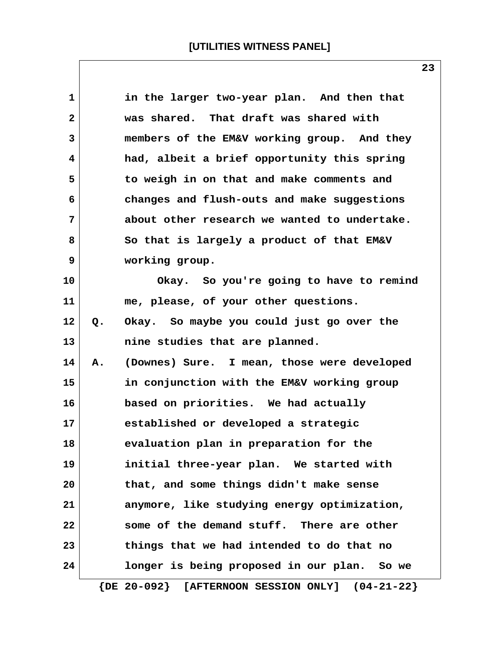| 1            |    | in the larger two-year plan. And then that   |
|--------------|----|----------------------------------------------|
| $\mathbf{2}$ |    | was shared. That draft was shared with       |
| 3            |    | members of the EM&V working group. And they  |
| 4            |    | had, albeit a brief opportunity this spring  |
| 5            |    | to weigh in on that and make comments and    |
| 6            |    | changes and flush-outs and make suggestions  |
| 7            |    | about other research we wanted to undertake. |
| 8            |    | So that is largely a product of that EM&V    |
| 9            |    | working group.                               |
| 10           |    | Okay. So you're going to have to remind      |
| 11           |    | me, please, of your other questions.         |
| 12           | Q. | Okay. So maybe you could just go over the    |
| 13           |    | nine studies that are planned.               |
| 14           | Α. | (Downes) Sure. I mean, those were developed  |
| 15           |    | in conjunction with the EM&V working group   |
| 16           |    | based on priorities. We had actually         |
| 17           |    | established or developed a strategic         |
| 18           |    | evaluation plan in preparation for the       |
| 19           |    | initial three-year plan. We started with     |
| 20           |    | that, and some things didn't make sense      |
| 21           |    | anymore, like studying energy optimization,  |
| 22           |    | some of the demand stuff. There are other    |
| 23           |    | things that we had intended to do that no    |
| 24           |    | longer is being proposed in our plan. So we  |
|              |    |                                              |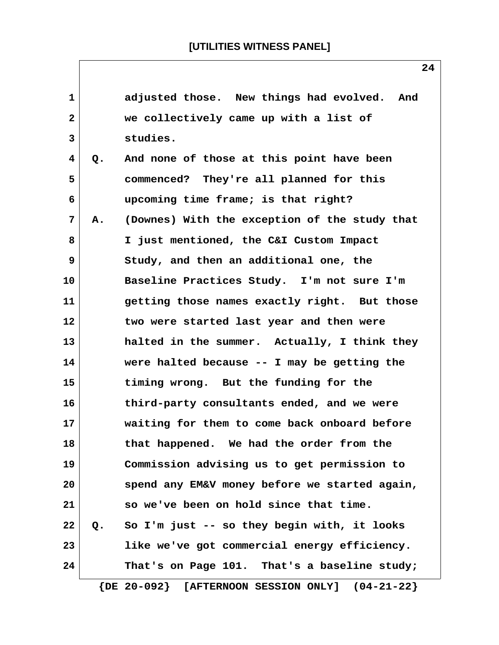| 1            |    | adjusted those. New things had evolved. And              |
|--------------|----|----------------------------------------------------------|
| $\mathbf{2}$ |    | we collectively came up with a list of                   |
| 3            |    | studies.                                                 |
| 4            | Q. | And none of those at this point have been                |
| 5            |    | commenced? They're all planned for this                  |
| 6            |    | upcoming time frame; is that right?                      |
| 7            | А. | (Downes) With the exception of the study that            |
| 8            |    | I just mentioned, the C&I Custom Impact                  |
| 9            |    | Study, and then an additional one, the                   |
| 10           |    | Baseline Practices Study. I'm not sure I'm               |
| 11           |    | getting those names exactly right. But those             |
| 12           |    | two were started last year and then were                 |
| 13           |    | halted in the summer. Actually, I think they             |
| 14           |    | were halted because $-$ - I may be getting the           |
| 15           |    | timing wrong. But the funding for the                    |
| 16           |    | third-party consultants ended, and we were               |
| 17           |    | waiting for them to come back onboard before             |
| 18           |    | that happened. We had the order from the                 |
| 19           |    | Commission advising us to get permission to              |
| 20           |    | spend any EM&V money before we started again,            |
| 21           |    | so we've been on hold since that time.                   |
| 22           | Q. | So I'm just -- so they begin with, it looks              |
| 23           |    | like we've got commercial energy efficiency.             |
| 24           |    | That's on Page 101. That's a baseline study;             |
|              |    | $\{DE 20-092\}$<br>[AFTERNOON SESSION ONLY] $(04-21-22)$ |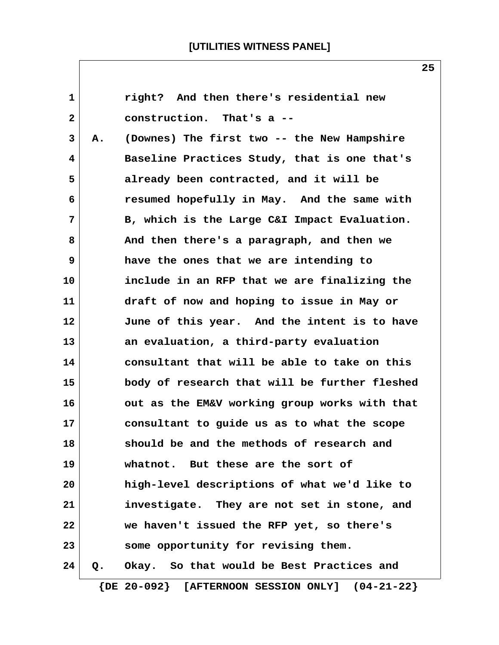| 1            |    | right? And then there's residential new               |
|--------------|----|-------------------------------------------------------|
| $\mathbf{2}$ |    | construction. That's a --                             |
| 3            | А. | (Downes) The first two -- the New Hampshire           |
| 4            |    | Baseline Practices Study, that is one that's          |
| 5            |    | already been contracted, and it will be               |
| 6            |    | resumed hopefully in May. And the same with           |
| 7            |    | B, which is the Large C&I Impact Evaluation.          |
| 8            |    | And then there's a paragraph, and then we             |
| 9            |    | have the ones that we are intending to                |
| 10           |    | include in an RFP that we are finalizing the          |
| 11           |    | draft of now and hoping to issue in May or            |
| 12           |    | June of this year. And the intent is to have          |
| 13           |    | an evaluation, a third-party evaluation               |
| 14           |    | consultant that will be able to take on this          |
| 15           |    | body of research that will be further fleshed         |
| 16           |    | out as the EM&V working group works with that         |
| 17           |    | consultant to guide us as to what the scope           |
| 18           |    | should be and the methods of research and             |
| 19           |    | whatnot. But these are the sort of                    |
| 20           |    | high-level descriptions of what we'd like to          |
| 21           |    | investigate. They are not set in stone, and           |
| 22           |    | we haven't issued the RFP yet, so there's             |
| 23           |    | some opportunity for revising them.                   |
| 24           | Q. | Okay. So that would be Best Practices and             |
|              |    | $\{DE 20-092\}$ [AFTERNOON SESSION ONLY] $(04-21-22)$ |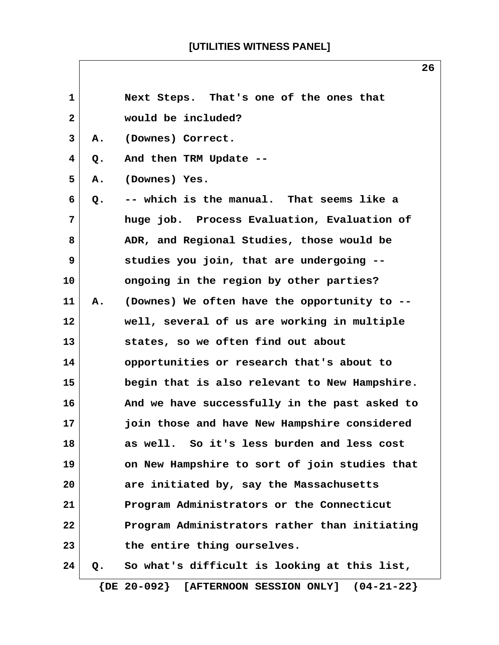| 1            |    | Next Steps. That's one of the ones that               |
|--------------|----|-------------------------------------------------------|
| $\mathbf{2}$ |    | would be included?                                    |
| 3            | Α. | (Downes) Correct.                                     |
| 4            | Q. | And then TRM Update --                                |
| 5            | Α. | (Downes) Yes.                                         |
| 6            | Q. | -- which is the manual. That seems like a             |
| 7            |    | huge job. Process Evaluation, Evaluation of           |
| 8            |    | ADR, and Regional Studies, those would be             |
| 9            |    | studies you join, that are undergoing --              |
| 10           |    | ongoing in the region by other parties?               |
| 11           | Α. | (Downes) We often have the opportunity to --          |
| 12           |    | well, several of us are working in multiple           |
| 13           |    | states, so we often find out about                    |
| 14           |    | opportunities or research that's about to             |
| 15           |    | begin that is also relevant to New Hampshire.         |
| 16           |    | And we have successfully in the past asked to         |
| 17           |    | join those and have New Hampshire considered          |
| 18           |    | as well.<br>So it's less burden and less cost         |
| 19           |    | on New Hampshire to sort of join studies that         |
| 20           |    | are initiated by, say the Massachusetts               |
| 21           |    | Program Administrators or the Connecticut             |
| 22           |    | Program Administrators rather than initiating         |
| 23           |    | the entire thing ourselves.                           |
| 24           | Q. | So what's difficult is looking at this list,          |
|              |    | $\{DE 20-092\}$ [AFTERNOON SESSION ONLY] $(04-21-22)$ |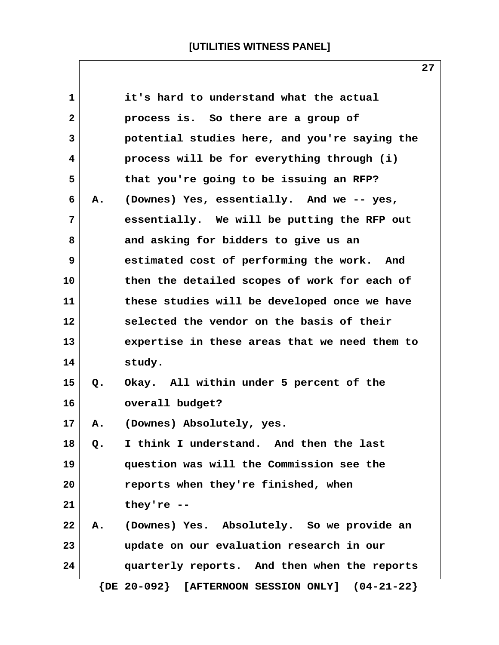| 1            |    | it's hard to understand what the actual               |
|--------------|----|-------------------------------------------------------|
| $\mathbf{2}$ |    | process is. So there are a group of                   |
| 3            |    | potential studies here, and you're saying the         |
| 4            |    | process will be for everything through (i)            |
| 5            |    | that you're going to be issuing an RFP?               |
| 6            | Α. | (Downes) Yes, essentially. And we -- yes,             |
| 7            |    | essentially. We will be putting the RFP out           |
| 8            |    | and asking for bidders to give us an                  |
| 9            |    | estimated cost of performing the work. And            |
| 10           |    | then the detailed scopes of work for each of          |
| 11           |    | these studies will be developed once we have          |
| 12           |    | selected the vendor on the basis of their             |
| 13           |    | expertise in these areas that we need them to         |
| 14           |    | study.                                                |
| 15           | Q. | Okay. All within under 5 percent of the               |
| 16           |    | overall budget?                                       |
| 17           | Α. | (Downes) Absolutely, yes.                             |
| 18           | Q. | I think I understand. And then the last               |
| 19           |    | question was will the Commission see the              |
| 20           |    | reports when they're finished, when                   |
| 21           |    | they're $-$                                           |
| 22           | Α. | (Downes) Yes. Absolutely. So we provide an            |
| 23           |    | update on our evaluation research in our              |
| 24           |    | quarterly reports. And then when the reports          |
|              |    | $\{DE 20-092\}$ [AFTERNOON SESSION ONLY] $(04-21-22)$ |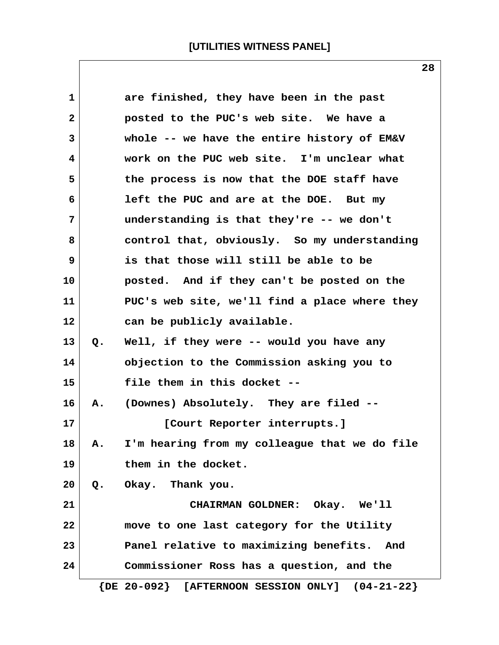| 1       |    | are finished, they have been in the past              |
|---------|----|-------------------------------------------------------|
| 2       |    | posted to the PUC's web site. We have a               |
| 3       |    | whole -- we have the entire history of EM&V           |
| 4       |    | work on the PUC web site. I'm unclear what            |
| 5       |    | the process is now that the DOE staff have            |
| 6       |    | left the PUC and are at the DOE. But my               |
| 7       |    | understanding is that they're -- we don't             |
| 8       |    | control that, obviously. So my understanding          |
| 9       |    | is that those will still be able to be                |
| 10      |    | posted. And if they can't be posted on the            |
| 11      |    | PUC's web site, we'll find a place where they         |
| $12 \,$ |    | can be publicly available.                            |
| 13      | Q. | Well, if they were -- would you have any              |
| 14      |    | objection to the Commission asking you to             |
| 15      |    | file them in this docket --                           |
| 16      | Α. | (Downes) Absolutely. They are filed --                |
| 17      |    | [Court Reporter interrupts.]                          |
| 18      | А. | I'm hearing from my colleague that we do file         |
| 19      |    | them in the docket.                                   |
| 20      |    | Q. Okay. Thank you.                                   |
| 21      |    | CHAIRMAN GOLDNER: Okay. We'll                         |
| 22      |    | move to one last category for the Utility             |
| 23      |    | Panel relative to maximizing benefits. And            |
| 24      |    | Commissioner Ross has a question, and the             |
|         |    | $\{DE 20-092\}$ [AFTERNOON SESSION ONLY] $(04-21-22)$ |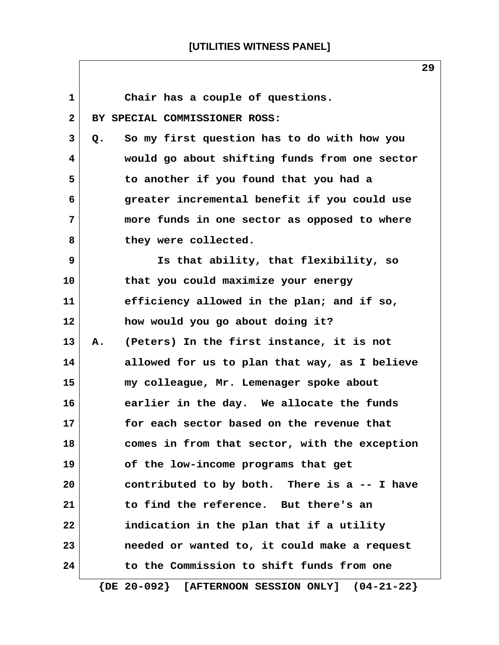$\overline{\phantom{a}}$ 

| $\mathbf{1}$ | Chair has a couple of questions.                            |
|--------------|-------------------------------------------------------------|
| $\mathbf{2}$ | BY SPECIAL COMMISSIONER ROSS:                               |
| 3            | So my first question has to do with how you<br>Q.           |
| 4            | would go about shifting funds from one sector               |
| 5            | to another if you found that you had a                      |
| 6            | greater incremental benefit if you could use                |
| 7            | more funds in one sector as opposed to where                |
| 8            | they were collected.                                        |
| 9            | Is that ability, that flexibility, so                       |
| 10           | that you could maximize your energy                         |
| 11           | efficiency allowed in the plan; and if so,                  |
| 12           | how would you go about doing it?                            |
| 13           | (Peters) In the first instance, it is not<br>Α.             |
| 14           | allowed for us to plan that way, as I believe               |
| 15           | my colleague, Mr. Lemenager spoke about                     |
| 16           | earlier in the day. We allocate the funds                   |
| 17           | for each sector based on the revenue that                   |
| 18           | comes in from that sector, with the exception               |
| 19           | of the low-income programs that get                         |
| 20           | contributed to by both. There is a -- I have                |
| 21           | to find the reference. But there's an                       |
| 22           | indication in the plan that if a utility                    |
| 23           | needed or wanted to, it could make a request                |
| 24           | to the Commission to shift funds from one                   |
|              | $\{$ DE $20-092\}$<br>[AFTERNOON SESSION ONLY] $(04-21-22)$ |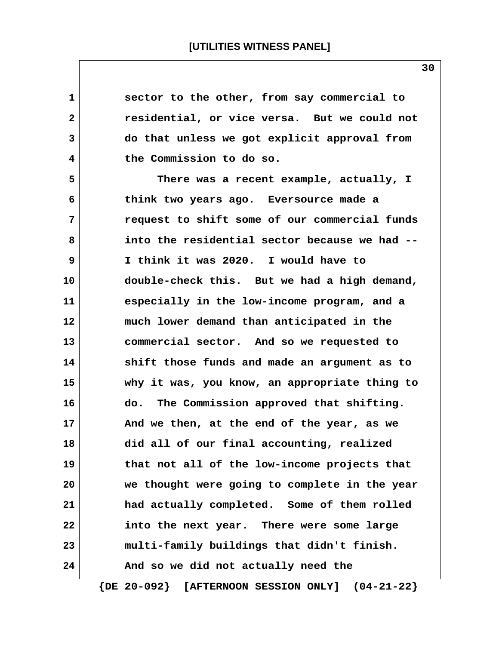| $\mathbf 1$  | sector to the other, from say commercial to   |
|--------------|-----------------------------------------------|
| $\mathbf{2}$ | residential, or vice versa. But we could not  |
| 3            | do that unless we got explicit approval from  |
| 4            | the Commission to do so.                      |
| 5            | There was a recent example, actually, I       |
| 6            | think two years ago. Eversource made a        |
| 7            | request to shift some of our commercial funds |
| 8            | into the residential sector because we had -- |
| 9            | I think it was 2020. I would have to          |
| 10           | double-check this. But we had a high demand,  |
| 11           | especially in the low-income program, and a   |
| 12           | much lower demand than anticipated in the     |
| 13           | commercial sector. And so we requested to     |
| 14           | shift those funds and made an argument as to  |
| 15           | why it was, you know, an appropriate thing to |
| 16           | The Commission approved that shifting.<br>do. |
| 17           | And we then, at the end of the year, as we    |
| 18           | did all of our final accounting, realized     |
| 19           | that not all of the low-income projects that  |
| 20           | we thought were going to complete in the year |
| 21           | had actually completed. Some of them rolled   |
| 22           | into the next year. There were some large     |
| 23           | multi-family buildings that didn't finish.    |
| 24           | And so we did not actually need the           |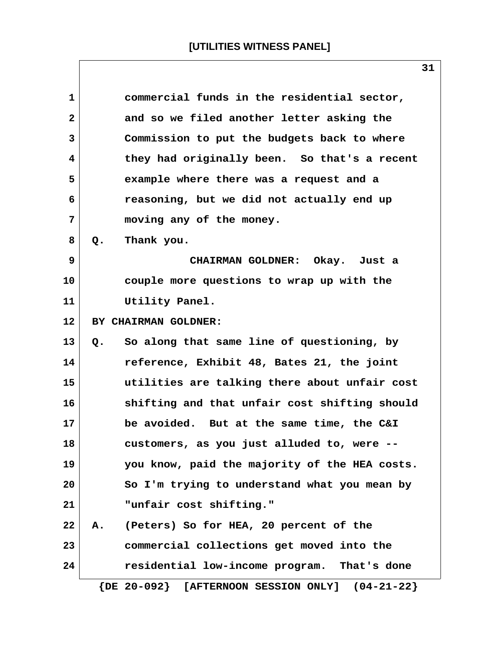| $\mathbf{1}$ | commercial funds in the residential sector,           |
|--------------|-------------------------------------------------------|
| 2            | and so we filed another letter asking the             |
| 3            | Commission to put the budgets back to where           |
| 4            | they had originally been. So that's a recent          |
| 5            | example where there was a request and a               |
| 6            | reasoning, but we did not actually end up             |
| 7            | moving any of the money.                              |
| 8            | Thank you.<br>Q.                                      |
| 9            | CHAIRMAN GOLDNER: Okay. Just a                        |
| 10           | couple more questions to wrap up with the             |
| 11           | Utility Panel.                                        |
| $12 \,$      | BY CHAIRMAN GOLDNER:                                  |
| 13           | So along that same line of questioning, by<br>Q.      |
| 14           | reference, Exhibit 48, Bates 21, the joint            |
| 15           | utilities are talking there about unfair cost         |
| 16           | shifting and that unfair cost shifting should         |
| 17           | be avoided. But at the same time, the C&I             |
| 18           | customers, as you just alluded to, were --            |
| 19           | you know, paid the majority of the HEA costs.         |
| 20           | So I'm trying to understand what you mean by          |
| 21           | "unfair cost shifting."                               |
| 22           | (Peters) So for HEA, 20 percent of the<br>А.          |
| 23           | commercial collections get moved into the             |
| 24           | residential low-income program. That's done           |
|              | $\{DE 20-092\}$ [AFTERNOON SESSION ONLY] $(04-21-22)$ |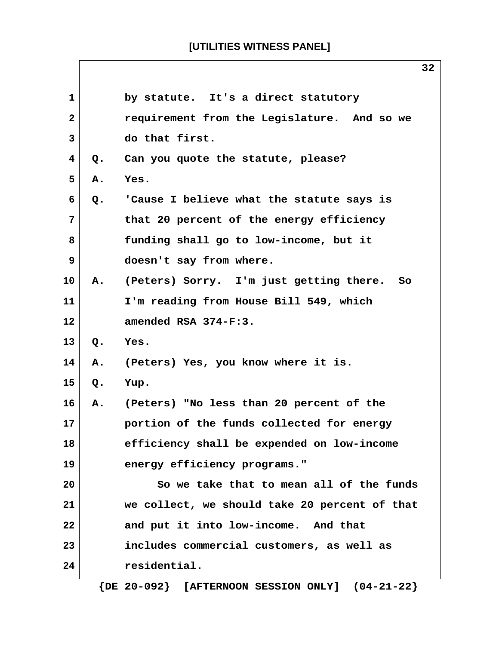$\overline{\phantom{a}}$ 

|                |       | 32                                            |
|----------------|-------|-----------------------------------------------|
| $\mathbf{1}$   |       | by statute. It's a direct statutory           |
| $\mathbf{2}$   |       | requirement from the Legislature. And so we   |
| $\overline{3}$ |       | do that first.                                |
| 4              | Q.    | Can you quote the statute, please?            |
| 5              | Α.    | Yes.                                          |
| 6              | Q.    | 'Cause I believe what the statute says is     |
| 7              |       | that 20 percent of the energy efficiency      |
| 8              |       | funding shall go to low-income, but it        |
| 9              |       | doesn't say from where.                       |
| 10             | Α.    | (Peters) Sorry. I'm just getting there. So    |
| 11             |       | I'm reading from House Bill 549, which        |
| $12 \,$        |       | amended RSA 374-F:3.                          |
| 13             | $Q$ . | Yes.                                          |
| 14             | Α.    | (Peters) Yes, you know where it is.           |
| 15             | Q.    | Yup.                                          |
| 16             | Α.    | (Peters) "No less than 20 percent of the      |
| 17             |       | portion of the funds collected for energy     |
| 18             |       | efficiency shall be expended on low-income    |
| 19             |       | energy efficiency programs."                  |
| 20             |       | So we take that to mean all of the funds      |
| 21             |       | we collect, we should take 20 percent of that |
| 22             |       | and put it into low-income. And that          |
| 23             |       | includes commercial customers, as well as     |
| 24             |       | residential.                                  |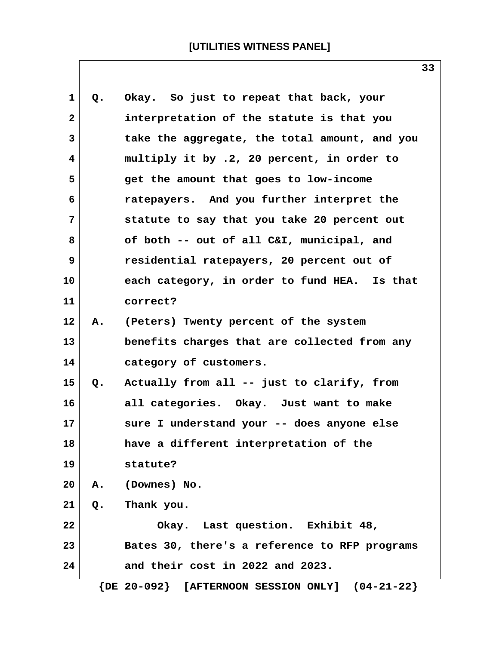| 1              | Q. | Okay. So just to repeat that back, your               |
|----------------|----|-------------------------------------------------------|
| $\overline{2}$ |    | interpretation of the statute is that you             |
| 3              |    | take the aggregate, the total amount, and you         |
| 4              |    | multiply it by .2, 20 percent, in order to            |
| 5              |    | get the amount that goes to low-income                |
| 6              |    | ratepayers. And you further interpret the             |
| $\overline{7}$ |    | statute to say that you take 20 percent out           |
| 8              |    | of both -- out of all C&I, municipal, and             |
| 9              |    | residential ratepayers, 20 percent out of             |
| 10             |    | each category, in order to fund HEA. Is that          |
| 11             |    | correct?                                              |
| 12             | A. | (Peters) Twenty percent of the system                 |
| 13             |    | benefits charges that are collected from any          |
| 14             |    | category of customers.                                |
| 15             | Q. | Actually from all -- just to clarify, from            |
| 16             |    | all categories. Okay. Just want to make               |
| 17             |    | sure I understand your -- does anyone else            |
| 18             |    | have a different interpretation of the                |
| 19             |    | statute?                                              |
| 20             | Α. | (Downes) No.                                          |
| 21             | Q. | Thank you.                                            |
| 22             |    | Okay. Last question. Exhibit 48,                      |
| 23             |    | Bates 30, there's a reference to RFP programs         |
| 24             |    | and their cost in 2022 and 2023.                      |
|                |    | $\{DE 20-092\}$ [AFTERNOON SESSION ONLY] $(04-21-22)$ |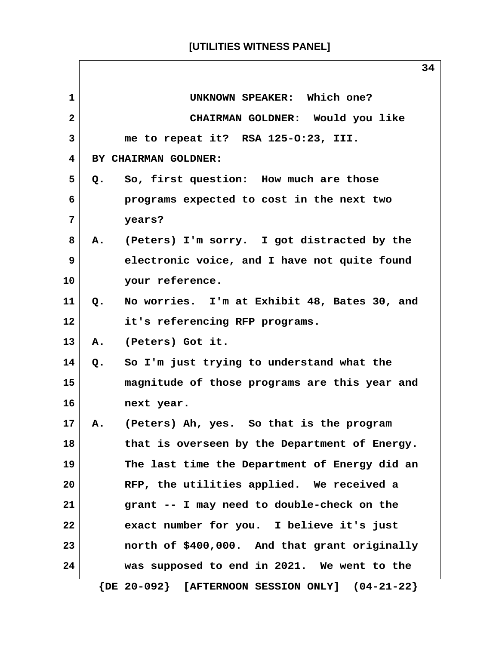|                | 34                                                    |
|----------------|-------------------------------------------------------|
| 1              | UNKNOWN SPEAKER: Which one?                           |
| $\mathbf{2}$   | CHAIRMAN GOLDNER: Would you like                      |
| 3              | me to repeat it? RSA 125-0:23, III.                   |
| 4              | BY CHAIRMAN GOLDNER:                                  |
| 5              | So, first question: How much are those<br>Q.          |
| 6              | programs expected to cost in the next two             |
| $\overline{7}$ | years?                                                |
| 8              | (Peters) I'm sorry. I got distracted by the<br>Α.     |
| 9              | electronic voice, and I have not quite found          |
| 10             | your reference.                                       |
| 11             | Q. No worries. I'm at Exhibit 48, Bates 30, and       |
| $12 \,$        | it's referencing RFP programs.                        |
| 13             | (Peters) Got it.<br>Α.                                |
| 14             | So I'm just trying to understand what the<br>Q.       |
| 15             | magnitude of those programs are this year and         |
| 16             | next year.                                            |
| 17             | (Peters) Ah, yes. So that is the program<br><b>A.</b> |
| 18             | that is overseen by the Department of Energy.         |
| 19             | The last time the Department of Energy did an         |
| 20             | RFP, the utilities applied. We received a             |
| 21             | grant -- I may need to double-check on the            |
| 22             | exact number for you. I believe it's just             |
| 23             | north of \$400,000. And that grant originally         |
| 24             | was supposed to end in 2021. We went to the           |
|                | $\{DE 20-092\}$ [AFTERNOON SESSION ONLY] $(04-21-22)$ |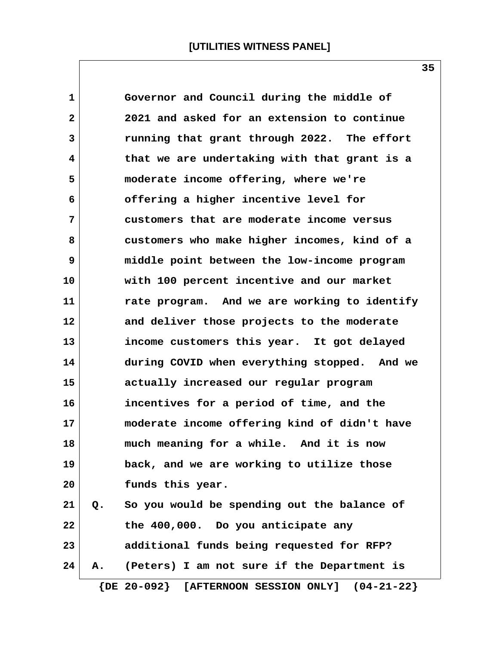| 1            |    | Governor and Council during the middle of             |
|--------------|----|-------------------------------------------------------|
| $\mathbf{2}$ |    | 2021 and asked for an extension to continue           |
| 3            |    | running that grant through 2022. The effort           |
| 4            |    | that we are undertaking with that grant is a          |
| 5            |    | moderate income offering, where we're                 |
| 6            |    | offering a higher incentive level for                 |
| 7            |    | customers that are moderate income versus             |
| 8            |    | customers who make higher incomes, kind of a          |
| 9            |    | middle point between the low-income program           |
| 10           |    | with 100 percent incentive and our market             |
| 11           |    | rate program. And we are working to identify          |
| 12           |    | and deliver those projects to the moderate            |
| 13           |    | income customers this year. It got delayed            |
| 14           |    | during COVID when everything stopped. And we          |
| 15           |    | actually increased our regular program                |
| 16           |    | incentives for a period of time, and the              |
| 17           |    | moderate income offering kind of didn't have          |
| 18           |    | much meaning for a while. And it is now               |
| 19           |    | back, and we are working to utilize those             |
| 20           |    | funds this year.                                      |
| 21           |    | Q. So you would be spending out the balance of        |
| 22           |    | the 400,000. Do you anticipate any                    |
| 23           |    | additional funds being requested for RFP?             |
| 24           | А. | (Peters) I am not sure if the Department is           |
|              |    | $\{DE 20-092\}$ [AFTERNOON SESSION ONLY] $(04-21-22)$ |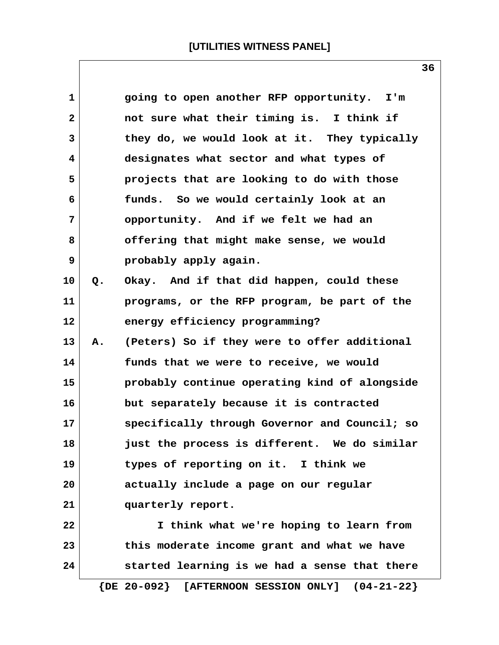| 1            |    | going to open another RFP opportunity. I'm            |
|--------------|----|-------------------------------------------------------|
| $\mathbf{2}$ |    | not sure what their timing is. I think if             |
| 3            |    | they do, we would look at it. They typically          |
| 4            |    | designates what sector and what types of              |
| 5            |    | projects that are looking to do with those            |
| 6            |    | funds. So we would certainly look at an               |
| 7            |    | opportunity. And if we felt we had an                 |
| 8            |    | offering that might make sense, we would              |
| 9            |    | probably apply again.                                 |
| 10           | Q. | Okay. And if that did happen, could these             |
| 11           |    | programs, or the RFP program, be part of the          |
| 12           |    | energy efficiency programming?                        |
| 13           | Α. | (Peters) So if they were to offer additional          |
| 14           |    | funds that we were to receive, we would               |
| 15           |    | probably continue operating kind of alongside         |
| 16           |    | but separately because it is contracted               |
| 17           |    | specifically through Governor and Council; so         |
| 18           |    | just the process is different. We do similar          |
| 19           |    | types of reporting on it. I think we                  |
| 20           |    | actually include a page on our regular                |
| 21           |    | quarterly report.                                     |
| 22           |    | I think what we're hoping to learn from               |
| 23           |    | this moderate income grant and what we have           |
| 24           |    | started learning is we had a sense that there         |
|              |    | $\{DE 20-092\}$ [AFTERNOON SESSION ONLY] $(04-21-22)$ |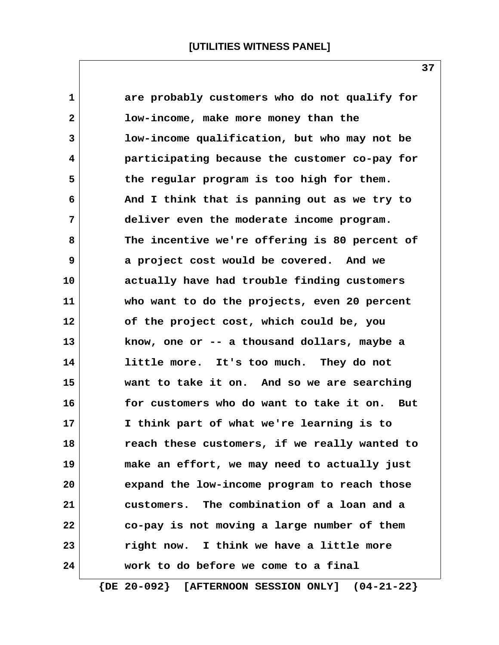| 1            | are probably customers who do not qualify for   |
|--------------|-------------------------------------------------|
| $\mathbf{2}$ | low-income, make more money than the            |
| 3            | low-income qualification, but who may not be    |
| 4            | participating because the customer co-pay for   |
| 5            | the regular program is too high for them.       |
| 6            | And I think that is panning out as we try to    |
| 7            | deliver even the moderate income program.       |
| 8            | The incentive we're offering is 80 percent of   |
| 9            | a project cost would be covered. And we         |
| 10           | actually have had trouble finding customers     |
| 11           | who want to do the projects, even 20 percent    |
| 12           | of the project cost, which could be, you        |
| 13           | know, one or -- a thousand dollars, maybe a     |
| 14           | little more. It's too much. They do not         |
| 15           | want to take it on. And so we are searching     |
| 16           | for customers who do want to take it on.<br>But |
| 17           | I think part of what we're learning is to       |
| 18           | reach these customers, if we really wanted to   |
| 19           | make an effort, we may need to actually just    |
| 20           | expand the low-income program to reach those    |
| 21           | customers. The combination of a loan and a      |
| 22           | co-pay is not moving a large number of them     |
| 23           | right now. I think we have a little more        |
| 24           | work to do before we come to a final            |
|              |                                                 |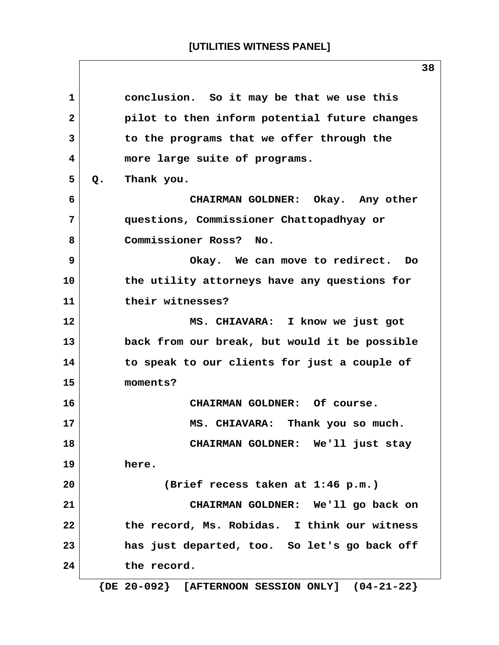| conclusion. So it may be that we use this<br>$\mathbf{1}$<br>pilot to then inform potential future changes<br>$\mathbf{2}$<br>3<br>to the programs that we offer through the<br>more large suite of programs.<br>4<br>5<br>Thank you.<br>Q.<br>CHAIRMAN GOLDNER: Okay. Any other<br>6<br>7<br>questions, Commissioner Chattopadhyay or<br>Commissioner Ross? No.<br>8<br>9<br>Okay. We can move to redirect. Do<br>the utility attorneys have any questions for<br>their witnesses?<br>MS. CHIAVARA: I know we just got<br>back from our break, but would it be possible<br>to speak to our clients for just a couple of<br>moments?<br>CHAIRMAN GOLDNER: Of course.<br>MS. CHIAVARA: Thank you so much.<br>CHAIRMAN GOLDNER: We'll just stay<br>here.<br>(Brief recess taken at 1:46 p.m.)<br>CHAIRMAN GOLDNER: We'll go back on<br>the record, Ms. Robidas. I think our witness<br>has just departed, too. So let's go back off<br>the record. |    |  |
|--------------------------------------------------------------------------------------------------------------------------------------------------------------------------------------------------------------------------------------------------------------------------------------------------------------------------------------------------------------------------------------------------------------------------------------------------------------------------------------------------------------------------------------------------------------------------------------------------------------------------------------------------------------------------------------------------------------------------------------------------------------------------------------------------------------------------------------------------------------------------------------------------------------------------------------------------|----|--|
|                                                                                                                                                                                                                                                                                                                                                                                                                                                                                                                                                                                                                                                                                                                                                                                                                                                                                                                                                  |    |  |
|                                                                                                                                                                                                                                                                                                                                                                                                                                                                                                                                                                                                                                                                                                                                                                                                                                                                                                                                                  |    |  |
|                                                                                                                                                                                                                                                                                                                                                                                                                                                                                                                                                                                                                                                                                                                                                                                                                                                                                                                                                  |    |  |
|                                                                                                                                                                                                                                                                                                                                                                                                                                                                                                                                                                                                                                                                                                                                                                                                                                                                                                                                                  |    |  |
|                                                                                                                                                                                                                                                                                                                                                                                                                                                                                                                                                                                                                                                                                                                                                                                                                                                                                                                                                  |    |  |
|                                                                                                                                                                                                                                                                                                                                                                                                                                                                                                                                                                                                                                                                                                                                                                                                                                                                                                                                                  |    |  |
|                                                                                                                                                                                                                                                                                                                                                                                                                                                                                                                                                                                                                                                                                                                                                                                                                                                                                                                                                  |    |  |
|                                                                                                                                                                                                                                                                                                                                                                                                                                                                                                                                                                                                                                                                                                                                                                                                                                                                                                                                                  |    |  |
|                                                                                                                                                                                                                                                                                                                                                                                                                                                                                                                                                                                                                                                                                                                                                                                                                                                                                                                                                  |    |  |
|                                                                                                                                                                                                                                                                                                                                                                                                                                                                                                                                                                                                                                                                                                                                                                                                                                                                                                                                                  | 10 |  |
|                                                                                                                                                                                                                                                                                                                                                                                                                                                                                                                                                                                                                                                                                                                                                                                                                                                                                                                                                  | 11 |  |
|                                                                                                                                                                                                                                                                                                                                                                                                                                                                                                                                                                                                                                                                                                                                                                                                                                                                                                                                                  | 12 |  |
|                                                                                                                                                                                                                                                                                                                                                                                                                                                                                                                                                                                                                                                                                                                                                                                                                                                                                                                                                  | 13 |  |
|                                                                                                                                                                                                                                                                                                                                                                                                                                                                                                                                                                                                                                                                                                                                                                                                                                                                                                                                                  | 14 |  |
|                                                                                                                                                                                                                                                                                                                                                                                                                                                                                                                                                                                                                                                                                                                                                                                                                                                                                                                                                  | 15 |  |
|                                                                                                                                                                                                                                                                                                                                                                                                                                                                                                                                                                                                                                                                                                                                                                                                                                                                                                                                                  | 16 |  |
|                                                                                                                                                                                                                                                                                                                                                                                                                                                                                                                                                                                                                                                                                                                                                                                                                                                                                                                                                  | 17 |  |
|                                                                                                                                                                                                                                                                                                                                                                                                                                                                                                                                                                                                                                                                                                                                                                                                                                                                                                                                                  | 18 |  |
|                                                                                                                                                                                                                                                                                                                                                                                                                                                                                                                                                                                                                                                                                                                                                                                                                                                                                                                                                  | 19 |  |
|                                                                                                                                                                                                                                                                                                                                                                                                                                                                                                                                                                                                                                                                                                                                                                                                                                                                                                                                                  | 20 |  |
|                                                                                                                                                                                                                                                                                                                                                                                                                                                                                                                                                                                                                                                                                                                                                                                                                                                                                                                                                  | 21 |  |
|                                                                                                                                                                                                                                                                                                                                                                                                                                                                                                                                                                                                                                                                                                                                                                                                                                                                                                                                                  | 22 |  |
|                                                                                                                                                                                                                                                                                                                                                                                                                                                                                                                                                                                                                                                                                                                                                                                                                                                                                                                                                  | 23 |  |
|                                                                                                                                                                                                                                                                                                                                                                                                                                                                                                                                                                                                                                                                                                                                                                                                                                                                                                                                                  | 24 |  |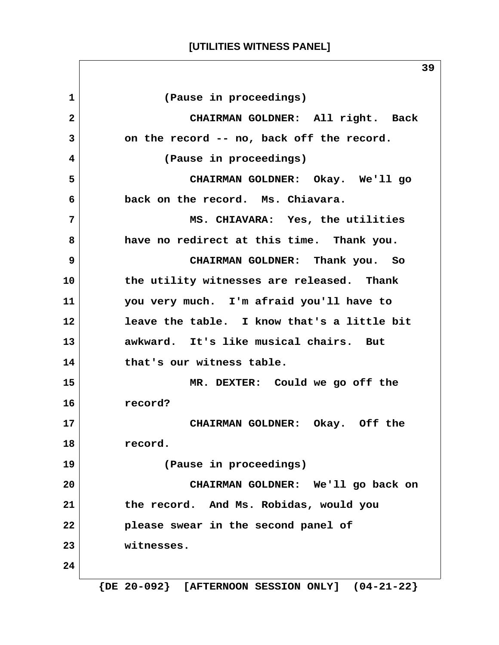#### **[UTILITIES WITNESS PANEL]**

 **1 (Pause in proceedings) 2 CHAIRMAN GOLDNER: All right. Back 3 on the record -- no, back off the record. 4 (Pause in proceedings) 5 CHAIRMAN GOLDNER: Okay. We'll go 6 back on the record. Ms. Chiavara. 7 MS. CHIAVARA: Yes, the utilities 8 have no redirect at this time. Thank you. 9 CHAIRMAN GOLDNER: Thank you. So 10 the utility witnesses are released. Thank 11 you very much. I'm afraid you'll have to 12 leave the table. I know that's a little bit 13 awkward. It's like musical chairs. But 14 that's our witness table. 15 MR. DEXTER: Could we go off the 16 record? 17 CHAIRMAN GOLDNER: Okay. Off the 18 record. 19 (Pause in proceedings) 20 CHAIRMAN GOLDNER: We'll go back on 21 the record. And Ms. Robidas, would you 22 please swear in the second panel of 23 witnesses. 24**

 **{DE 20-092} [AFTERNOON SESSION ONLY] (04-21-22}**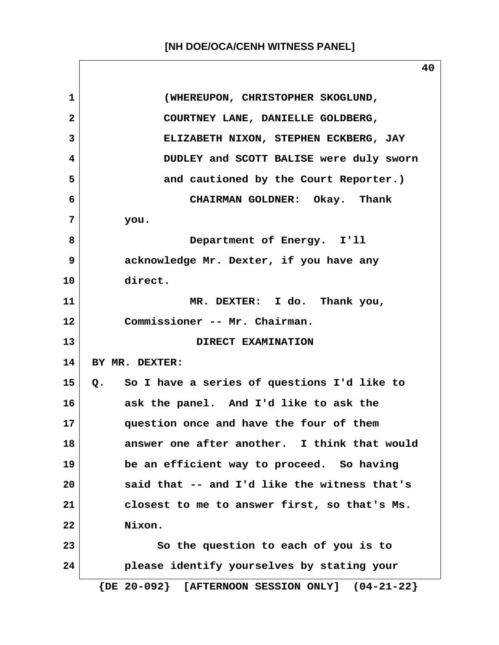|                 | 40                                                    |
|-----------------|-------------------------------------------------------|
| $\mathbf{1}$    | (WHEREUPON, CHRISTOPHER SKOGLUND,                     |
| $\mathbf{2}$    | COURTNEY LANE, DANIELLE GOLDBERG,                     |
| 3               | ELIZABETH NIXON, STEPHEN ECKBERG, JAY                 |
| 4               | DUDLEY and SCOTT BALISE were duly sworn               |
| 5               | and cautioned by the Court Reporter.)                 |
| 6               | CHAIRMAN GOLDNER: Okay. Thank                         |
| 7               | you.                                                  |
| 8               | Department of Energy. I'll                            |
| 9               | acknowledge Mr. Dexter, if you have any               |
| 10              | direct.                                               |
| 11              | MR. DEXTER: I do. Thank you,                          |
| 12              | Commissioner -- Mr. Chairman.                         |
| 13              | DIRECT EXAMINATION                                    |
| 14              | BY MR. DEXTER:                                        |
| 15 <sub>1</sub> | Q. So I have a series of questions I'd like to        |
| 16              | ask the panel. And I'd like to ask the                |
| 17              | question once and have the four of them               |
| 18              | answer one after another. I think that would          |
| 19              | be an efficient way to proceed. So having             |
| 20              | said that -- and I'd like the witness that's          |
| 21              | closest to me to answer first, so that's Ms.          |
| 22              | Nixon.                                                |
| 23              | So the question to each of you is to                  |
| 24              | please identify yourselves by stating your            |
|                 | $\{DE 20-092\}$ [AFTERNOON SESSION ONLY] $(04-21-22)$ |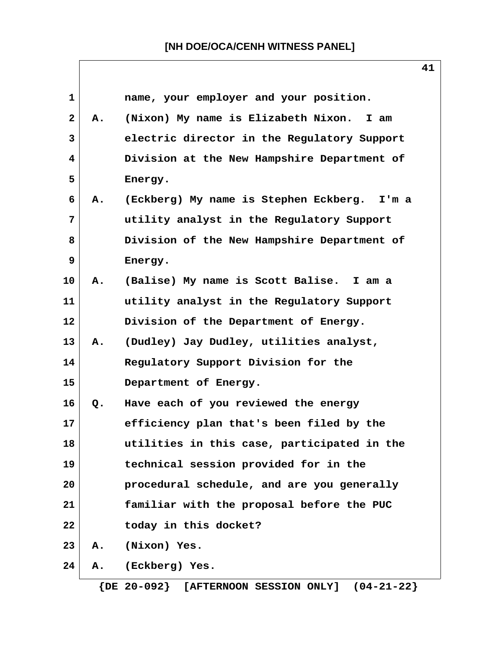$\overline{\phantom{a}}$ 

|              |    |                                             | -- |
|--------------|----|---------------------------------------------|----|
| $\mathbf{1}$ |    | name, your employer and your position.      |    |
| $\mathbf{2}$ | Α. | (Nixon) My name is Elizabeth Nixon.<br>I am |    |
| 3            |    | electric director in the Regulatory Support |    |
| 4            |    | Division at the New Hampshire Department of |    |
| 5            |    | Energy.                                     |    |
| 6            | Α. | (Eckberg) My name is Stephen Eckberg. I'm a |    |
| 7            |    | utility analyst in the Regulatory Support   |    |
| 8            |    | Division of the New Hampshire Department of |    |
| 9            |    | Energy.                                     |    |
| 10           | Α. | (Balise) My name is Scott Balise. I am a    |    |
| 11           |    | utility analyst in the Regulatory Support   |    |
| 12           |    | Division of the Department of Energy.       |    |
| 13           | Α. | (Dudley) Jay Dudley, utilities analyst,     |    |
| 14           |    | Regulatory Support Division for the         |    |
| 15           |    | Department of Energy.                       |    |
| 16           | Q. | Have each of you reviewed the energy        |    |
| 17           |    | efficiency plan that's been filed by the    |    |
| 18           |    | utilities in this case, participated in the |    |
| 19           |    | technical session provided for in the       |    |
| 20           |    | procedural schedule, and are you generally  |    |
| 21           |    | familiar with the proposal before the PUC   |    |
| 22           |    | today in this docket?                       |    |
| 23           | Α. | (Nixon) Yes.                                |    |
| 24           | Α. | (Eckberg) Yes.                              |    |
|              |    |                                             |    |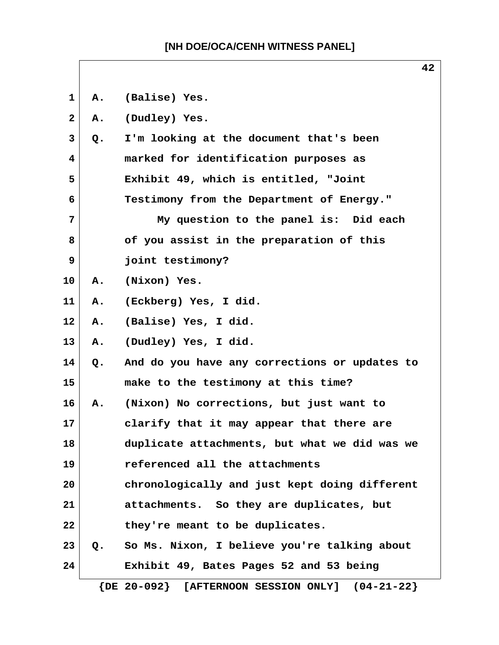**1 A. (Balise) Yes. 2 A. (Dudley) Yes. 3 Q. I'm looking at the document that's been 4 marked for identification purposes as 5 Exhibit 49, which is entitled, "Joint 6 Testimony from the Department of Energy." 7 My question to the panel is: Did each 8 of you assist in the preparation of this 9 joint testimony? 10 A. (Nixon) Yes. 11 A. (Eckberg) Yes, I did. 12 A. (Balise) Yes, I did. 13 A. (Dudley) Yes, I did. 14 Q. And do you have any corrections or updates to 15 make to the testimony at this time? 16 A. (Nixon) No corrections, but just want to 17 clarify that it may appear that there are 18 duplicate attachments, but what we did was we 19 referenced all the attachments 20 chronologically and just kept doing different 21 attachments. So they are duplicates, but 22 they're meant to be duplicates. 23 Q. So Ms. Nixon, I believe you're talking about 24 Exhibit 49, Bates Pages 52 and 53 being {DE 20-092} [AFTERNOON SESSION ONLY] (04-21-22}**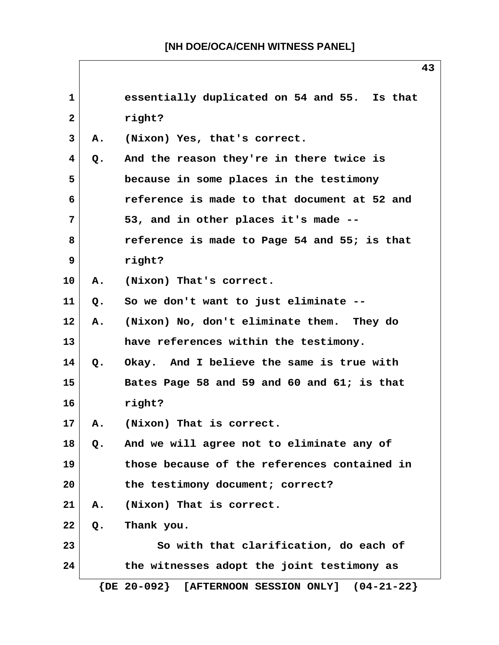| 1            |    | essentially duplicated on 54 and 55. Is that          |
|--------------|----|-------------------------------------------------------|
| $\mathbf{2}$ |    | right?                                                |
| 3            | Α. | (Nixon) Yes, that's correct.                          |
| 4            | Q. | And the reason they're in there twice is              |
| 5            |    | because in some places in the testimony               |
| 6            |    | reference is made to that document at 52 and          |
| 7            |    | 53, and in other places it's made --                  |
| 8            |    | reference is made to Page 54 and 55; is that          |
| 9            |    | right?                                                |
| 10           | Α. | (Nixon) That's correct.                               |
| 11           | Q. | So we don't want to just eliminate --                 |
| $12 \,$      | А. | (Nixon) No, don't eliminate them. They do             |
| 13           |    | have references within the testimony.                 |
| 14           | Q. | Okay. And I believe the same is true with             |
| 15           |    | Bates Page 58 and 59 and 60 and 61; is that           |
| 16           |    | right?                                                |
| 17           | Α. | (Nixon) That is correct.                              |
| 18           | Q. | And we will agree not to eliminate any of             |
| 19           |    | those because of the references contained in          |
| 20           |    | the testimony document; correct?                      |
| 21           | Α. | (Nixon) That is correct.                              |
| 22           | Q. | Thank you.                                            |
| 23           |    | So with that clarification, do each of                |
| 24           |    | the witnesses adopt the joint testimony as            |
|              |    | $\{DE 20-092\}$ [AFTERNOON SESSION ONLY] $(04-21-22)$ |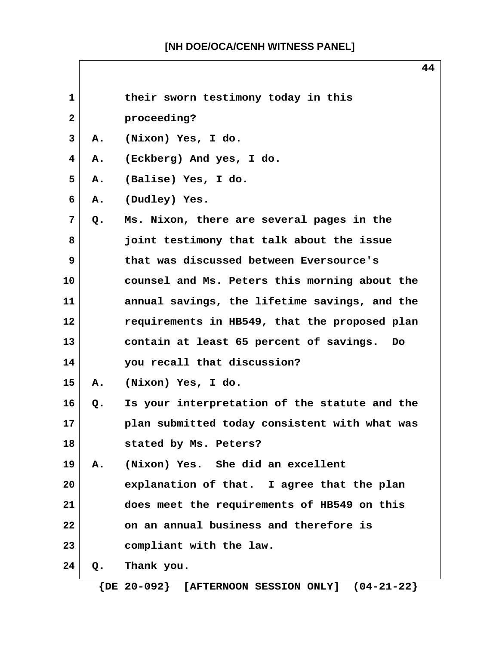**44**

| 1            |       | their sworn testimony today in this           |
|--------------|-------|-----------------------------------------------|
| $\mathbf{2}$ |       | proceeding?                                   |
| 3            | Α.    | (Nixon) Yes, I do.                            |
| 4            | Α.    | (Eckberg) And yes, I do.                      |
| 5            | Α.    | (Balise) Yes, I do.                           |
| 6            | Α.    | (Dudley) Yes.                                 |
| 7            | Q.    | Ms. Nixon, there are several pages in the     |
| 8            |       | joint testimony that talk about the issue     |
| 9            |       | that was discussed between Eversource's       |
| 10           |       | counsel and Ms. Peters this morning about the |
| 11           |       | annual savings, the lifetime savings, and the |
| 12           |       | requirements in HB549, that the proposed plan |
| 13           |       | contain at least 65 percent of savings.<br>Do |
| 14           |       | you recall that discussion?                   |
| 15           | Α.    | (Nixon) Yes, I do.                            |
| 16           | $Q$ . | Is your interpretation of the statute and the |
| 17           |       | plan submitted today consistent with what was |
| 18           |       | stated by Ms. Peters?                         |
| 19           | Α.    | (Nixon) Yes. She did an excellent             |
| 20           |       | explanation of that. I agree that the plan    |
| 21           |       | does meet the requirements of HB549 on this   |
| 22           |       | on an annual business and therefore is        |
| 23           |       | compliant with the law.                       |
| 24           | Q.    | Thank you.                                    |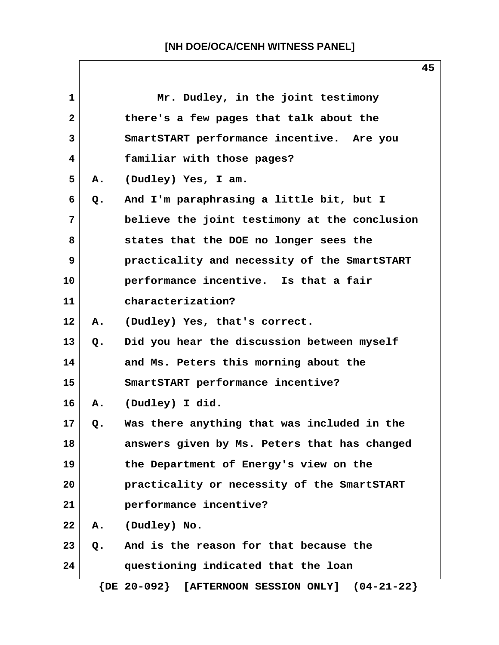| $\mathbf{1}$ |    | Mr. Dudley, in the joint testimony                       |
|--------------|----|----------------------------------------------------------|
| $\mathbf{2}$ |    | there's a few pages that talk about the                  |
| 3            |    | SmartSTART performance incentive. Are you                |
| 4            |    | familiar with those pages?                               |
| 5            | A. | (Dudley) Yes, I am.                                      |
| 6            | Q. | And I'm paraphrasing a little bit, but I                 |
| 7            |    | believe the joint testimony at the conclusion            |
| 8            |    | states that the DOE no longer sees the                   |
| 9            |    | practicality and necessity of the SmartSTART             |
| 10           |    | performance incentive. Is that a fair                    |
| 11           |    | characterization?                                        |
| 12           |    | A. (Dudley) Yes, that's correct.                         |
| 13           | Q. | Did you hear the discussion between myself               |
| 14           |    | and Ms. Peters this morning about the                    |
| 15           |    | SmartSTART performance incentive?                        |
| 16           | A. | (Dudley) I did.                                          |
| 17           | Q. | Was there anything that was included in the              |
| 18           |    | answers given by Ms. Peters that has changed             |
| 19           |    | the Department of Energy's view on the                   |
| 20           |    | practicality or necessity of the SmartSTART              |
| 21           |    | performance incentive?                                   |
| 22           | Α. | (Dudley) No.                                             |
| 23           | Q. | And is the reason for that because the                   |
| 24           |    | questioning indicated that the loan                      |
|              |    | $\{DE 20-092\}$<br>[AFTERNOON SESSION ONLY] $(04-21-22)$ |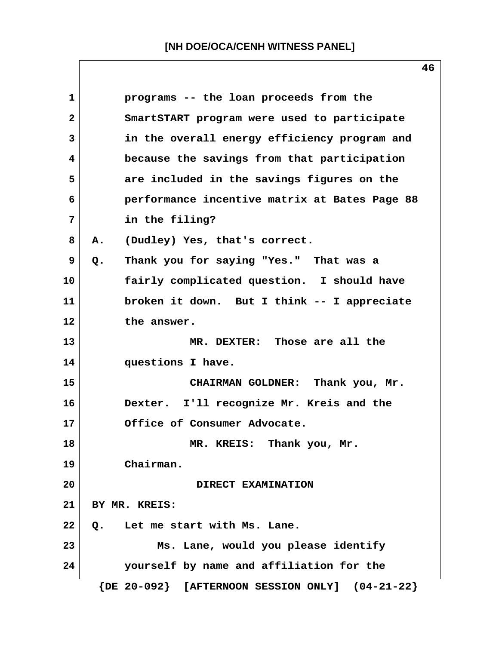| 1            | programs -- the loan proceeds from the                |
|--------------|-------------------------------------------------------|
| $\mathbf{2}$ | SmartSTART program were used to participate           |
| 3            | in the overall energy efficiency program and          |
| 4            | because the savings from that participation           |
| 5            | are included in the savings figures on the            |
| 6            | performance incentive matrix at Bates Page 88         |
| 7            | in the filing?                                        |
| 8            | (Dudley) Yes, that's correct.<br>Α.                   |
| 9            | Thank you for saying "Yes." That was a<br>$Q$ .       |
| 10           | fairly complicated question. I should have            |
| 11           | broken it down. But I think -- I appreciate           |
| 12           | the answer.                                           |
| 13           | MR. DEXTER: Those are all the                         |
| 14           | questions I have.                                     |
| 15           | CHAIRMAN GOLDNER: Thank you, Mr.                      |
| 16           | Dexter. I'll recognize Mr. Kreis and the              |
| 17           | Office of Consumer Advocate.                          |
| 18           | MR. KREIS: Thank you, Mr.                             |
| 19           | Chairman.                                             |
| 20           | DIRECT EXAMINATION                                    |
| 21           | BY MR. KREIS:                                         |
| 22           | Let me start with Ms. Lane.<br>Q.                     |
| 23           | Ms. Lane, would you please identify                   |
| 24           | yourself by name and affiliation for the              |
|              | $\{DE 20-092\}$ [AFTERNOON SESSION ONLY] $(04-21-22)$ |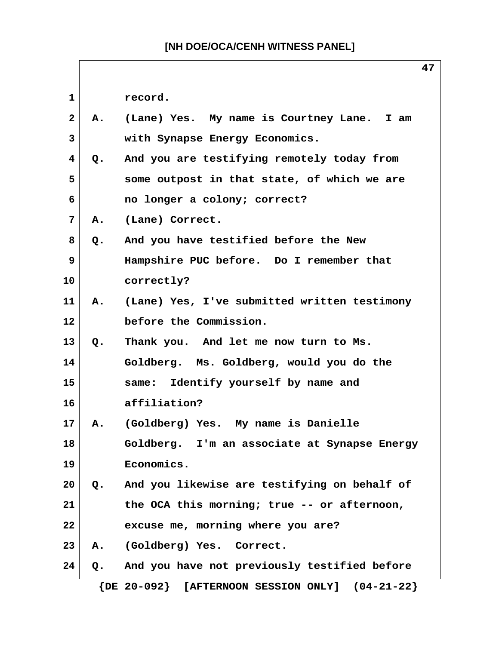|                |    | 47                                                              |
|----------------|----|-----------------------------------------------------------------|
| 1              |    | record.                                                         |
| $\overline{2}$ | Α. | (Lane) Yes. My name is Courtney Lane. I am                      |
| 3              |    | with Synapse Energy Economics.                                  |
| 4              | Q. | And you are testifying remotely today from                      |
| 5              |    | some outpost in that state, of which we are                     |
| 6              |    | no longer a colony; correct?                                    |
| 7              | Α. | (Lane) Correct.                                                 |
| 8              | Q. | And you have testified before the New                           |
| 9              |    | Hampshire PUC before. Do I remember that                        |
| 10             |    | correctly?                                                      |
| 11             | Α. | (Lane) Yes, I've submitted written testimony                    |
| 12             |    | before the Commission.                                          |
| 13             | Q. | Thank you. And let me now turn to Ms.                           |
| 14             |    | Goldberg. Ms. Goldberg, would you do the                        |
| 15             |    | Identify yourself by name and<br>same:                          |
| 16             |    | affiliation?                                                    |
| 17             | Α. | (Goldberg) Yes. My name is Danielle                             |
| 18             |    | Goldberg. I'm an associate at Synapse Energy                    |
| 19             |    | Economics.                                                      |
| 20             |    | Q. And you likewise are testifying on behalf of                 |
| 21             |    | the OCA this morning; true -- or afternoon,                     |
| 22             |    | excuse me, morning where you are?                               |
| 23             | Α. | (Goldberg) Yes. Correct.                                        |
| 24             | Q. | And you have not previously testified before                    |
|                |    | $\{DE 20-092\}$<br>$(04 - 21 - 22)$<br>[AFTERNOON SESSION ONLY] |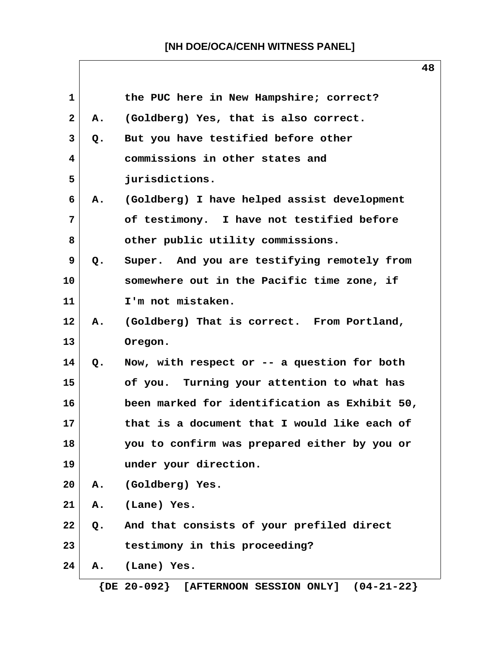|                | 48                                            |
|----------------|-----------------------------------------------|
|                | the PUC here in New Hampshire; correct?       |
| Α.             | (Goldberg) Yes, that is also correct.         |
| Q.             | But you have testified before other           |
|                | commissions in other states and               |
|                | jurisdictions.                                |
| A.             | (Goldberg) I have helped assist development   |
|                | of testimony. I have not testified before     |
|                | other public utility commissions.             |
| Q <sub>o</sub> | Super. And you are testifying remotely from   |
|                | somewhere out in the Pacific time zone, if    |
|                | I'm not mistaken.                             |
| Α.             | (Goldberg) That is correct. From Portland,    |
|                | Oregon.                                       |
| Q.             | Now, with respect or $--$ a question for both |
|                | of you. Turning your attention to what has    |
|                | been marked for identification as Exhibit 50, |
|                | that is a document that I would like each of  |
|                | you to confirm was prepared either by you or  |
|                | under your direction.                         |
|                | A. (Goldberg) Yes.                            |
| Α.             | (Lane) Yes.                                   |
| $Q_{\bullet}$  | And that consists of your prefiled direct     |
|                | testimony in this proceeding?                 |
| А.             | (Lane) Yes.                                   |
|                |                                               |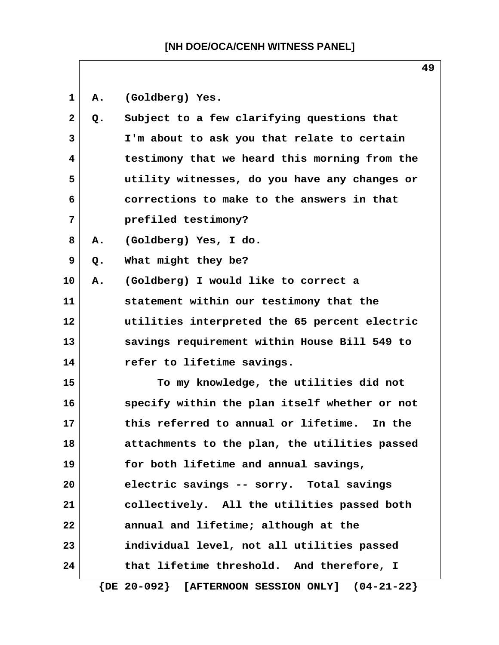1 A. (Goldberg) Yes.

| $\mathbf{2}$ | Q. | Subject to a few clarifying questions that               |
|--------------|----|----------------------------------------------------------|
| 3            |    | I'm about to ask you that relate to certain              |
| 4            |    | testimony that we heard this morning from the            |
| 5            |    | utility witnesses, do you have any changes or            |
| 6            |    | corrections to make to the answers in that               |
| 7            |    | prefiled testimony?                                      |
| 8            | Α. | (Goldberg) Yes, I do.                                    |
| 9            | Q. | What might they be?                                      |
| 10           | Α. | (Goldberg) I would like to correct a                     |
| 11           |    | statement within our testimony that the                  |
| 12           |    | utilities interpreted the 65 percent electric            |
| 13           |    | savings requirement within House Bill 549 to             |
| 14           |    | refer to lifetime savings.                               |
| 15           |    | To my knowledge, the utilities did not                   |
| 16           |    | specify within the plan itself whether or not            |
| 17           |    | this referred to annual or lifetime. In the              |
| 18           |    | attachments to the plan, the utilities passed            |
| 19           |    | for both lifetime and annual savings,                    |
| 20           |    | electric savings -- sorry. Total savings                 |
| 21           |    | collectively. All the utilities passed both              |
| 22           |    | annual and lifetime; although at the                     |
| 23           |    | individual level, not all utilities passed               |
| 24           |    | that lifetime threshold. And therefore, I                |
|              |    | $\{DE 20-092\}$ [AFTERNOON SESSION ONLY]<br>$(04-21-22)$ |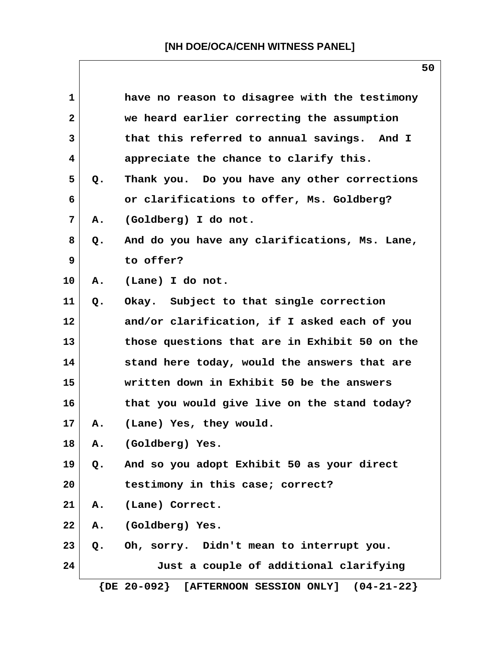| 1            |    | have no reason to disagree with the testimony         |
|--------------|----|-------------------------------------------------------|
| $\mathbf{2}$ |    | we heard earlier correcting the assumption            |
| 3            |    | that this referred to annual savings. And I           |
| 4            |    | appreciate the chance to clarify this.                |
| 5            | Q. | Thank you. Do you have any other corrections          |
| 6            |    | or clarifications to offer, Ms. Goldberg?             |
| 7            | Α. | (Goldberg) I do not.                                  |
| 8            | Q. | And do you have any clarifications, Ms. Lane,         |
| 9            |    | to offer?                                             |
| 10           | Α. | (Lane) I do not.                                      |
| 11           | Q. | Okay. Subject to that single correction               |
| 12           |    | and/or clarification, if I asked each of you          |
| 13           |    | those questions that are in Exhibit 50 on the         |
| 14           |    | stand here today, would the answers that are          |
| 15           |    | written down in Exhibit 50 be the answers             |
| 16           |    | that you would give live on the stand today?          |
| 17           | Α. | (Lane) Yes, they would.                               |
| 18           | Α. | (Goldberg) Yes.                                       |
| 19           | Q. | And so you adopt Exhibit 50 as your direct            |
| 20           |    | testimony in this case; correct?                      |
| 21           | Α. | (Lane) Correct.                                       |
| 22           | Α. | (Goldberg) Yes.                                       |
| 23           | Q. | Oh, sorry. Didn't mean to interrupt you.              |
| 24           |    | Just a couple of additional clarifying                |
|              |    | $\{DE 20-092\}$ [AFTERNOON SESSION ONLY] $(04-21-22)$ |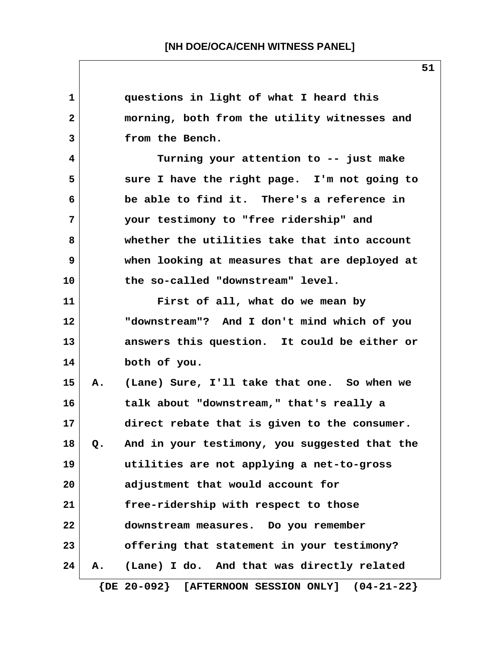| 1            |               | questions in light of what I heard this               |
|--------------|---------------|-------------------------------------------------------|
| $\mathbf{2}$ |               | morning, both from the utility witnesses and          |
| 3            |               | from the Bench.                                       |
| 4            |               | Turning your attention to -- just make                |
| 5            |               | sure I have the right page. I'm not going to          |
| 6            |               | be able to find it. There's a reference in            |
| 7            |               | your testimony to "free ridership" and                |
| 8            |               | whether the utilities take that into account          |
| 9            |               | when looking at measures that are deployed at         |
| 10           |               | the so-called "downstream" level.                     |
| 11           |               | First of all, what do we mean by                      |
| 12           |               | "downstream"? And I don't mind which of you           |
| 13           |               | answers this question. It could be either or          |
| 14           |               | both of you.                                          |
| 15           | Α.            | (Lane) Sure, I'll take that one. So when we           |
| 16           |               | talk about "downstream," that's really a              |
| 17           |               | direct rebate that is given to the consumer.          |
| 18           | $\mathsf{o.}$ | And in your testimony, you suggested that the         |
| 19           |               | utilities are not applying a net-to-gross             |
| 20           |               | adjustment that would account for                     |
| 21           |               | free-ridership with respect to those                  |
| 22           |               | downstream measures. Do you remember                  |
| 23           |               | offering that statement in your testimony?            |
| 24           | Α.            | (Lane) I do. And that was directly related            |
|              |               | $\{DE 20-092\}$ [AFTERNOON SESSION ONLY] $(04-21-22)$ |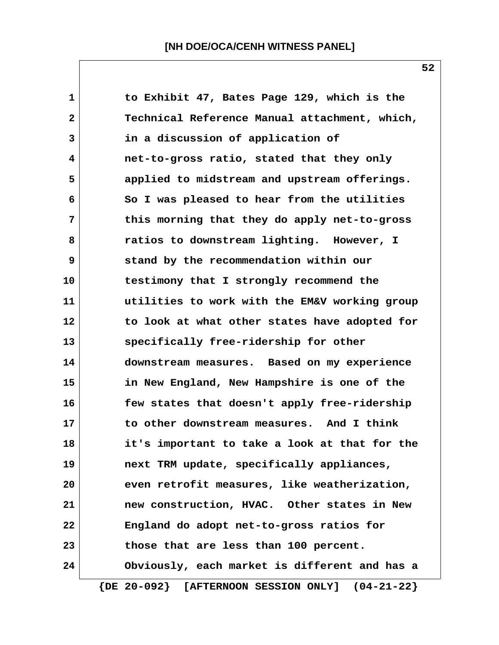| 1            | to Exhibit 47, Bates Page 129, which is the           |
|--------------|-------------------------------------------------------|
| $\mathbf{2}$ | Technical Reference Manual attachment, which,         |
| 3            | in a discussion of application of                     |
| 4            | net-to-gross ratio, stated that they only             |
| 5            | applied to midstream and upstream offerings.          |
| 6            | So I was pleased to hear from the utilities           |
| 7            | this morning that they do apply net-to-gross          |
| 8            | ratios to downstream lighting. However, I             |
| 9            | stand by the recommendation within our                |
| 10           | testimony that I strongly recommend the               |
| 11           | utilities to work with the EM&V working group         |
| 12           | to look at what other states have adopted for         |
| 13           | specifically free-ridership for other                 |
| 14           | downstream measures. Based on my experience           |
| 15           | in New England, New Hampshire is one of the           |
| 16           | few states that doesn't apply free-ridership          |
| 17           | to other downstream measures. And I think             |
| 18           | it's important to take a look at that for the         |
| 19           | next TRM update, specifically appliances,             |
| 20           | even retrofit measures, like weatherization,          |
| 21           | new construction, HVAC. Other states in New           |
| 22           | England do adopt net-to-gross ratios for              |
| 23           | those that are less than 100 percent.                 |
| 24           | Obviously, each market is different and has a         |
|              | $\{DE 20-092\}$ [AFTERNOON SESSION ONLY] $(04-21-22)$ |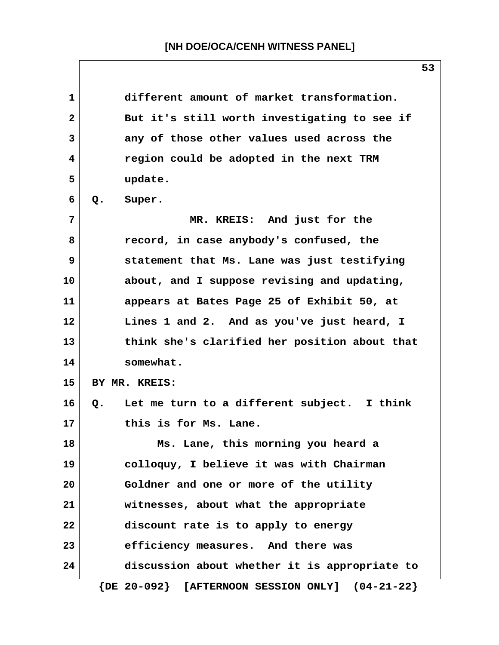**1 different amount of market transformation. 2 But it's still worth investigating to see if 3 any of those other values used across the 4 region could be adopted in the next TRM 5 update. 6 Q. Super. 7 MR. KREIS: And just for the 8 record, in case anybody's confused, the 9 statement that Ms. Lane was just testifying 10 about, and I suppose revising and updating, 11 appears at Bates Page 25 of Exhibit 50, at 12 Lines 1 and 2. And as you've just heard, I 13 think she's clarified her position about that 14 somewhat. 15 BY MR. KREIS: 16 Q. Let me turn to a different subject. I think 17 this is for Ms. Lane. 18 Ms. Lane, this morning you heard a 19 colloquy, I believe it was with Chairman 20 Goldner and one or more of the utility 21 witnesses, about what the appropriate 22 discount rate is to apply to energy 23 efficiency measures. And there was 24 discussion about whether it is appropriate to {DE 20-092} [AFTERNOON SESSION ONLY] (04-21-22}**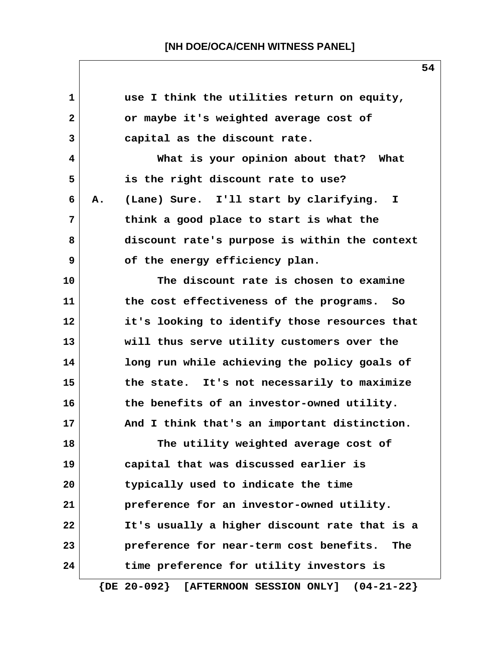| 1            |    | use I think the utilities return on equity,                  |
|--------------|----|--------------------------------------------------------------|
| $\mathbf{2}$ |    | or maybe it's weighted average cost of                       |
| 3            |    | capital as the discount rate.                                |
| 4            |    | What is your opinion about that? What                        |
| 5            |    | is the right discount rate to use?                           |
| 6            | Α. | (Lane) Sure. I'll start by clarifying. I                     |
| 7            |    | think a good place to start is what the                      |
| 8            |    | discount rate's purpose is within the context                |
| 9            |    | of the energy efficiency plan.                               |
| 10           |    | The discount rate is chosen to examine                       |
| 11           |    | the cost effectiveness of the programs. So                   |
| 12           |    | it's looking to identify those resources that                |
| 13           |    | will thus serve utility customers over the                   |
| 14           |    | long run while achieving the policy goals of                 |
| 15           |    | the state. It's not necessarily to maximize                  |
| 16           |    | the benefits of an investor-owned utility.                   |
| 17           |    | And I think that's an important distinction.                 |
| 18           |    | The utility weighted average cost of                         |
| 19           |    | capital that was discussed earlier is                        |
| 20           |    | typically used to indicate the time                          |
| 21           |    | preference for an investor-owned utility.                    |
| 22           |    | It's usually a higher discount rate that is a                |
| 23           |    | preference for near-term cost benefits.<br>The               |
| 24           |    | time preference for utility investors is                     |
|              |    | $\{DE 20-092\}$ [AFTERNOON SESSION ONLY]<br>$(04 - 21 - 22)$ |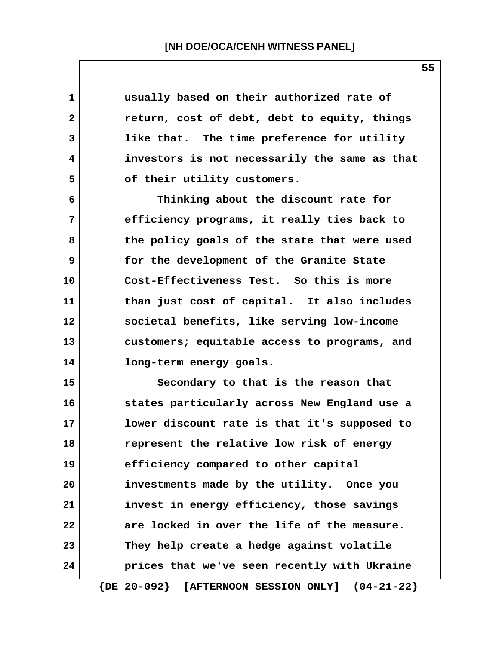| 1              | usually based on their authorized rate of             |
|----------------|-------------------------------------------------------|
| $\mathbf{2}$   | return, cost of debt, debt to equity, things          |
| $\overline{3}$ | like that. The time preference for utility            |
| 4              | investors is not necessarily the same as that         |
| 5              | of their utility customers.                           |
| 6              | Thinking about the discount rate for                  |
| 7              | efficiency programs, it really ties back to           |
| 8              | the policy goals of the state that were used          |
| 9              | for the development of the Granite State              |
| 10             | Cost-Effectiveness Test. So this is more              |
| 11             | than just cost of capital. It also includes           |
| 12             | societal benefits, like serving low-income            |
| 13             | customers; equitable access to programs, and          |
| 14             | long-term energy goals.                               |
| 15             | Secondary to that is the reason that                  |
| 16             | states particularly across New England use a          |
| 17             | lower discount rate is that it's supposed to          |
| 18             | represent the relative low risk of energy             |
| 19             | efficiency compared to other capital                  |
| 20             | investments made by the utility. Once you             |
| 21             | invest in energy efficiency, those savings            |
| 22             | are locked in over the life of the measure.           |
| 23             | They help create a hedge against volatile             |
| 24             | prices that we've seen recently with Ukraine          |
|                | $\{DE 20-092\}$ [AFTERNOON SESSION ONLY] $(04-21-22)$ |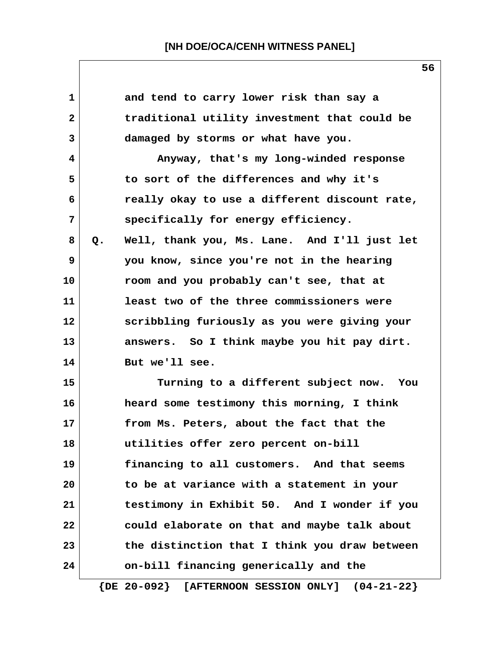| $\mathbf 1$    |    | and tend to carry lower risk than say a       |
|----------------|----|-----------------------------------------------|
| $\mathbf{2}$   |    | traditional utility investment that could be  |
| 3              |    | damaged by storms or what have you.           |
| 4              |    | Anyway, that's my long-winded response        |
| 5              |    | to sort of the differences and why it's       |
| 6              |    | really okay to use a different discount rate, |
| $\overline{7}$ |    | specifically for energy efficiency.           |
| 8              | Q. | Well, thank you, Ms. Lane. And I'll just let  |
| 9              |    | you know, since you're not in the hearing     |
| 10             |    | room and you probably can't see, that at      |
| 11             |    | least two of the three commissioners were     |
| 12             |    | scribbling furiously as you were giving your  |
| 13             |    | answers. So I think maybe you hit pay dirt.   |
| 14             |    | But we'll see.                                |
| 15             |    | Turning to a different subject now. You       |
| 16             |    | heard some testimony this morning, I think    |
| 17             |    | from Ms. Peters, about the fact that the      |
| 18             |    | utilities offer zero percent on-bill          |
| 19             |    | financing to all customers. And that seems    |
| 20             |    | to be at variance with a statement in your    |
| 21             |    | testimony in Exhibit 50. And I wonder if you  |
| 22             |    | could elaborate on that and maybe talk about  |
| 23             |    | the distinction that I think you draw between |
| 24             |    | on-bill financing generically and the         |
|                |    |                                               |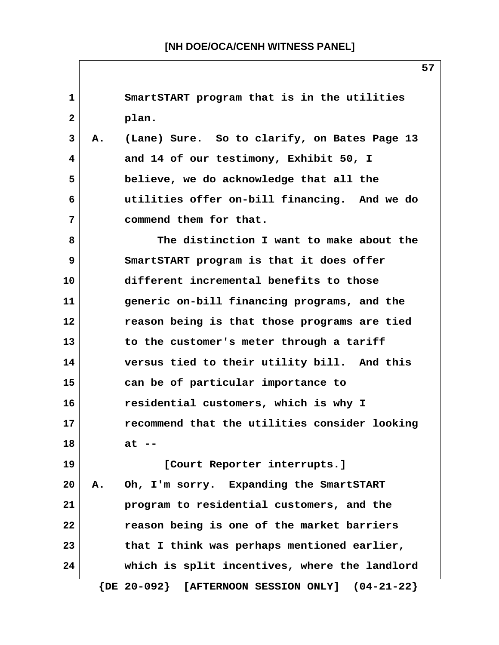**1 SmartSTART program that is in the utilities 2 plan. 3 A. (Lane) Sure. So to clarify, on Bates Page 13 4 and 14 of our testimony, Exhibit 50, I 5 believe, we do acknowledge that all the 6 utilities offer on-bill financing. And we do 7 commend them for that. 8 The distinction I want to make about the 9 SmartSTART program is that it does offer 10 different incremental benefits to those 11 generic on-bill financing programs, and the 12 reason being is that those programs are tied 13 to the customer's meter through a tariff 14 versus tied to their utility bill. And this 15 can be of particular importance to 16 residential customers, which is why I 17 recommend that the utilities consider looking 18 at -- 19 [Court Reporter interrupts.] 20 A. Oh, I'm sorry. Expanding the SmartSTART 21 program to residential customers, and the 22 reason being is one of the market barriers 23 that I think was perhaps mentioned earlier, 24 which is split incentives, where the landlord {DE 20-092} [AFTERNOON SESSION ONLY] (04-21-22}**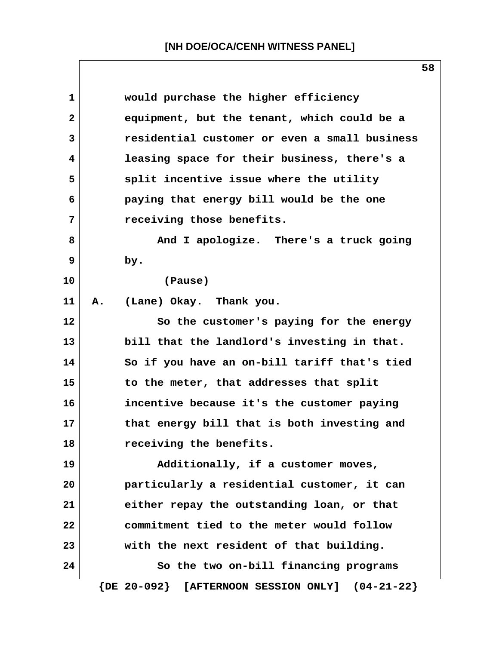| 1              | would purchase the higher efficiency                            |
|----------------|-----------------------------------------------------------------|
| $\overline{2}$ | equipment, but the tenant, which could be a                     |
| $\overline{3}$ | residential customer or even a small business                   |
| 4              | leasing space for their business, there's a                     |
| 5              | split incentive issue where the utility                         |
| 6              | paying that energy bill would be the one                        |
| 7              | receiving those benefits.                                       |
| 8              | And I apologize. There's a truck going                          |
| 9              | by.                                                             |
| 10             | (Pause)                                                         |
| 11             | (Lane) Okay. Thank you.<br>Α.                                   |
| 12             | So the customer's paying for the energy                         |
| 13             | bill that the landlord's investing in that.                     |
| 14             | So if you have an on-bill tariff that's tied                    |
| 15             | to the meter, that addresses that split                         |
| 16             | incentive because it's the customer paying                      |
| 17             | that energy bill that is both investing and                     |
| 18             | receiving the benefits.                                         |
| 19             | Additionally, if a customer moves,                              |
| 20             | particularly a residential customer, it can                     |
| 21             | either repay the outstanding loan, or that                      |
| 22             | commitment tied to the meter would follow                       |
| 23             | with the next resident of that building.                        |
| 24             | So the two on-bill financing programs                           |
|                | $\{DE 20-092\}$<br>[AFTERNOON SESSION ONLY]<br>$(04 - 21 - 22)$ |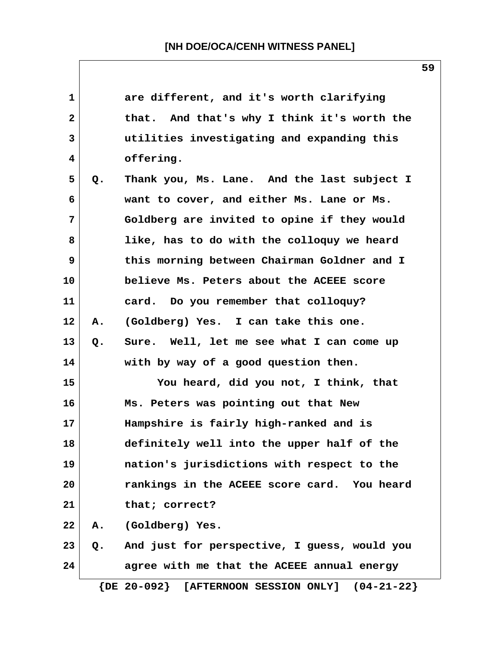| $\mathbf{1}$            |    | are different, and it's worth clarifying              |
|-------------------------|----|-------------------------------------------------------|
| $\overline{\mathbf{2}}$ |    | that. And that's why I think it's worth the           |
| 3                       |    | utilities investigating and expanding this            |
| 4                       |    | offering.                                             |
| 5                       | Q. | Thank you, Ms. Lane. And the last subject I           |
| 6                       |    | want to cover, and either Ms. Lane or Ms.             |
| 7                       |    | Goldberg are invited to opine if they would           |
| 8                       |    | like, has to do with the colloquy we heard            |
| 9                       |    | this morning between Chairman Goldner and I           |
| 10                      |    | believe Ms. Peters about the ACEEE score              |
| 11                      |    | card. Do you remember that colloquy?                  |
| 12                      | Α. | (Goldberg) Yes. I can take this one.                  |
| 13                      | Q. | Sure. Well, let me see what I can come up             |
| 14                      |    | with by way of a good question then.                  |
| 15                      |    | You heard, did you not, I think, that                 |
| 16                      |    | Ms. Peters was pointing out that New                  |
| 17                      |    | Hampshire is fairly high-ranked and is                |
| 18                      |    | definitely well into the upper half of the            |
| 19                      |    | nation's jurisdictions with respect to the            |
| 20                      |    | rankings in the ACEEE score card. You heard           |
| 21                      |    | that; correct?                                        |
| 22                      | Α. | (Goldberg) Yes.                                       |
| 23                      | Q. | And just for perspective, I guess, would you          |
| 24                      |    | agree with me that the ACEEE annual energy            |
|                         |    | $\{DE 20-092\}$ [AFTERNOON SESSION ONLY] $(04-21-22)$ |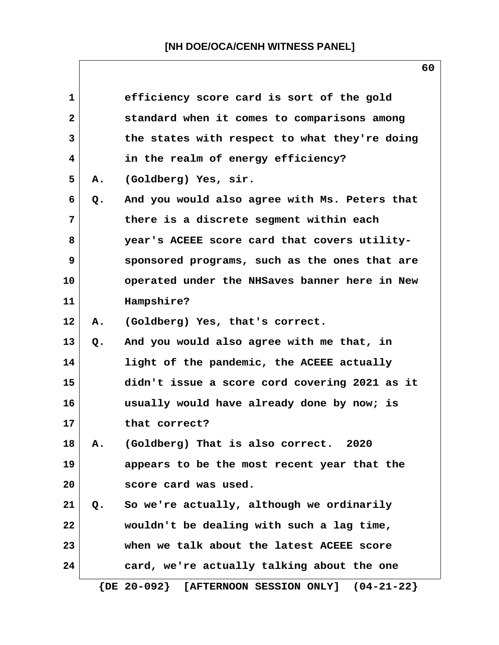| $\mathbf{1}$   |       | efficiency score card is sort of the gold                |
|----------------|-------|----------------------------------------------------------|
| $\overline{2}$ |       | standard when it comes to comparisons among              |
| 3              |       | the states with respect to what they're doing            |
| 4              |       | in the realm of energy efficiency?                       |
| 5              | Α.    | (Goldberg) Yes, sir.                                     |
| 6              | Q.    | And you would also agree with Ms. Peters that            |
| 7              |       | there is a discrete segment within each                  |
| 8              |       | year's ACEEE score card that covers utility-             |
| 9              |       | sponsored programs, such as the ones that are            |
| 10             |       | operated under the NHSaves banner here in New            |
| 11             |       | Hampshire?                                               |
| 12             | Α.    | (Goldberg) Yes, that's correct.                          |
| 13             | $Q$ . | And you would also agree with me that, in                |
| 14             |       | light of the pandemic, the ACEEE actually                |
| 15             |       | didn't issue a score cord covering 2021 as it            |
| 16             |       | usually would have already done by now; is               |
| 17             |       | that correct?                                            |
| 18             | Α.    | (Goldberg) That is also correct.<br>2020                 |
| 19             |       | appears to be the most recent year that the              |
| 20             |       | score card was used.                                     |
| 21             |       | Q. So we're actually, although we ordinarily             |
| 22             |       | wouldn't be dealing with such a lag time,                |
| 23             |       | when we talk about the latest ACEEE score                |
| 24             |       | card, we're actually talking about the one               |
|                |       | $\{DE 20-092\}$<br>[AFTERNOON SESSION ONLY] $(04-21-22)$ |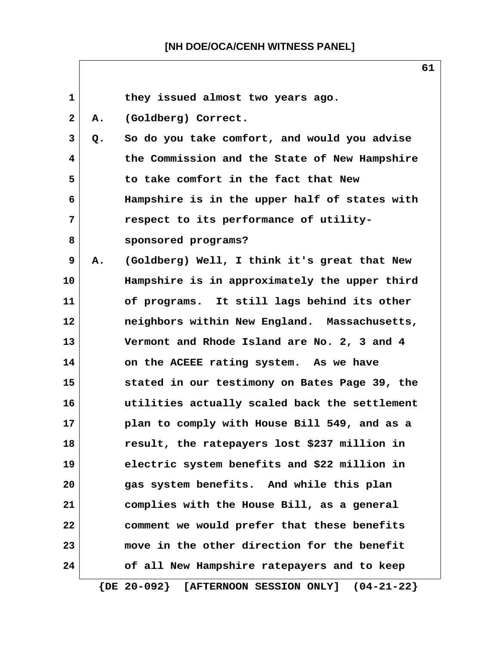| 1                 |    | they issued almost two years ago.             |
|-------------------|----|-----------------------------------------------|
| $\mathbf{2}$      | А. | (Goldberg) Correct.                           |
| 3                 | Q. | So do you take comfort, and would you advise  |
| 4                 |    | the Commission and the State of New Hampshire |
| 5                 |    | to take comfort in the fact that New          |
| 6                 |    | Hampshire is in the upper half of states with |
| 7                 |    | respect to its performance of utility-        |
| 8                 |    | sponsored programs?                           |
| 9                 | Α. | (Goldberg) Well, I think it's great that New  |
| 10                |    | Hampshire is in approximately the upper third |
| 11                |    | of programs. It still lags behind its other   |
| $12 \overline{ }$ |    | neighbors within New England. Massachusetts,  |
| 13                |    | Vermont and Rhode Island are No. 2, 3 and 4   |
| 14                |    | on the ACEEE rating system. As we have        |
| 15                |    | stated in our testimony on Bates Page 39, the |
| 16                |    | utilities actually scaled back the settlement |
| 17                |    | plan to comply with House Bill 549, and as a  |
| 18                |    | result, the ratepayers lost \$237 million in  |
| 19                |    | electric system benefits and \$22 million in  |
| 20                |    | gas system benefits. And while this plan      |
| 21                |    | complies with the House Bill, as a general    |
| 22                |    | comment we would prefer that these benefits   |
| 23                |    | move in the other direction for the benefit   |
| 24                |    | of all New Hampshire ratepayers and to keep   |

 **{DE 20-092} [AFTERNOON SESSION ONLY] (04-21-22}**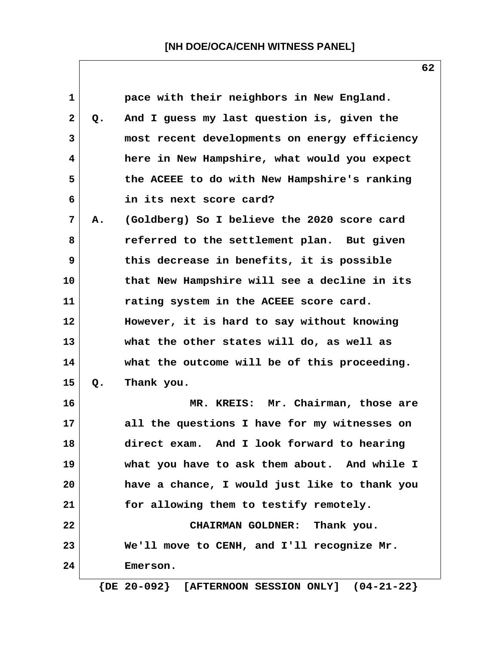**62**

| $\mathbf{1}$ |       | pace with their neighbors in New England.     |
|--------------|-------|-----------------------------------------------|
| $\mathbf{2}$ | $Q$ . | And I guess my last question is, given the    |
| 3            |       | most recent developments on energy efficiency |
| 4            |       | here in New Hampshire, what would you expect  |
| 5            |       | the ACEEE to do with New Hampshire's ranking  |
| 6            |       | in its next score card?                       |
| 7            | Α.    | (Goldberg) So I believe the 2020 score card   |
| 8            |       | referred to the settlement plan. But given    |
| 9            |       | this decrease in benefits, it is possible     |
| 10           |       | that New Hampshire will see a decline in its  |
| 11           |       | rating system in the ACEEE score card.        |
| 12           |       | However, it is hard to say without knowing    |
| 13           |       | what the other states will do, as well as     |
| 14           |       | what the outcome will be of this proceeding.  |
| 15           | Q.    | Thank you.                                    |
| 16           |       | MR. KREIS: Mr. Chairman, those are            |
| 17           |       | all the questions I have for my witnesses on  |
| 18           |       | direct exam.<br>And I look forward to hearing |
| 19           |       | what you have to ask them about. And while I  |
| 20           |       | have a chance, I would just like to thank you |
| 21           |       | for allowing them to testify remotely.        |
| 22           |       | CHAIRMAN GOLDNER:<br>Thank you.               |
| 23           |       | We'll move to CENH, and I'll recognize Mr.    |
| 24           |       | Emerson.                                      |
|              |       |                                               |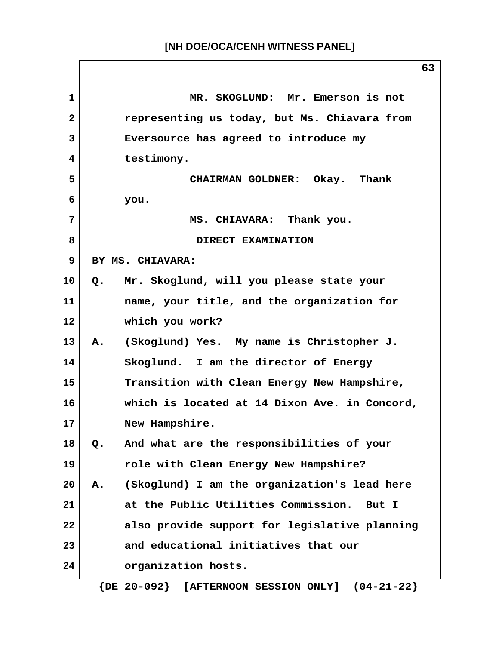**1 MR. SKOGLUND: Mr. Emerson is not 2 representing us today, but Ms. Chiavara from 3 Eversource has agreed to introduce my 4 testimony. 5 CHAIRMAN GOLDNER: Okay. Thank 6 you. 7 MS. CHIAVARA: Thank you.** 8 DIRECT EXAMINATION  **9 BY MS. CHIAVARA: 10 Q. Mr. Skoglund, will you please state your 11 name, your title, and the organization for 12 which you work? 13 A. (Skoglund) Yes. My name is Christopher J. 14 Skoglund. I am the director of Energy 15 Transition with Clean Energy New Hampshire, 16 which is located at 14 Dixon Ave. in Concord, 17 New Hampshire. 18 Q. And what are the responsibilities of your 19 role with Clean Energy New Hampshire? 20 A. (Skoglund) I am the organization's lead here 21 at the Public Utilities Commission. But I 22 also provide support for legislative planning 23 and educational initiatives that our 24 organization hosts.**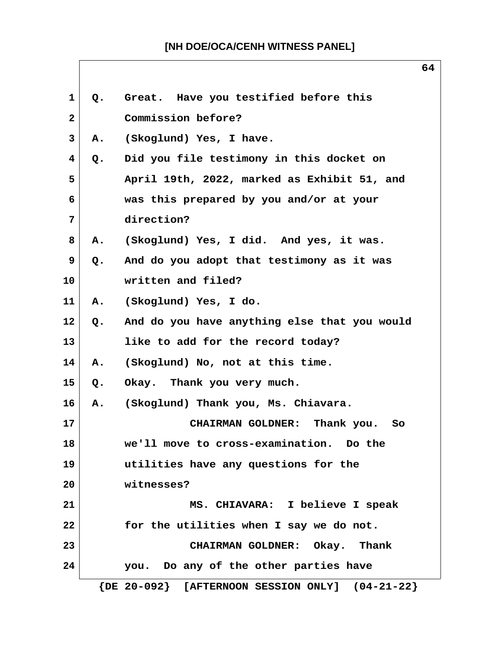| 1              | Q.             | Great. Have you testified before this                 |
|----------------|----------------|-------------------------------------------------------|
| $\overline{2}$ |                | Commission before?                                    |
| 3              | Α.             | (Skoglund) Yes, I have.                               |
| 4              | Q.             | Did you file testimony in this docket on              |
| 5              |                | April 19th, 2022, marked as Exhibit 51, and           |
| 6              |                | was this prepared by you and/or at your               |
| 7              |                | direction?                                            |
| 8              | Α.             | (Skoglund) Yes, I did. And yes, it was.               |
| 9              | Q.             | And do you adopt that testimony as it was             |
| 10             |                | written and filed?                                    |
| 11             | <b>A.</b>      | (Skoglund) Yes, I do.                                 |
| 12             | Q.             | And do you have anything else that you would          |
| 13             |                | like to add for the record today?                     |
| 14             | Α.             | (Skoglund) No, not at this time.                      |
| 15             | Q.             | Okay. Thank you very much.                            |
| 16             | $\mathbf{A}$ . | (Skoglund) Thank you, Ms. Chiavara.                   |
| 17             |                | <b>CHAIRMAN GOLDNER:</b><br>Thank you.<br>So          |
| 18             |                | we'll move to cross-examination. Do the               |
| 19             |                | utilities have any questions for the                  |
| 20             |                | witnesses?                                            |
| 21             |                | MS. CHIAVARA: I believe I speak                       |
| 22             |                | for the utilities when I say we do not.               |
| 23             |                | CHAIRMAN GOLDNER: Okay. Thank                         |
| 24             |                | you. Do any of the other parties have                 |
|                |                | $\{DE 20-092\}$ [AFTERNOON SESSION ONLY] $(04-21-22)$ |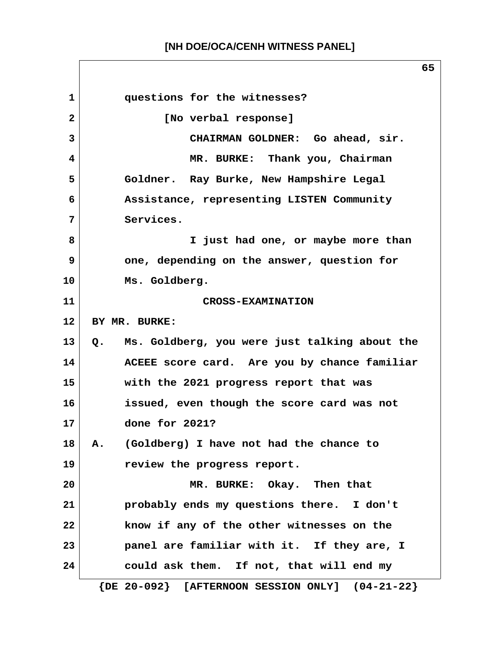**1 questions for the witnesses? 2 [No verbal response] 3 CHAIRMAN GOLDNER: Go ahead, sir. 4 MR. BURKE: Thank you, Chairman 5 Goldner. Ray Burke, New Hampshire Legal 6 Assistance, representing LISTEN Community 7 Services. 8 I just had one, or maybe more than 9 one, depending on the answer, question for 10 Ms. Goldberg. 11 CROSS-EXAMINATION 12 BY MR. BURKE: 13 Q. Ms. Goldberg, you were just talking about the 14 ACEEE score card. Are you by chance familiar 15 with the 2021 progress report that was 16 issued, even though the score card was not 17 done for 2021? 18 A. (Goldberg) I have not had the chance to 19 review the progress report. 20 MR. BURKE: Okay. Then that 21 probably ends my questions there. I don't 22 know if any of the other witnesses on the 23 panel are familiar with it. If they are, I 24 could ask them. If not, that will end my {DE 20-092} [AFTERNOON SESSION ONLY] (04-21-22}**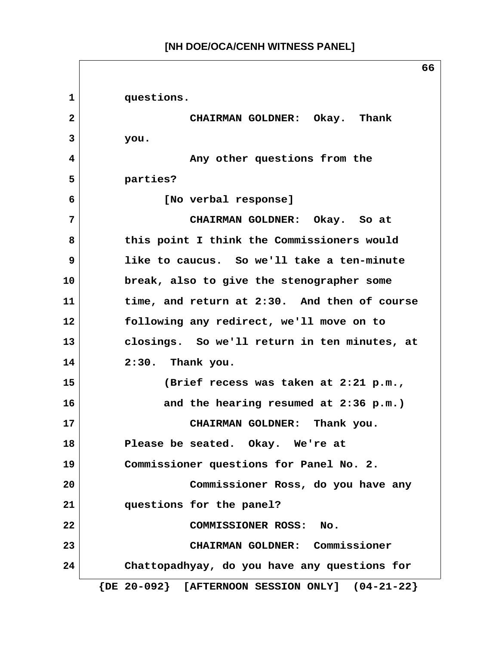$\Box$ 

|              | υu                                                    |
|--------------|-------------------------------------------------------|
| $\mathbf{1}$ | questions.                                            |
| $\mathbf{2}$ | CHAIRMAN GOLDNER: Okay. Thank                         |
| 3            | you.                                                  |
| 4            | Any other questions from the                          |
| 5            | parties?                                              |
| 6            | [No verbal response]                                  |
| 7            | CHAIRMAN GOLDNER: Okay. So at                         |
| 8            | this point I think the Commissioners would            |
| 9            | like to caucus. So we'll take a ten-minute            |
| 10           | break, also to give the stenographer some             |
| 11           | time, and return at 2:30. And then of course          |
| 12           | following any redirect, we'll move on to              |
| 13           | closings. So we'll return in ten minutes, at          |
| 14           | 2:30. Thank you.                                      |
| 15           | (Brief recess was taken at 2:21 p.m.,                 |
| 16           | and the hearing resumed at 2:36 p.m.)                 |
| 17           | CHAIRMAN GOLDNER: Thank you.                          |
| 18           | Please be seated. Okay. We're at                      |
| 19           | Commissioner questions for Panel No. 2.               |
| 20           | Commissioner Ross, do you have any                    |
| 21           | questions for the panel?                              |
| 22           | <b>COMMISSIONER ROSS:</b><br>No.                      |
| 23           | CHAIRMAN GOLDNER: Commissioner                        |
| 24           | Chattopadhyay, do you have any questions for          |
|              | $\{DE 20-092\}$ [AFTERNOON SESSION ONLY] $(04-21-22)$ |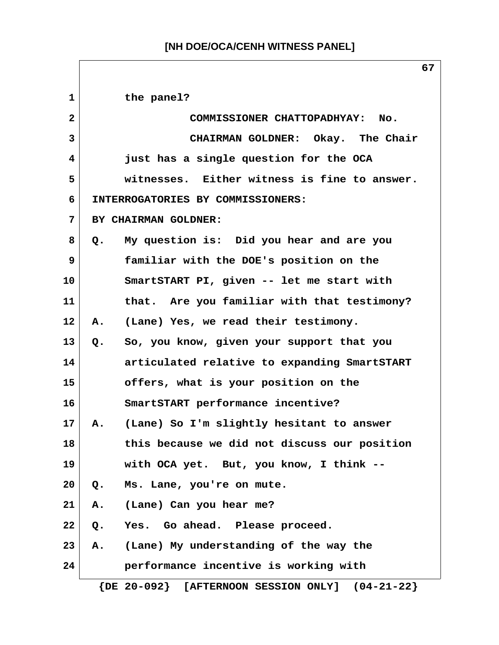| $\mathbf{1}$ |    | the panel?                                            |
|--------------|----|-------------------------------------------------------|
| $\mathbf{2}$ |    | COMMISSIONER CHATTOPADHYAY: No.                       |
| 3            |    | CHAIRMAN GOLDNER: Okay. The Chair                     |
| 4            |    | just has a single question for the OCA                |
| 5            |    | witnesses. Either witness is fine to answer.          |
| 6            |    | INTERROGATORIES BY COMMISSIONERS:                     |
| 7            |    | BY CHAIRMAN GOLDNER:                                  |
| 8            |    | Q. My question is: Did you hear and are you           |
| 9            |    | familiar with the DOE's position on the               |
| 10           |    | SmartSTART PI, given -- let me start with             |
| 11           |    | that. Are you familiar with that testimony?           |
| 12           | Α. | (Lane) Yes, we read their testimony.                  |
| 13           | Q. | So, you know, given your support that you             |
| 14           |    | articulated relative to expanding SmartSTART          |
| 15           |    | offers, what is your position on the                  |
| 16           |    | SmartSTART performance incentive?                     |
| 17           | Α. | (Lane) So I'm slightly hesitant to answer             |
| 18           |    | this because we did not discuss our position          |
| 19           |    | with OCA yet. But, you know, I think --               |
| 20           | Q. | Ms. Lane, you're on mute.                             |
| 21           | Α. | (Lane) Can you hear me?                               |
| 22           | Q. | Yes. Go ahead. Please proceed.                        |
| 23           | Α. | (Lane) My understanding of the way the                |
| 24           |    | performance incentive is working with                 |
|              |    | $\{DE 20-092\}$ [AFTERNOON SESSION ONLY] $(04-21-22)$ |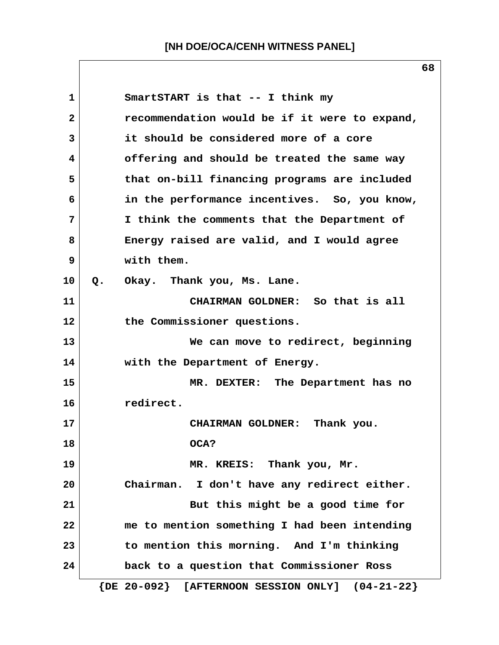**1 SmartSTART is that -- I think my 2 recommendation would be if it were to expand, 3 it should be considered more of a core 4 offering and should be treated the same way 5 that on-bill financing programs are included 6 in the performance incentives. So, you know, 7 I think the comments that the Department of 8 Energy raised are valid, and I would agree 9 with them. 10 Q. Okay. Thank you, Ms. Lane. 11 CHAIRMAN GOLDNER: So that is all 12 the Commissioner questions. 13 We can move to redirect, beginning 14 with the Department of Energy. 15 MR. DEXTER: The Department has no 16 redirect. 17 CHAIRMAN GOLDNER: Thank you. 18 OCA? 19 MR. KREIS: Thank you, Mr. 20 Chairman. I don't have any redirect either. 21** But this might be a good time for **22 me to mention something I had been intending 23 to mention this morning. And I'm thinking 24 back to a question that Commissioner Ross {DE 20-092} [AFTERNOON SESSION ONLY] (04-21-22}**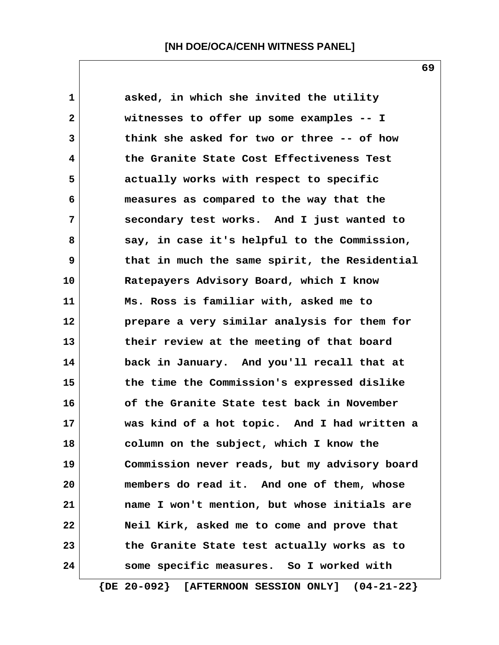**1 asked, in which she invited the utility 2 witnesses to offer up some examples -- I 3 think she asked for two or three -- of how 4 the Granite State Cost Effectiveness Test 5 actually works with respect to specific 6 measures as compared to the way that the 7 secondary test works. And I just wanted to 8 say, in case it's helpful to the Commission, 9 that in much the same spirit, the Residential 10 Ratepayers Advisory Board, which I know 11 Ms. Ross is familiar with, asked me to 12 prepare a very similar analysis for them for 13 their review at the meeting of that board 14 back in January. And you'll recall that at 15 the time the Commission's expressed dislike 16 of the Granite State test back in November 17 was kind of a hot topic. And I had written a 18 column on the subject, which I know the 19 Commission never reads, but my advisory board 20 members do read it. And one of them, whose 21 name I won't mention, but whose initials are 22 Neil Kirk, asked me to come and prove that 23 the Granite State test actually works as to 24 some specific measures. So I worked with**

 **{DE 20-092} [AFTERNOON SESSION ONLY] (04-21-22}**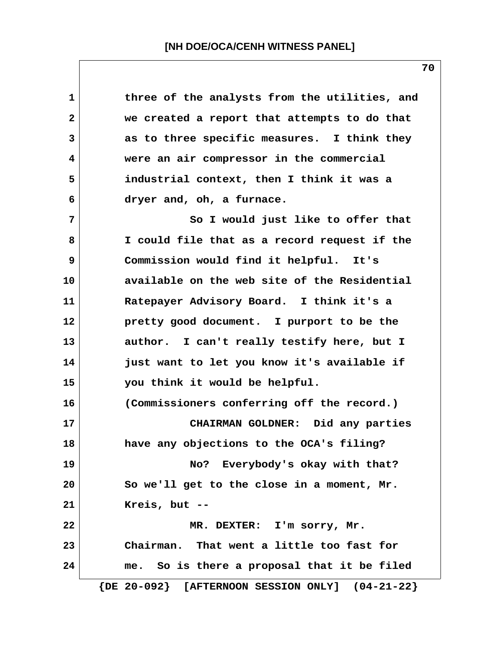| $\mathbf 1$  | three of the analysts from the utilities, and         |
|--------------|-------------------------------------------------------|
| $\mathbf{2}$ | we created a report that attempts to do that          |
| $\mathbf{3}$ | as to three specific measures. I think they           |
| 4            | were an air compressor in the commercial              |
| 5            | industrial context, then I think it was a             |
| 6            | dryer and, oh, a furnace.                             |
| 7            | So I would just like to offer that                    |
| 8            | I could file that as a record request if the          |
| 9            | Commission would find it helpful. It's                |
| 10           | available on the web site of the Residential          |
| 11           | Ratepayer Advisory Board. I think it's a              |
| $12 \,$      | pretty good document. I purport to be the             |
| 13           | author. I can't really testify here, but I            |
| 14           | just want to let you know it's available if           |
| 15           | you think it would be helpful.                        |
| 16           | (Commissioners conferring off the record.)            |
| 17           | CHAIRMAN GOLDNER: Did any parties                     |
| 18           | have any objections to the OCA's filing?              |
| 19           | No? Everybody's okay with that?                       |
| 20           | So we'll get to the close in a moment, Mr.            |
| 21           | Kreis, but $--$                                       |
| 22           | MR. DEXTER: I'm sorry, Mr.                            |
| 23           | Chairman. That went a little too fast for             |
| 24           | me. So is there a proposal that it be filed           |
|              | $\{DE 20-092\}$ [AFTERNOON SESSION ONLY] $(04-21-22)$ |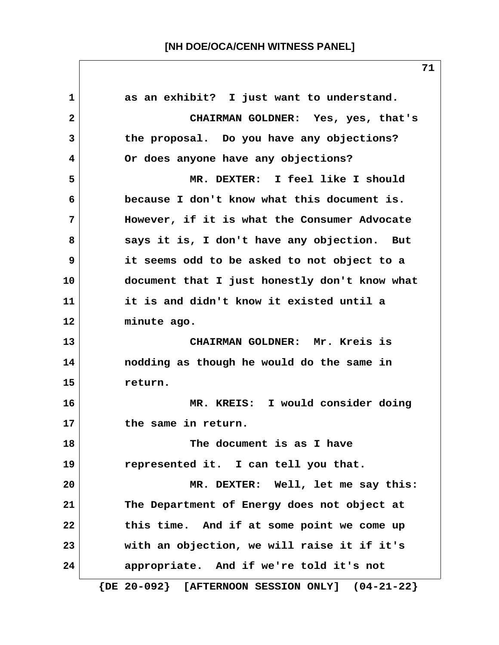1 as an exhibit? I just want to understand.  **2 CHAIRMAN GOLDNER: Yes, yes, that's 3 the proposal. Do you have any objections? 4 Or does anyone have any objections? 5 MR. DEXTER: I feel like I should 6 because I don't know what this document is. 7 However, if it is what the Consumer Advocate 8 says it is, I don't have any objection. But 9 it seems odd to be asked to not object to a 10 document that I just honestly don't know what 11 it is and didn't know it existed until a 12 minute ago. 13 CHAIRMAN GOLDNER: Mr. Kreis is 14 nodding as though he would do the same in 15 return. 16 MR. KREIS: I would consider doing 17 the same in return. 18 The document is as I have 19 represented it. I can tell you that. 20 MR. DEXTER: Well, let me say this: 21 The Department of Energy does not object at 22 this time. And if at some point we come up 23 with an objection, we will raise it if it's 24 appropriate. And if we're told it's not {DE 20-092} [AFTERNOON SESSION ONLY] (04-21-22}**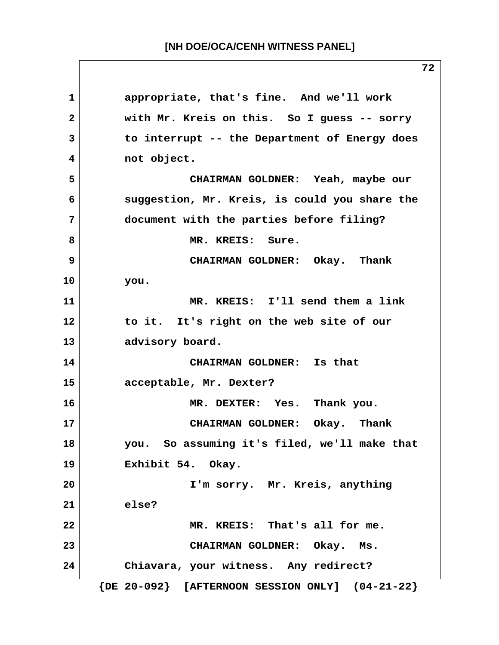**1 appropriate, that's fine. And we'll work 2 with Mr. Kreis on this. So I guess -- sorry 3 to interrupt -- the Department of Energy does 4 not object. 5 CHAIRMAN GOLDNER: Yeah, maybe our 6 suggestion, Mr. Kreis, is could you share the 7 document with the parties before filing?** 8 MR. KREIS: Sure.  **9 CHAIRMAN GOLDNER: Okay. Thank 10 you. 11 MR. KREIS: I'll send them a link 12 to it. It's right on the web site of our 13 advisory board. 14 CHAIRMAN GOLDNER: Is that 15 acceptable, Mr. Dexter? 16 MR. DEXTER: Yes. Thank you. 17 CHAIRMAN GOLDNER: Okay. Thank 18 you. So assuming it's filed, we'll make that 19 Exhibit 54. Okay. 20 I'm sorry. Mr. Kreis, anything 21 else? 22 MR. KREIS: That's all for me. 23 CHAIRMAN GOLDNER: Okay. Ms. 24 Chiavara, your witness. Any redirect? {DE 20-092} [AFTERNOON SESSION ONLY] (04-21-22}**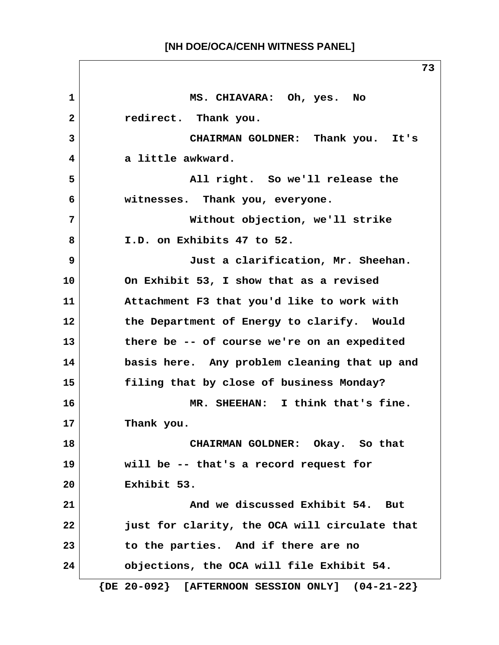**1 MS. CHIAVARA: Oh, yes. No 2 redirect. Thank you. 3 CHAIRMAN GOLDNER: Thank you. It's 4 a little awkward. 5 All right. So we'll release the 6 witnesses. Thank you, everyone. 7 Without objection, we'll strike 8 I.D. on Exhibits 47 to 52. 9 Just a clarification, Mr. Sheehan. 10 On Exhibit 53, I show that as a revised 11 Attachment F3 that you'd like to work with 12 the Department of Energy to clarify. Would 13 there be -- of course we're on an expedited 14 basis here. Any problem cleaning that up and 15 filing that by close of business Monday? 16 MR. SHEEHAN: I think that's fine. 17 Thank you. 18 CHAIRMAN GOLDNER: Okay. So that 19 will be -- that's a record request for 20 Exhibit 53. 21 And we discussed Exhibit 54. But 22 just for clarity, the OCA will circulate that 23 to the parties. And if there are no 24 objections, the OCA will file Exhibit 54. {DE 20-092} [AFTERNOON SESSION ONLY] (04-21-22}**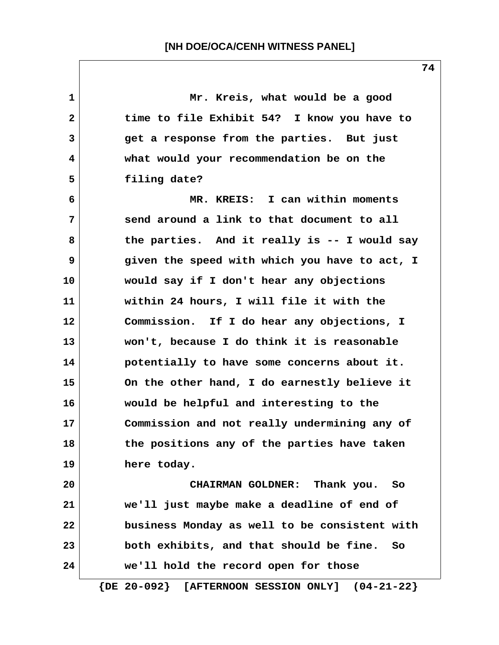**1 Mr. Kreis, what would be a good 2 time to file Exhibit 54? I know you have to 3 get a response from the parties. But just 4 what would your recommendation be on the 5 filing date? 6 MR. KREIS: I can within moments 7 send around a link to that document to all 8 the parties. And it really is -- I would say 9 given the speed with which you have to act, I 10 would say if I don't hear any objections 11 within 24 hours, I will file it with the 12 Commission. If I do hear any objections, I 13 won't, because I do think it is reasonable 14 potentially to have some concerns about it. 15 On the other hand, I do earnestly believe it 16 would be helpful and interesting to the 17 Commission and not really undermining any of 18 the positions any of the parties have taken 19 here today. 20 CHAIRMAN GOLDNER: Thank you. So 21 we'll just maybe make a deadline of end of 22 business Monday as well to be consistent with 23 both exhibits, and that should be fine. So 24 we'll hold the record open for those**

 **{DE 20-092} [AFTERNOON SESSION ONLY] (04-21-22}**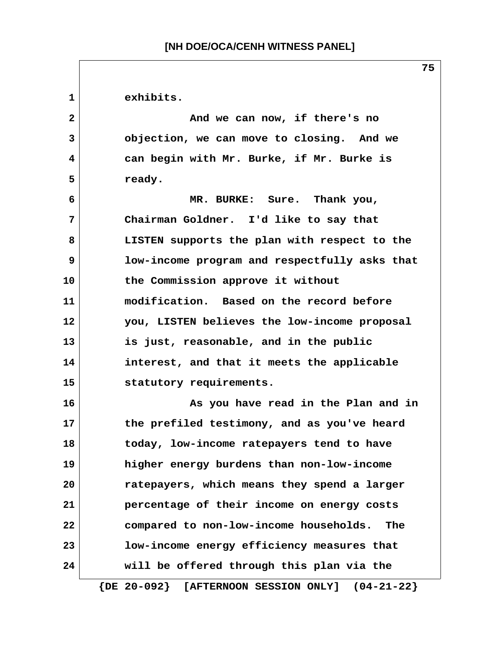**1 exhibits. 2 And we can now, if there's no 3 objection, we can move to closing. And we 4 can begin with Mr. Burke, if Mr. Burke is** 5 ready.  **6 MR. BURKE: Sure. Thank you, 7 Chairman Goldner. I'd like to say that 8 LISTEN supports the plan with respect to the 9 low-income program and respectfully asks that 10 the Commission approve it without 11 modification. Based on the record before 12 you, LISTEN believes the low-income proposal 13 is just, reasonable, and in the public 14 interest, and that it meets the applicable 15 statutory requirements. 16 As you have read in the Plan and in 17 the prefiled testimony, and as you've heard 18 today, low-income ratepayers tend to have 19 higher energy burdens than non-low-income 20 ratepayers, which means they spend a larger 21 percentage of their income on energy costs 22 compared to non-low-income households. The 23 low-income energy efficiency measures that 24 will be offered through this plan via the {DE 20-092} [AFTERNOON SESSION ONLY] (04-21-22}**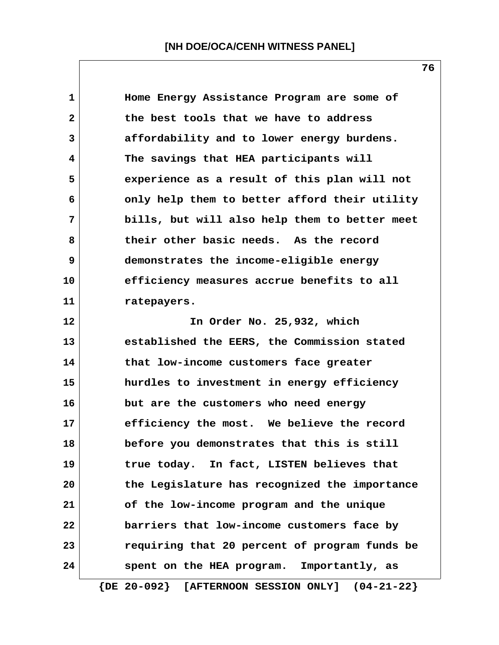**1 Home Energy Assistance Program are some of 2 the best tools that we have to address 3 affordability and to lower energy burdens. 4 The savings that HEA participants will 5 experience as a result of this plan will not 6 only help them to better afford their utility 7 bills, but will also help them to better meet 8 their other basic needs. As the record 9 demonstrates the income-eligible energy 10 efficiency measures accrue benefits to all 11 ratepayers. 12 In Order No. 25,932, which 13 established the EERS, the Commission stated 14 that low-income customers face greater 15 hurdles to investment in energy efficiency 16 but are the customers who need energy 17 efficiency the most. We believe the record 18 before you demonstrates that this is still 19 true today. In fact, LISTEN believes that 20 the Legislature has recognized the importance 21 of the low-income program and the unique 22 barriers that low-income customers face by 23 requiring that 20 percent of program funds be 24 spent on the HEA program. Importantly, as**

 **{DE 20-092} [AFTERNOON SESSION ONLY] (04-21-22}**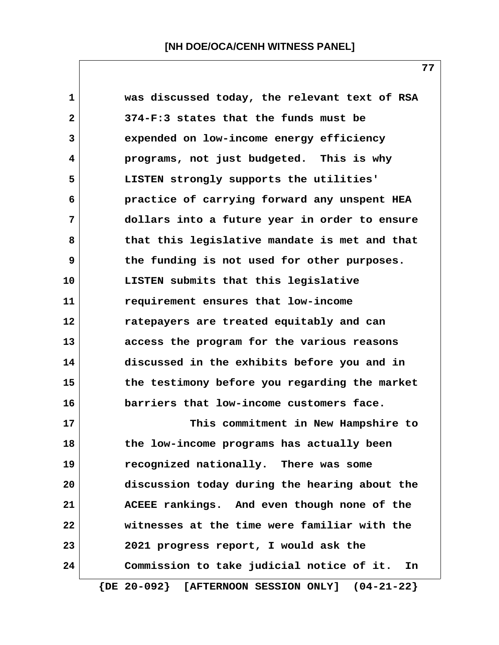| $\mathbf 1$  | was discussed today, the relevant text of RSA         |
|--------------|-------------------------------------------------------|
| $\mathbf{2}$ | 374-F:3 states that the funds must be                 |
| 3            | expended on low-income energy efficiency              |
| 4            | programs, not just budgeted. This is why              |
| 5            | LISTEN strongly supports the utilities'               |
| 6            | practice of carrying forward any unspent HEA          |
| 7            | dollars into a future year in order to ensure         |
| 8            | that this legislative mandate is met and that         |
| 9            | the funding is not used for other purposes.           |
| 10           | LISTEN submits that this legislative                  |
| 11           | requirement ensures that low-income                   |
| 12           | ratepayers are treated equitably and can              |
| 13           | access the program for the various reasons            |
| 14           | discussed in the exhibits before you and in           |
| 15           | the testimony before you regarding the market         |
| 16           | barriers that low-income customers face.              |
| 17           | This commitment in New Hampshire to                   |
| 18           | the low-income programs has actually been             |
| 19           | recognized nationally. There was some                 |
| 20           | discussion today during the hearing about the         |
| 21           | ACEEE rankings. And even though none of the           |
| 22           | witnesses at the time were familiar with the          |
| 23           | 2021 progress report, I would ask the                 |
| 24           | Commission to take judicial notice of it.<br>In       |
|              | $\{DE 20-092\}$ [AFTERNOON SESSION ONLY] $(04-21-22)$ |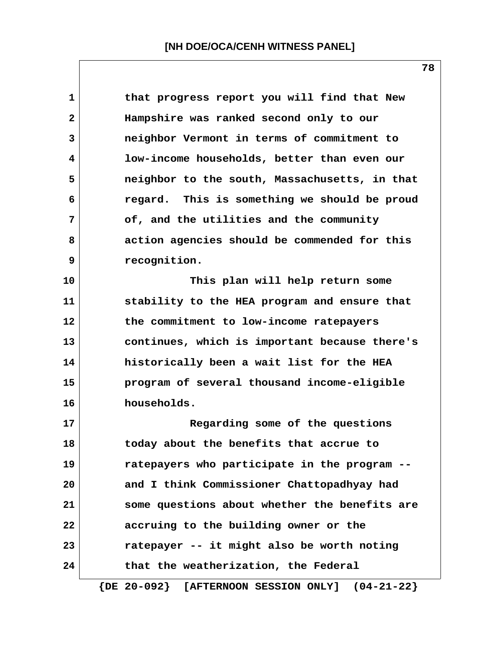**1 that progress report you will find that New 2 Hampshire was ranked second only to our 3 neighbor Vermont in terms of commitment to 4 low-income households, better than even our 5 neighbor to the south, Massachusetts, in that 6 regard. This is something we should be proud 7 of, and the utilities and the community 8 action agencies should be commended for this 9 recognition. 10 This plan will help return some 11 stability to the HEA program and ensure that 12 the commitment to low-income ratepayers 13 continues, which is important because there's 14 historically been a wait list for the HEA 15 program of several thousand income-eligible 16 households.**

**17 Regarding some of the questions 18 today about the benefits that accrue to 19 ratepayers who participate in the program -- 20 and I think Commissioner Chattopadhyay had 21 some questions about whether the benefits are 22 accruing to the building owner or the 23 ratepayer -- it might also be worth noting 24 that the weatherization, the Federal**

 **{DE 20-092} [AFTERNOON SESSION ONLY] (04-21-22}**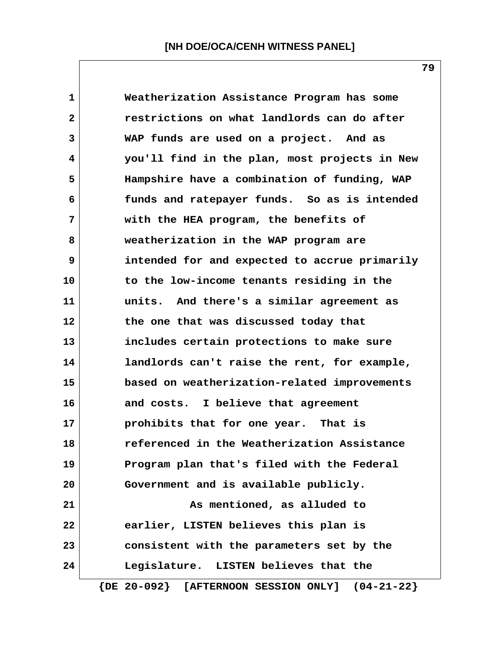**1 Weatherization Assistance Program has some 2 restrictions on what landlords can do after 3 WAP funds are used on a project. And as 4 you'll find in the plan, most projects in New 5 Hampshire have a combination of funding, WAP 6 funds and ratepayer funds. So as is intended 7 with the HEA program, the benefits of 8 weatherization in the WAP program are 9 intended for and expected to accrue primarily 10 to the low-income tenants residing in the 11 units. And there's a similar agreement as 12 the one that was discussed today that 13 includes certain protections to make sure 14 landlords can't raise the rent, for example, 15 based on weatherization-related improvements 16 and costs. I believe that agreement 17 prohibits that for one year. That is 18 referenced in the Weatherization Assistance 19 Program plan that's filed with the Federal 20 Government and is available publicly. 21 As mentioned, as alluded to 22 earlier, LISTEN believes this plan is 23 consistent with the parameters set by the 24 Legislature. LISTEN believes that the {DE 20-092} [AFTERNOON SESSION ONLY] (04-21-22}**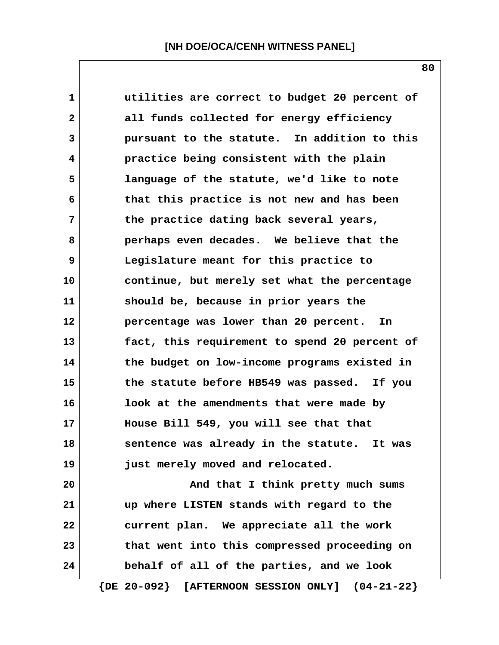| $\mathbf 1$  | utilities are correct to budget 20 percent of         |
|--------------|-------------------------------------------------------|
| $\mathbf{2}$ | all funds collected for energy efficiency             |
| 3            | pursuant to the statute. In addition to this          |
| 4            | practice being consistent with the plain              |
| 5            | language of the statute, we'd like to note            |
| 6            | that this practice is not new and has been            |
| 7            | the practice dating back several years,               |
| 8            | perhaps even decades. We believe that the             |
| 9            | Legislature meant for this practice to                |
| 10           | continue, but merely set what the percentage          |
| 11           | should be, because in prior years the                 |
| 12           | percentage was lower than 20 percent.<br>In           |
| 13           | fact, this requirement to spend 20 percent of         |
| 14           | the budget on low-income programs existed in          |
| 15           | the statute before HB549 was passed. If you           |
| 16           | look at the amendments that were made by              |
| 17           | House Bill 549, you will see that that                |
| 18           | sentence was already in the statute. It was           |
| 19           | just merely moved and relocated.                      |
| 20           | And that I think pretty much sums                     |
| 21           | up where LISTEN stands with regard to the             |
| 22           | current plan. We appreciate all the work              |
| 23           | that went into this compressed proceeding on          |
| 24           | behalf of all of the parties, and we look             |
|              | $\{DE 20-092\}$ [AFTERNOON SESSION ONLY] $(04-21-22)$ |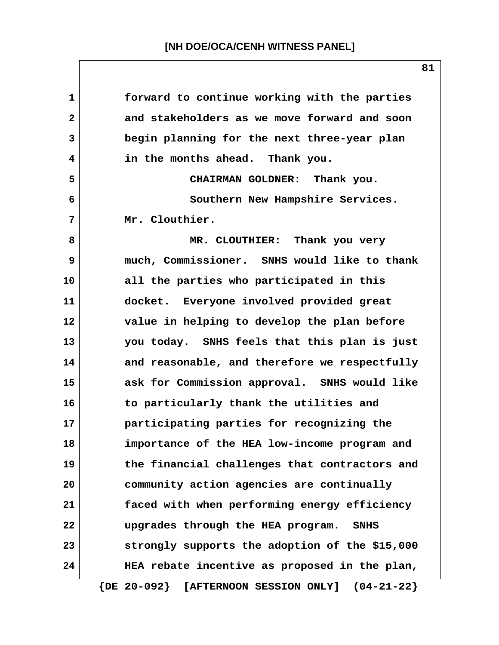| 1            | forward to continue working with the parties          |
|--------------|-------------------------------------------------------|
| $\mathbf{2}$ | and stakeholders as we move forward and soon          |
| 3            | begin planning for the next three-year plan           |
| 4            | in the months ahead. Thank you.                       |
| 5            | CHAIRMAN GOLDNER: Thank you.                          |
| 6            | Southern New Hampshire Services.                      |
| 7            | Mr. Clouthier.                                        |
| 8            | MR. CLOUTHIER: Thank you very                         |
| 9            | much, Commissioner. SNHS would like to thank          |
| 10           | all the parties who participated in this              |
| 11           | docket. Everyone involved provided great              |
| 12           | value in helping to develop the plan before           |
| 13           | you today. SNHS feels that this plan is just          |
| 14           | and reasonable, and therefore we respectfully         |
| 15           | ask for Commission approval. SNHS would like          |
| 16           | to particularly thank the utilities and               |
| 17           | participating parties for recognizing the             |
| 18           | importance of the HEA low-income program and          |
| 19           | the financial challenges that contractors and         |
| 20           | community action agencies are continually             |
| 21           | faced with when performing energy efficiency          |
| 22           | upgrades through the HEA program.<br><b>SNHS</b>      |
| 23           | strongly supports the adoption of the \$15,000        |
| 24           | HEA rebate incentive as proposed in the plan,         |
|              | $\{DE 20-092\}$ [AFTERNOON SESSION ONLY] $(04-21-22)$ |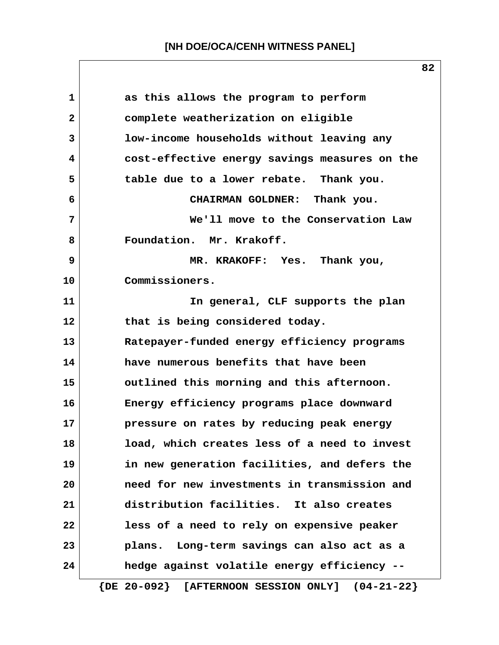| $\mathbf{1}$ | as this allows the program to perform                           |
|--------------|-----------------------------------------------------------------|
| $\mathbf{2}$ | complete weatherization on eligible                             |
| 3            | low-income households without leaving any                       |
| 4            | cost-effective energy savings measures on the                   |
| 5            | table due to a lower rebate. Thank you.                         |
| 6            | CHAIRMAN GOLDNER: Thank you.                                    |
| 7            | We'll move to the Conservation Law                              |
| 8            | Foundation. Mr. Krakoff.                                        |
| 9            | MR. KRAKOFF: Yes. Thank you,                                    |
| 10           | Commissioners.                                                  |
| 11           | In general, CLF supports the plan                               |
| 12           | that is being considered today.                                 |
| 13           | Ratepayer-funded energy efficiency programs                     |
| 14           | have numerous benefits that have been                           |
| 15           | outlined this morning and this afternoon.                       |
| 16           | Energy efficiency programs place downward                       |
| 17           | pressure on rates by reducing peak energy                       |
| 18           | load, which creates less of a need to invest                    |
| 19           | in new generation facilities, and defers the                    |
| 20           | need for new investments in transmission and                    |
| 21           | distribution facilities. It also creates                        |
| 22           | less of a need to rely on expensive peaker                      |
| 23           | plans. Long-term savings can also act as a                      |
| 24           | hedge against volatile energy efficiency --                     |
|              | $\{DE 20-092\}$<br>[AFTERNOON SESSION ONLY]<br>$(04 - 21 - 22)$ |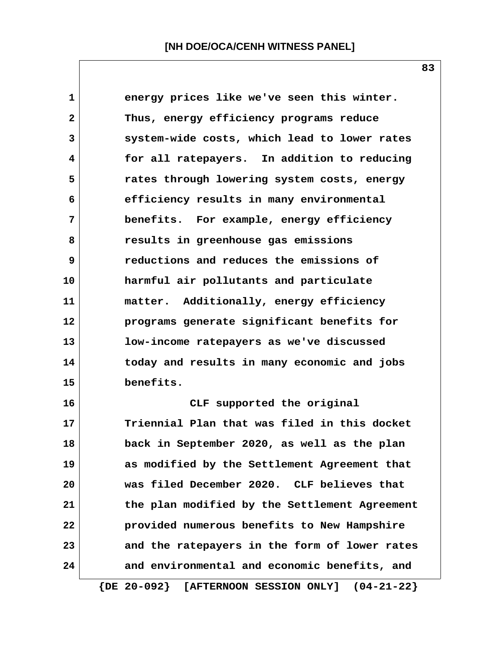**1 energy prices like we've seen this winter. 2 Thus, energy efficiency programs reduce 3 system-wide costs, which lead to lower rates 4 for all ratepayers. In addition to reducing 5 rates through lowering system costs, energy 6 efficiency results in many environmental 7 benefits. For example, energy efficiency 8 results in greenhouse gas emissions 9 reductions and reduces the emissions of 10 harmful air pollutants and particulate 11 matter. Additionally, energy efficiency 12 programs generate significant benefits for 13 low-income ratepayers as we've discussed 14 today and results in many economic and jobs 15 benefits. 16 CLF supported the original 17 Triennial Plan that was filed in this docket 18 back in September 2020, as well as the plan 19 as modified by the Settlement Agreement that 20 was filed December 2020. CLF believes that 21 the plan modified by the Settlement Agreement 22 provided numerous benefits to New Hampshire 23 and the ratepayers in the form of lower rates 24 and environmental and economic benefits, and**

 **{DE 20-092} [AFTERNOON SESSION ONLY] (04-21-22}**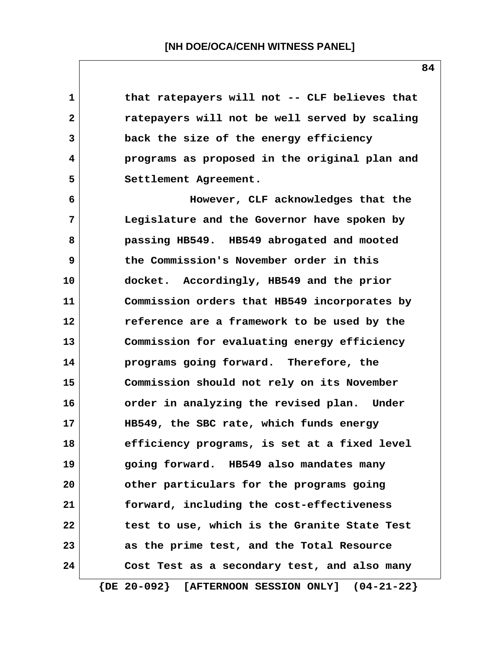**1 that ratepayers will not -- CLF believes that 2 ratepayers will not be well served by scaling 3 back the size of the energy efficiency 4 programs as proposed in the original plan and 5 Settlement Agreement. 6 However, CLF acknowledges that the 7 Legislature and the Governor have spoken by 8 passing HB549. HB549 abrogated and mooted 9 the Commission's November order in this 10 docket. Accordingly, HB549 and the prior 11 Commission orders that HB549 incorporates by 12 reference are a framework to be used by the 13 Commission for evaluating energy efficiency 14 programs going forward. Therefore, the 15 Commission should not rely on its November 16 order in analyzing the revised plan. Under 17 HB549, the SBC rate, which funds energy 18 efficiency programs, is set at a fixed level 19 going forward. HB549 also mandates many 20 other particulars for the programs going 21 forward, including the cost-effectiveness 22 test to use, which is the Granite State Test 23 as the prime test, and the Total Resource 24 Cost Test as a secondary test, and also many**

 **{DE 20-092} [AFTERNOON SESSION ONLY] (04-21-22}**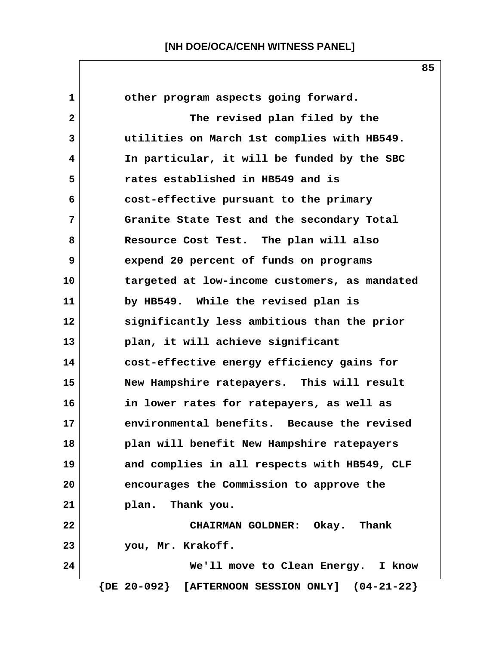1 **1 other program aspects going forward. 2 The revised plan filed by the 3 utilities on March 1st complies with HB549. 4 In particular, it will be funded by the SBC 5 rates established in HB549 and is 6 cost-effective pursuant to the primary 7 Granite State Test and the secondary Total 8 Resource Cost Test. The plan will also 9 expend 20 percent of funds on programs 10 targeted at low-income customers, as mandated 11 by HB549. While the revised plan is 12 significantly less ambitious than the prior 13 plan, it will achieve significant 14 cost-effective energy efficiency gains for 15 New Hampshire ratepayers. This will result 16 in lower rates for ratepayers, as well as 17 environmental benefits. Because the revised 18 plan will benefit New Hampshire ratepayers 19 and complies in all respects with HB549, CLF 20 encourages the Commission to approve the 21 plan. Thank you. 22 CHAIRMAN GOLDNER: Okay. Thank 23 you, Mr. Krakoff. 24 We'll move to Clean Energy. I know {DE 20-092} [AFTERNOON SESSION ONLY] (04-21-22}**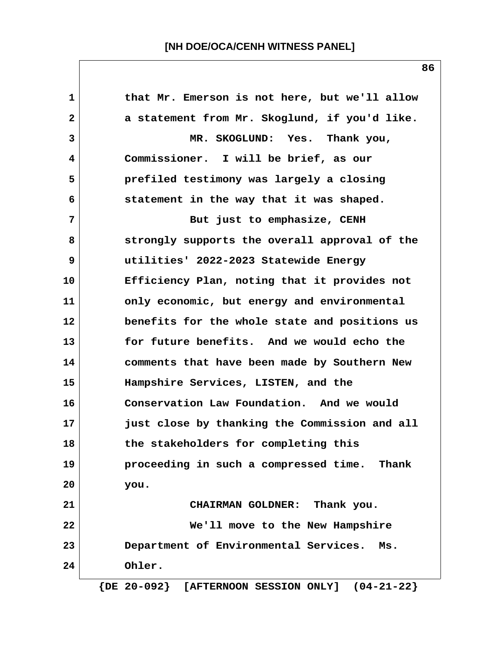| 1  | that Mr. Emerson is not here, but we'll allow         |
|----|-------------------------------------------------------|
| 2  | a statement from Mr. Skoglund, if you'd like.         |
| 3  | MR. SKOGLUND: Yes. Thank you,                         |
| 4  | Commissioner. I will be brief, as our                 |
| 5  | prefiled testimony was largely a closing              |
| 6  | statement in the way that it was shaped.              |
| 7  | But just to emphasize, CENH                           |
| 8  | strongly supports the overall approval of the         |
| 9  | utilities' 2022-2023 Statewide Energy                 |
| 10 | Efficiency Plan, noting that it provides not          |
| 11 | only economic, but energy and environmental           |
| 12 | benefits for the whole state and positions us         |
| 13 | for future benefits. And we would echo the            |
| 14 | comments that have been made by Southern New          |
| 15 | Hampshire Services, LISTEN, and the                   |
| 16 | Conservation Law Foundation. And we would             |
| 17 | just close by thanking the Commission and all         |
| 18 | the stakeholders for completing this                  |
| 19 | proceeding in such a compressed time. Thank           |
| 20 | you.                                                  |
| 21 | CHAIRMAN GOLDNER: Thank you.                          |
| 22 | We'll move to the New Hampshire                       |
| 23 | Department of Environmental Services.<br>Ms.          |
| 24 | Ohler.                                                |
|    | $\{DE 20-092\}$ [AFTERNOON SESSION ONLY] $(04-21-22)$ |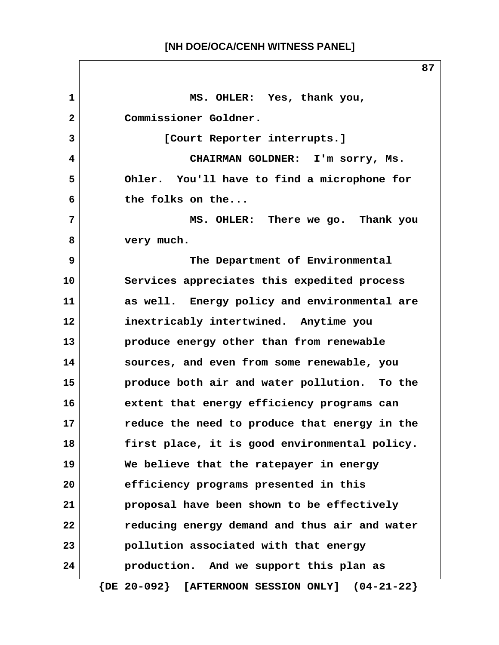**1 MS. OHLER: Yes, thank you, 2 Commissioner Goldner. 3 [Court Reporter interrupts.] 4 CHAIRMAN GOLDNER: I'm sorry, Ms. 5 Ohler. You'll have to find a microphone for 6 the folks on the... 7 MS. OHLER: There we go. Thank you 8 very much. 9 The Department of Environmental 10 Services appreciates this expedited process 11 as well. Energy policy and environmental are 12 inextricably intertwined. Anytime you 13 produce energy other than from renewable 14 sources, and even from some renewable, you 15 produce both air and water pollution. To the 16 extent that energy efficiency programs can 17 reduce the need to produce that energy in the 18 first place, it is good environmental policy. 19 We believe that the ratepayer in energy 20 efficiency programs presented in this 21 proposal have been shown to be effectively 22 reducing energy demand and thus air and water 23 pollution associated with that energy 24 production. And we support this plan as {DE 20-092} [AFTERNOON SESSION ONLY] (04-21-22}**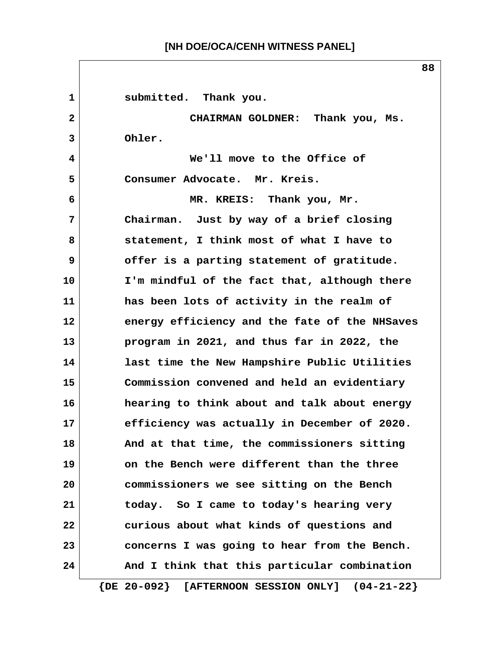1 submitted. Thank you.  **2 CHAIRMAN GOLDNER: Thank you, Ms. 3 Ohler. 4 We'll move to the Office of 5 Consumer Advocate. Mr. Kreis. 6 MR. KREIS: Thank you, Mr. 7 Chairman. Just by way of a brief closing 8 statement, I think most of what I have to 9 offer is a parting statement of gratitude. 10 I'm mindful of the fact that, although there 11 has been lots of activity in the realm of 12 energy efficiency and the fate of the NHSaves 13 program in 2021, and thus far in 2022, the 14 last time the New Hampshire Public Utilities 15 Commission convened and held an evidentiary 16 hearing to think about and talk about energy 17 efficiency was actually in December of 2020. 18 And at that time, the commissioners sitting 19 on the Bench were different than the three 20 commissioners we see sitting on the Bench 21 today. So I came to today's hearing very 22 curious about what kinds of questions and 23 concerns I was going to hear from the Bench.** 24 And I think that this particular combination  **{DE 20-092} [AFTERNOON SESSION ONLY] (04-21-22}**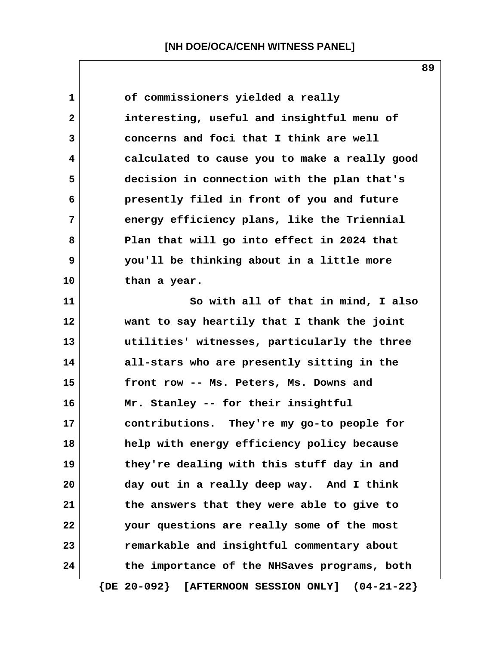1 of commissioners yielded a really  **2 interesting, useful and insightful menu of 3 concerns and foci that I think are well 4 calculated to cause you to make a really good 5 decision in connection with the plan that's 6 presently filed in front of you and future 7 energy efficiency plans, like the Triennial 8 Plan that will go into effect in 2024 that 9 you'll be thinking about in a little more 10 than a year. 11 So with all of that in mind, I also 12 want to say heartily that I thank the joint 13 utilities' witnesses, particularly the three 14 all-stars who are presently sitting in the 15 front row -- Ms. Peters, Ms. Downs and 16 Mr. Stanley -- for their insightful 17 contributions. They're my go-to people for 18 help with energy efficiency policy because 19 they're dealing with this stuff day in and 20 day out in a really deep way. And I think 21 the answers that they were able to give to 22 your questions are really some of the most 23 remarkable and insightful commentary about 24 the importance of the NHSaves programs, both**

 **{DE 20-092} [AFTERNOON SESSION ONLY] (04-21-22}**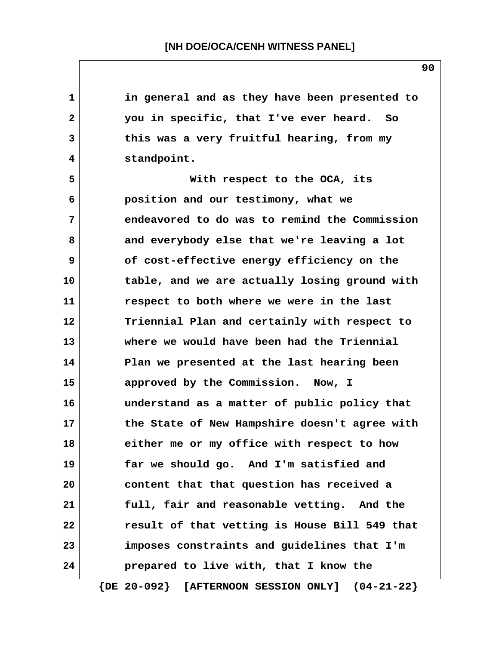**1 in general and as they have been presented to 2 you in specific, that I've ever heard. So 3 this was a very fruitful hearing, from my 4 standpoint. 5 With respect to the OCA, its 6 position and our testimony, what we 7 endeavored to do was to remind the Commission 8 and everybody else that we're leaving a lot 9 of cost-effective energy efficiency on the 10 table, and we are actually losing ground with 11 respect to both where we were in the last 12 Triennial Plan and certainly with respect to 13 where we would have been had the Triennial 14 Plan we presented at the last hearing been 15 approved by the Commission. Now, I 16 understand as a matter of public policy that 17 the State of New Hampshire doesn't agree with 18 either me or my office with respect to how 19 far we should go. And I'm satisfied and 20 content that that question has received a 21 full, fair and reasonable vetting. And the 22 result of that vetting is House Bill 549 that 23 imposes constraints and guidelines that I'm 24 prepared to live with, that I know the**

 **{DE 20-092} [AFTERNOON SESSION ONLY] (04-21-22}**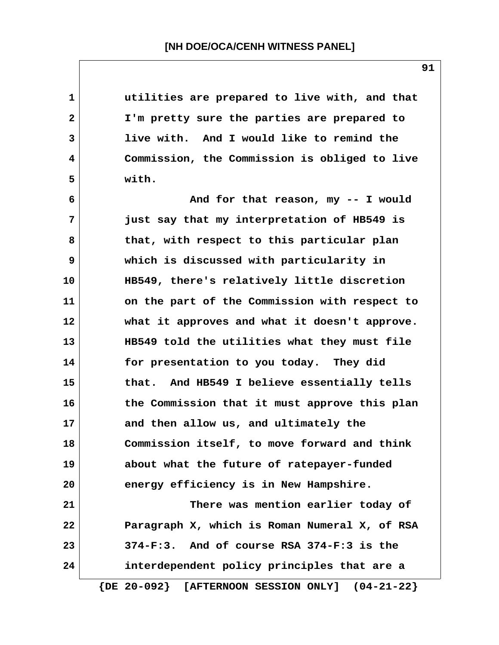**1 utilities are prepared to live with, and that 2 I'm pretty sure the parties are prepared to 3 live with. And I would like to remind the 4 Commission, the Commission is obliged to live 5 with. 6 And for that reason, my -- I would 7 just say that my interpretation of HB549 is 8 that, with respect to this particular plan 9 which is discussed with particularity in 10 HB549, there's relatively little discretion 11 on the part of the Commission with respect to 12 what it approves and what it doesn't approve. 13 HB549 told the utilities what they must file 14 for presentation to you today. They did 15 that. And HB549 I believe essentially tells 16 the Commission that it must approve this plan 17 and then allow us, and ultimately the 18 Commission itself, to move forward and think 19 about what the future of ratepayer-funded 20 energy efficiency is in New Hampshire. 21 There was mention earlier today of 22 Paragraph X, which is Roman Numeral X, of RSA 23 374-F:3. And of course RSA 374-F:3 is the 24 interdependent policy principles that are a**

 **{DE 20-092} [AFTERNOON SESSION ONLY] (04-21-22}**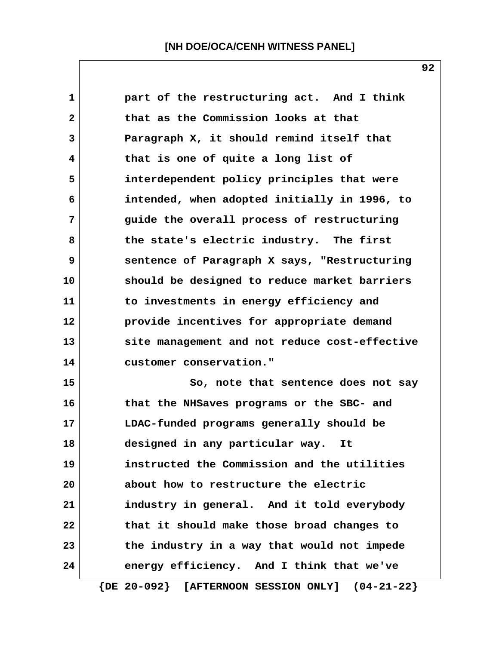| $\mathbf 1$    | part of the restructuring act. And I think          |
|----------------|-----------------------------------------------------|
| $\overline{2}$ | that as the Commission looks at that                |
| 3              | Paragraph X, it should remind itself that           |
| 4              | that is one of quite a long list of                 |
| 5              | interdependent policy principles that were          |
| 6              | intended, when adopted initially in 1996, to        |
| 7              | guide the overall process of restructuring          |
| 8              | the state's electric industry. The first            |
| 9              | sentence of Paragraph X says, "Restructuring        |
| 10             | should be designed to reduce market barriers        |
| 11             | to investments in energy efficiency and             |
| 12             | provide incentives for appropriate demand           |
| 13             | site management and not reduce cost-effective       |
| 14             | customer conservation."                             |
| 15             | So, note that sentence does not say                 |
| 16             | that the NHSaves programs or the SBC- and           |
| 17             | LDAC-funded programs generally should be            |
| 18             | designed in any particular way.<br>It               |
| 19             | instructed the Commission and the utilities         |
| 20             | about how to restructure the electric               |
| 21             | industry in general. And it told everybody          |
| 22             | that it should make those broad changes to          |
| 23             | the industry in a way that would not impede         |
| 24             | energy efficiency. And I think that we've           |
|                | $\{DE 20-092\}$ [AFTERNOON SESSION ONLY] (04-21-22} |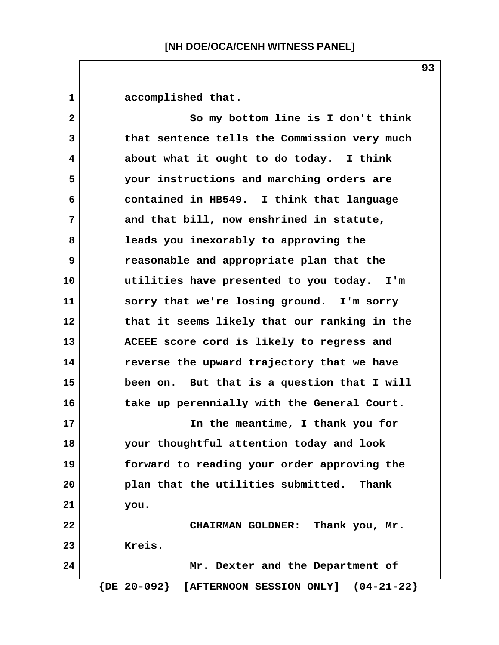1 accomplished that.  **2 So my bottom line is I don't think 3 that sentence tells the Commission very much 4 about what it ought to do today. I think 5 your instructions and marching orders are 6 contained in HB549. I think that language 7 and that bill, now enshrined in statute, 8 leads you inexorably to approving the 9 reasonable and appropriate plan that the 10 utilities have presented to you today. I'm 11 sorry that we're losing ground. I'm sorry 12 that it seems likely that our ranking in the 13 ACEEE score cord is likely to regress and 14 reverse the upward trajectory that we have 15 been on. But that is a question that I will 16 take up perennially with the General Court. 17 In the meantime, I thank you for 18 your thoughtful attention today and look 19 forward to reading your order approving the 20 plan that the utilities submitted. Thank 21 you. 22 CHAIRMAN GOLDNER: Thank you, Mr. 23 Kreis. 24 Mr. Dexter and the Department of {DE 20-092} [AFTERNOON SESSION ONLY] (04-21-22}**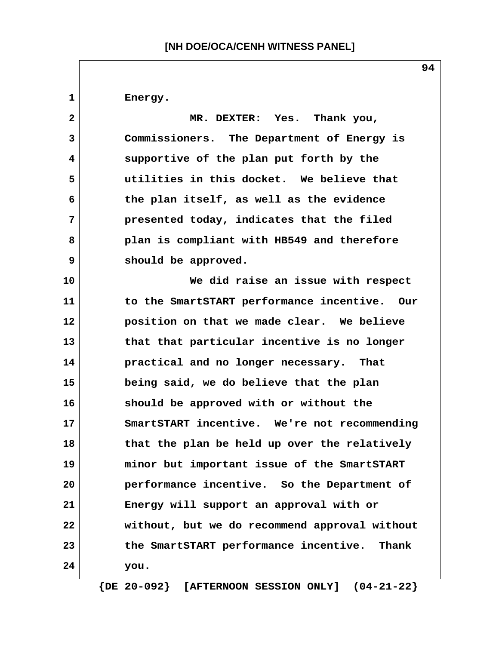1 Energy.

 **2 MR. DEXTER: Yes. Thank you, 3 Commissioners. The Department of Energy is 4 supportive of the plan put forth by the 5 utilities in this docket. We believe that 6 the plan itself, as well as the evidence 7 presented today, indicates that the filed 8 plan is compliant with HB549 and therefore 9 should be approved.**

**10 We did raise an issue with respect 11 to the SmartSTART performance incentive. Our 12 position on that we made clear. We believe 13 that that particular incentive is no longer 14 practical and no longer necessary. That 15 being said, we do believe that the plan 16 should be approved with or without the 17 SmartSTART incentive. We're not recommending 18 that the plan be held up over the relatively 19 minor but important issue of the SmartSTART 20 performance incentive. So the Department of 21 Energy will support an approval with or 22 without, but we do recommend approval without 23 the SmartSTART performance incentive. Thank 24 you.**

 **{DE 20-092} [AFTERNOON SESSION ONLY] (04-21-22}**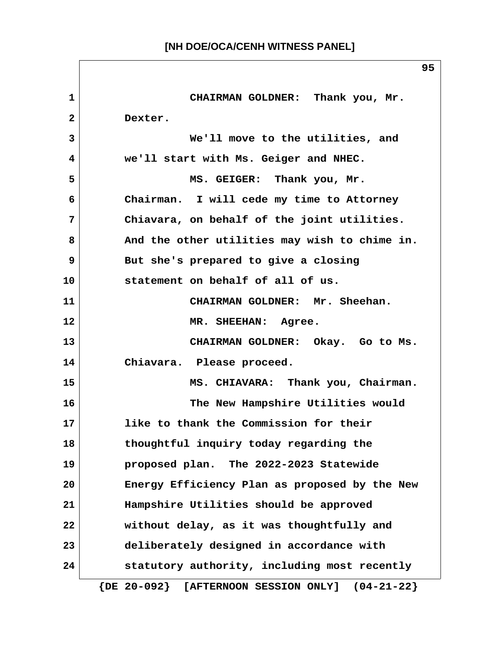**1 CHAIRMAN GOLDNER: Thank you, Mr. 2 Dexter. 3 We'll move to the utilities, and 4 we'll start with Ms. Geiger and NHEC. 5 MS. GEIGER: Thank you, Mr. 6 Chairman. I will cede my time to Attorney 7 Chiavara, on behalf of the joint utilities. 8 And the other utilities may wish to chime in. 9 But she's prepared to give a closing 10 statement on behalf of all of us. 11 CHAIRMAN GOLDNER: Mr. Sheehan. 12 MR. SHEEHAN: Agree. 13 CHAIRMAN GOLDNER: Okay. Go to Ms. 14 Chiavara. Please proceed. 15 MS. CHIAVARA: Thank you, Chairman. 16 The New Hampshire Utilities would 17 like to thank the Commission for their 18 thoughtful inquiry today regarding the 19 proposed plan. The 2022-2023 Statewide 20 Energy Efficiency Plan as proposed by the New 21 Hampshire Utilities should be approved 22 without delay, as it was thoughtfully and 23 deliberately designed in accordance with 24 statutory authority, including most recently {DE 20-092} [AFTERNOON SESSION ONLY] (04-21-22}**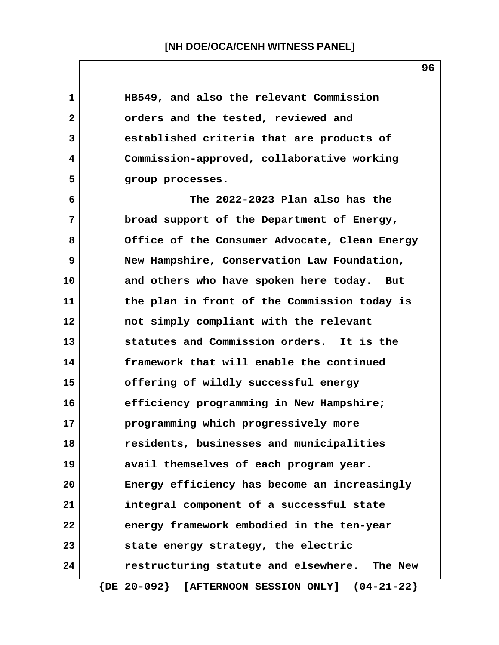| $\mathbf 1$ | HB549, and also the relevant Commission                     |
|-------------|-------------------------------------------------------------|
| 2           | orders and the tested, reviewed and                         |
| 3           | established criteria that are products of                   |
| 4           | Commission-approved, collaborative working                  |
| 5           | group processes.                                            |
| 6           | The 2022-2023 Plan also has the                             |
| 7           | broad support of the Department of Energy,                  |
| 8           | Office of the Consumer Advocate, Clean Energy               |
| 9           | New Hampshire, Conservation Law Foundation,                 |
| 10          | and others who have spoken here today. But                  |
| 11          | the plan in front of the Commission today is                |
| 12          | not simply compliant with the relevant                      |
| 13          | statutes and Commission orders. It is the                   |
| 14          | framework that will enable the continued                    |
| 15          | offering of wildly successful energy                        |
| 16          | efficiency programming in New Hampshire;                    |
| 17          | programming which progressively more                        |
| 18          | residents, businesses and municipalities                    |
| 19          | avail themselves of each program year.                      |
| 20          | Energy efficiency has become an increasingly                |
| 21          | integral component of a successful state                    |
| 22          | energy framework embodied in the ten-year                   |
| 23          | state energy strategy, the electric                         |
| 24          | restructuring statute and elsewhere. The New                |
|             | $\{$ DE $20-092\}$<br>[AFTERNOON SESSION ONLY] $(04-21-22)$ |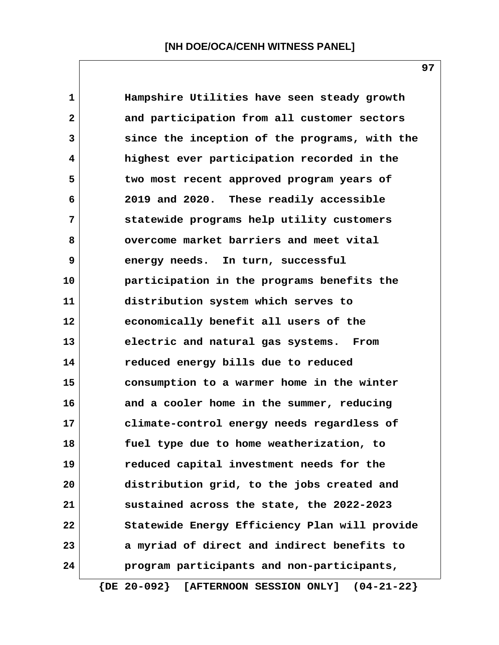| $\mathbf{1}$ | Hampshire Utilities have seen steady growth   |
|--------------|-----------------------------------------------|
| $\mathbf{2}$ | and participation from all customer sectors   |
| 3            | since the inception of the programs, with the |
| 4            | highest ever participation recorded in the    |
| 5            | two most recent approved program years of     |
| 6            | 2019 and 2020. These readily accessible       |
| 7            | statewide programs help utility customers     |
| 8            | overcome market barriers and meet vital       |
| 9            | energy needs. In turn, successful             |
| 10           | participation in the programs benefits the    |
| 11           | distribution system which serves to           |
| $12 \,$      | economically benefit all users of the         |
| 13           | electric and natural gas systems. From        |
| 14           | reduced energy bills due to reduced           |
| 15           | consumption to a warmer home in the winter    |
| 16           | and a cooler home in the summer, reducing     |
| 17           | climate-control energy needs regardless of    |
| 18           | fuel type due to home weatherization, to      |
| 19           | reduced capital investment needs for the      |
| 20           | distribution grid, to the jobs created and    |
| 21           | sustained across the state, the 2022-2023     |
| 22           | Statewide Energy Efficiency Plan will provide |
| 23           | a myriad of direct and indirect benefits to   |
| 24           | program participants and non-participants,    |
|              |                                               |

 **{DE 20-092} [AFTERNOON SESSION ONLY] (04-21-22}**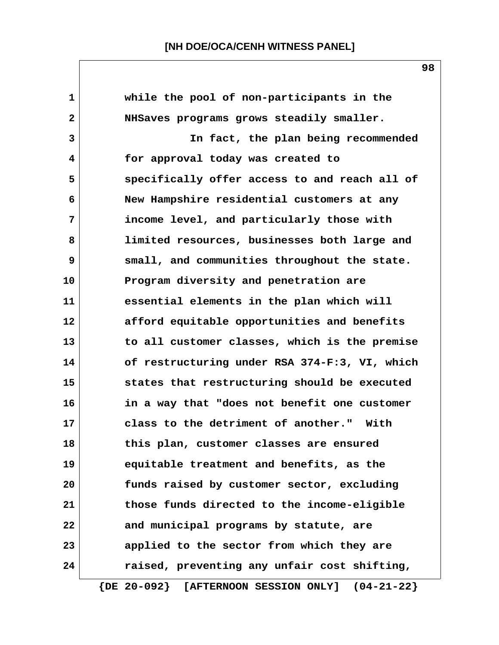| 1            | while the pool of non-participants in the                |
|--------------|----------------------------------------------------------|
| $\mathbf{2}$ | NHSaves programs grows steadily smaller.                 |
| 3            | In fact, the plan being recommended                      |
| 4            | for approval today was created to                        |
| 5            | specifically offer access to and reach all of            |
| 6            | New Hampshire residential customers at any               |
| 7            | income level, and particularly those with                |
| 8            | limited resources, businesses both large and             |
| 9            | small, and communities throughout the state.             |
| 10           | Program diversity and penetration are                    |
| 11           | essential elements in the plan which will                |
| 12           | afford equitable opportunities and benefits              |
| 13           | to all customer classes, which is the premise            |
| 14           | of restructuring under RSA 374-F:3, VI, which            |
| 15           | states that restructuring should be executed             |
| 16           | in a way that "does not benefit one customer             |
| 17           | class to the detriment of another."<br>With              |
| 18           | this plan, customer classes are ensured                  |
| 19           | equitable treatment and benefits, as the                 |
| 20           | funds raised by customer sector, excluding               |
| 21           | those funds directed to the income-eligible              |
| 22           | and municipal programs by statute, are                   |
| 23           | applied to the sector from which they are                |
| 24           | raised, preventing any unfair cost shifting,             |
|              | $\{DE 20-092\}$<br>[AFTERNOON SESSION ONLY] $(04-21-22)$ |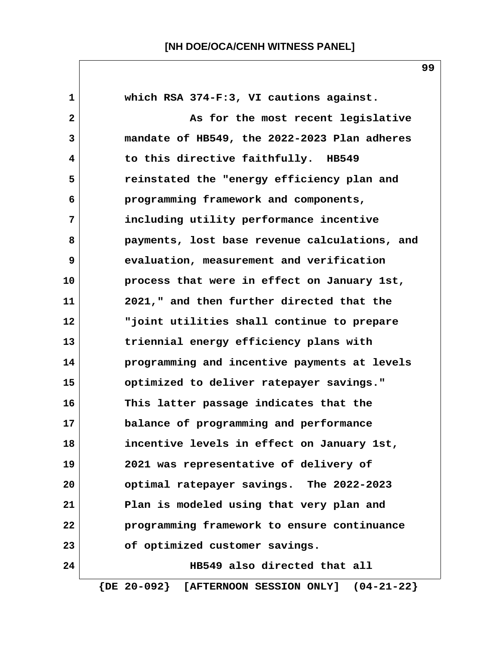**1 which RSA 374-F:3, VI cautions against. 2 1 2** As for the most recent legislative  **3 mandate of HB549, the 2022-2023 Plan adheres 4 to this directive faithfully. HB549 5 reinstated the "energy efficiency plan and 6 programming framework and components, 7 including utility performance incentive 8 payments, lost base revenue calculations, and 9 evaluation, measurement and verification 10 process that were in effect on January 1st, 11 2021," and then further directed that the 12 "joint utilities shall continue to prepare 13 triennial energy efficiency plans with 14 programming and incentive payments at levels 15 optimized to deliver ratepayer savings." 16 This latter passage indicates that the 17 balance of programming and performance 18 incentive levels in effect on January 1st, 19 2021 was representative of delivery of 20 optimal ratepayer savings. The 2022-2023 21 Plan is modeled using that very plan and 22 programming framework to ensure continuance 23 of optimized customer savings. 24 HB549 also directed that all {DE 20-092} [AFTERNOON SESSION ONLY] (04-21-22}**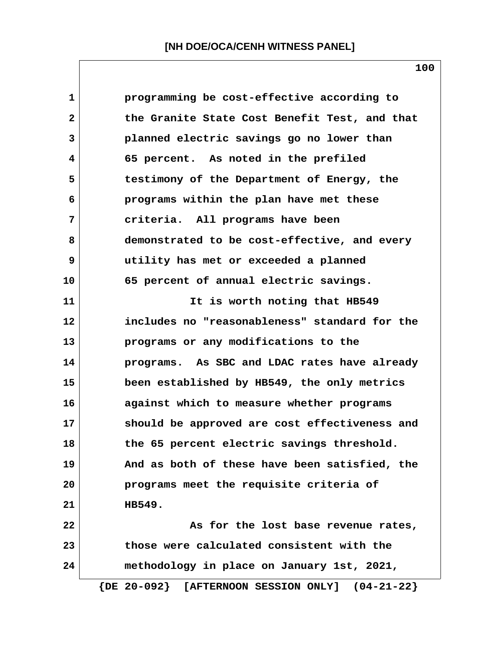**1 programming be cost-effective according to 2 the Granite State Cost Benefit Test, and that 3 planned electric savings go no lower than 4 65 percent. As noted in the prefiled 5 testimony of the Department of Energy, the 6 programs within the plan have met these 7 criteria. All programs have been 8 demonstrated to be cost-effective, and every 9 utility has met or exceeded a planned 10 65 percent of annual electric savings.** 11 **11** It is worth noting that HB549 **12 includes no "reasonableness" standard for the 13 programs or any modifications to the 14 programs. As SBC and LDAC rates have already 15 been established by HB549, the only metrics 16 against which to measure whether programs 17 should be approved are cost effectiveness and 18 the 65 percent electric savings threshold. 19 And as both of these have been satisfied, the 20 programs meet the requisite criteria of 21 HB549. 22 As for the lost base revenue rates, 23 those were calculated consistent with the 24 methodology in place on January 1st, 2021, {DE 20-092} [AFTERNOON SESSION ONLY] (04-21-22}**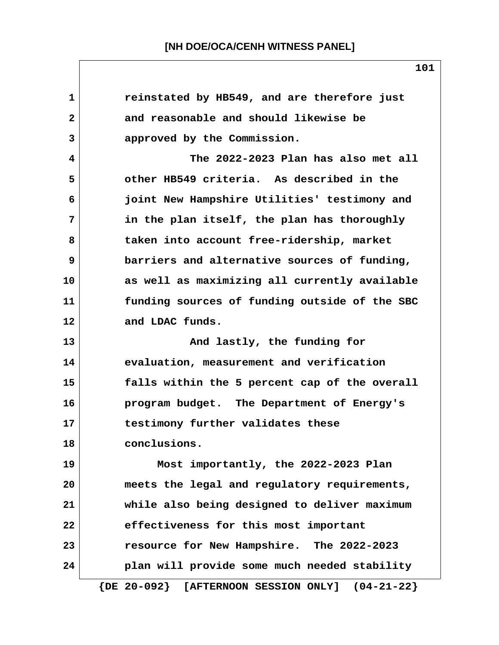| 1            | reinstated by HB549, and are therefore just                     |
|--------------|-----------------------------------------------------------------|
| $\mathbf{2}$ | and reasonable and should likewise be                           |
| 3            | approved by the Commission.                                     |
| 4            | The 2022-2023 Plan has also met all                             |
| 5            | other HB549 criteria. As described in the                       |
| 6            | joint New Hampshire Utilities' testimony and                    |
| 7            | in the plan itself, the plan has thoroughly                     |
| 8            | taken into account free-ridership, market                       |
| 9            | barriers and alternative sources of funding,                    |
| 10           | as well as maximizing all currently available                   |
| 11           | funding sources of funding outside of the SBC                   |
| 12           | and LDAC funds.                                                 |
| 13           | And lastly, the funding for                                     |
| 14           | evaluation, measurement and verification                        |
| 15           | falls within the 5 percent cap of the overall                   |
| 16           | program budget. The Department of Energy's                      |
| 17           | testimony further validates these                               |
| 18           | conclusions.                                                    |
| 19           | Most importantly, the 2022-2023 Plan                            |
| 20           | meets the legal and regulatory requirements,                    |
| 21           | while also being designed to deliver maximum                    |
| 22           | effectiveness for this most important                           |
| 23           | resource for New Hampshire. The 2022-2023                       |
| 24           | plan will provide some much needed stability                    |
|              | $\{DE 20-092\}$<br>$(04 - 21 - 22)$<br>[AFTERNOON SESSION ONLY] |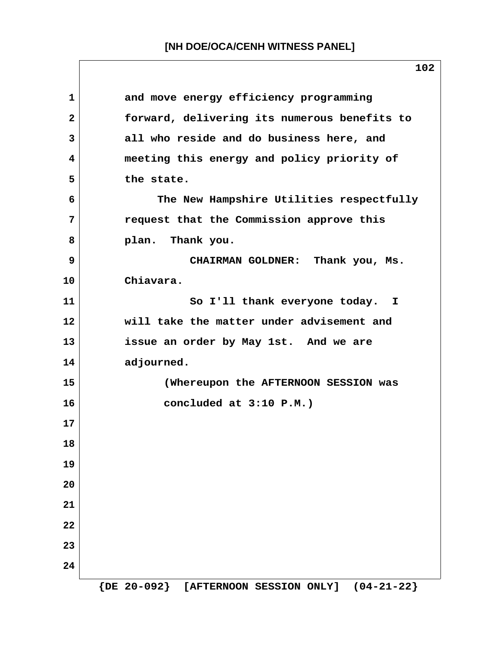|                | 102                                          |
|----------------|----------------------------------------------|
| $\mathbf{1}$   | and move energy efficiency programming       |
| $\mathbf{2}$   | forward, delivering its numerous benefits to |
| $\overline{3}$ | all who reside and do business here, and     |
| 4              | meeting this energy and policy priority of   |
| 5              | the state.                                   |
| 6              | The New Hampshire Utilities respectfully     |
| 7              | request that the Commission approve this     |
| 8              | plan. Thank you.                             |
| 9              | CHAIRMAN GOLDNER: Thank you, Ms.             |
| 10             | Chiavara.                                    |
| 11             | So I'll thank everyone today. I              |
| 12             | will take the matter under advisement and    |
| 13             | issue an order by May 1st. And we are        |
| 14             | adjourned.                                   |
| 15             | (Whereupon the AFTERNOON SESSION was         |
| 16             | concluded at 3:10 P.M.)                      |
| 17             |                                              |
| 18             |                                              |
| 19             |                                              |
| 20             |                                              |
| 21             |                                              |
| 22             |                                              |
| 23             |                                              |
| 24             |                                              |

 **{DE 20-092} [AFTERNOON SESSION ONLY] (04-21-22}**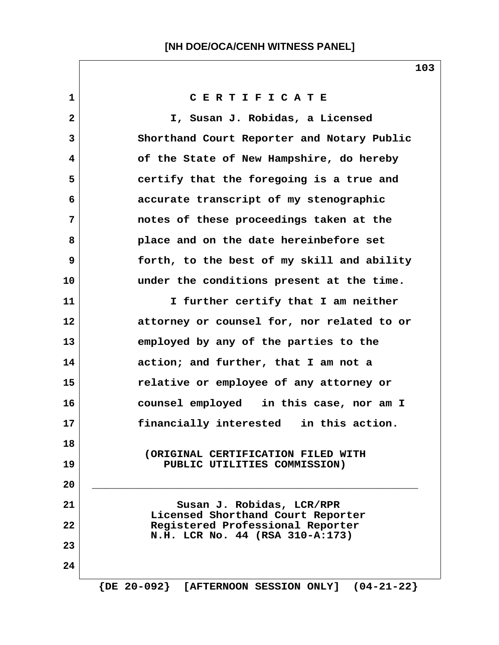| 1            | CERTIFICATE                                                         |
|--------------|---------------------------------------------------------------------|
| $\mathbf{2}$ | I, Susan J. Robidas, a Licensed                                     |
| 3            | Shorthand Court Reporter and Notary Public                          |
| 4            | of the State of New Hampshire, do hereby                            |
| 5            | certify that the foregoing is a true and                            |
| 6            | accurate transcript of my stenographic                              |
| 7            | notes of these proceedings taken at the                             |
| 8            | place and on the date hereinbefore set                              |
| 9            | forth, to the best of my skill and ability                          |
| 10           | under the conditions present at the time.                           |
| 11           | I further certify that I am neither                                 |
| 12           | attorney or counsel for, nor related to or                          |
| 13           | employed by any of the parties to the                               |
| 14           | action; and further, that I am not a                                |
| 15           | relative or employee of any attorney or                             |
| 16           | counsel employed in this case, nor am I                             |
| 17           | financially interested in this action.                              |
| 18           | (ORIGINAL CERTIFICATION FILED WITH                                  |
| 19           | PUBLIC UTILITIES COMMISSION)                                        |
| 20           |                                                                     |
| 21           | Susan J. Robidas, LCR/RPR<br>Licensed Shorthand Court Reporter      |
| 22           | Registered Professional Reporter<br>N.H. LCR No. 44 (RSA 310-A:173) |
| 23           |                                                                     |
| 24           |                                                                     |
|              |                                                                     |

 **{DE 20-092} [AFTERNOON SESSION ONLY] (04-21-22}**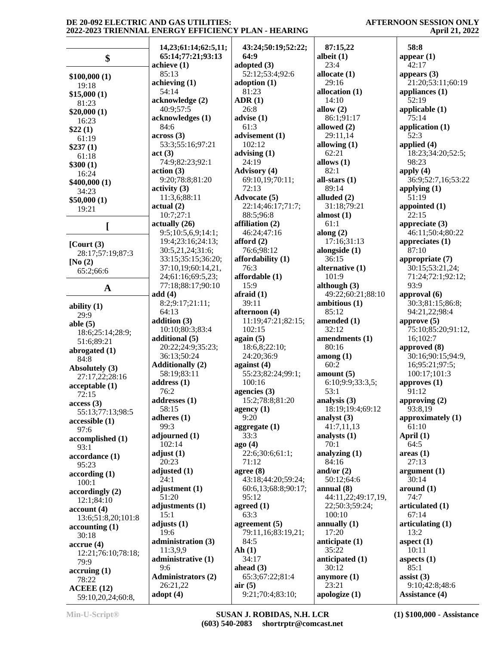### **AFTERNOON SESSION ONLY April 21, 2022**

|                          | 14,23;61:14;62:5,11;      | 43:24;50:19;52:22;  | 87:15,22                       | 58:8                    |
|--------------------------|---------------------------|---------------------|--------------------------------|-------------------------|
| \$                       | 65:14;77:21;93:13         | 64:9                | albeit $(1)$                   | appear $(1)$            |
|                          | achieve (1)               | adopted (3)         | 23:4                           | 42:17                   |
| \$100,000(1)             | 85:13                     | 52:12;53:4;92:6     | allocate $(1)$                 | appears $(3)$           |
| 19:18                    | achieving (1)             | adoption $(1)$      | 29:16                          | 21:20;53:11;60:19       |
|                          | 54:14                     | 81:23               | allocation $(1)$               | appliances $(1)$        |
| \$15,000(1)              | acknowledge (2)           | ADR(1)              | 14:10                          | 52:19                   |
| 81:23                    | 40:9;57:5                 | 26:8                | allow $(2)$                    | applicable (1)          |
| \$20,000(1)              | acknowledges (1)          | advise(1)           | 86:1;91:17                     | 75:14                   |
| 16:23                    | 84:6                      | 61:3                | allowed (2)                    | application (1)         |
| \$22(1)                  | across(3)                 |                     | 29:11,14                       | 52:3                    |
| 61:19                    |                           | advisement (1)      |                                |                         |
| \$237(1)                 | 53:3;55:16;97:21          | 102:12              | allowing $(1)$                 | applied (4)             |
| 61:18                    | act(3)                    | advising $(1)$      | 62:21                          | 18:23;34:20;52:5;       |
| \$300(1)                 | 74:9;82:23;92:1           | 24:19               | allows $(1)$                   | 98:23                   |
| 16:24                    | action(3)                 | <b>Advisory</b> (4) | 82:1                           | apply $(4)$             |
| \$400,000(1)             | 9:20;78:8;81:20           | 69:10,19;70:11;     | all-stars $(1)$                | 36:9;52:7,16;53:22      |
| 34:23                    | activity <sub>(3)</sub>   | 72:13               | 89:14                          | applying $(1)$          |
| \$50,000(1)              | 11:3,6;88:11              | Advocate (5)        | alluded (2)                    | 51:19                   |
| 19:21                    | actual(2)                 | 22:14;46:17;71:7;   | 31:18;79:21                    | appointed (1)           |
|                          | 10:7;27:1                 | 88:5;96:8           | almost $(1)$                   | 22:15                   |
| ſ                        | $\text{actually } (26)$   | affiliation (2)     | 61:1                           | appreciate $(3)$        |
|                          | 9:5;10:5,6,9;14:1;        | 46:24:47:16         | along $(2)$                    | 46:11;50:4;80:22        |
|                          | 19:4;23:16;24:13;         | afford $(2)$        | 17:16;31:13                    | appreciates $(1)$       |
| $\sqrt{\text{Court}}(3)$ | 30:5,21,24;31:6;          | 76:6;98:12          | alongside (1)                  | 87:10                   |
| 28:17;57:19;87:3         | 33:15;35:15;36:20;        | affordability (1)   | 36:15                          | appropriate (7)         |
| [No $(2)$                | 37:10,19;60:14,21,        | 76:3                | alternative (1)                | 30:15;53:21,24;         |
| 65:2;66:6                |                           | affordable (1)      | 101:9                          |                         |
|                          | 24;61:16;69:5,23;         |                     |                                | 71:24;72:1;92:12;       |
| $\mathbf A$              | 77:18;88:17;90:10         | 15:9                | although $(3)$                 | 93:9                    |
|                          | add(4)                    | $a$ fraid $(1)$     | 49:22;60:21;88:10              | approval (6)            |
| ability $(1)$            | 8:2;9:17;21:11;           | 39:11               | ambitious (1)                  | 30:3;81:15;86:8;        |
| 29:9                     | 64:13                     | afternoon (4)       | 85:12                          | 94:21,22;98:4           |
| able $(5)$               | addition (3)              | 11:19;47:21;82:15;  | amended (1)                    | approve $(5)$           |
| 18:6;25:14;28:9;         | 10:10;80:3;83:4           | 102:15              | 32:12                          | 75:10;85:20;91:12,      |
| 51:6;89:21               | additional (5)            | again (5)           | amendments (1)                 | 16;102:7                |
| abrogated (1)            | 20:22;24:9;35:23;         | 18:6,8;22:10;       | 80:16                          | approved (8)            |
| 84:8                     | 36:13;50:24               | 24:20;36:9          | $\mathbf{among}\left(1\right)$ | 30:16;90:15;94:9,       |
| Absolutely (3)           | <b>Additionally (2)</b>   | against $(4)$       | 60:2                           | 16;95:21;97:5;          |
|                          | 58:19;83:11               | 55:23;82:24;99:1;   | amount(5)                      | 100:17;101:3            |
| 27:17,22;28:16           | address (1)               | 100:16              | 6:10;9:9;33:3,5;               | approves (1)            |
| acceptable(1)            | 76:2                      | agencies (3)        | 53:1                           | 91:12                   |
| 72:15                    | addresses (1)             | 15:2;78:8;81:20     | analysis (3)                   | approving (2)           |
| access(3)                | 58:15                     | agency $(1)$        | 18:19;19:4;69:12               | 93:8,19                 |
| 55:13;77:13;98:5         | adheres $(1)$             | 9:20                | analyst $(3)$                  | approximately (1)       |
| accessible (1)           |                           |                     |                                |                         |
| 97:6                     | 99:3                      | aggregate $(1)$     | 41:7,11,13                     | 61:10                   |
| accomplished (1)         | adjourned $(1)$           | 33:3                | analysts $(1)$                 | April $(1)$             |
| 93:1                     | 102:14                    | ago(4)              | 70:1                           | 64:5                    |
| accordance (1)           | adjust $(1)$              | 22:6;30:6;61:1;     | analyzing $(1)$                | areas(1)                |
| 95:23                    | 20:23                     | 71:12               | 84:16                          | 27:13                   |
| according(1)             | adjusted (1)              | agree (8)           | and/or $(2)$                   | argument <sub>(1)</sub> |
| 100:1                    | 24:1                      | 43:18;44:20;59:24;  | 50:12;64:6                     | 30:14                   |
| accordingly(2)           | adjustment (1)            | 60:6,13;68:8;90:17; | annual $(8)$                   | around (1)              |
| 12:1;84:10               | 51:20                     | 95:12               | 44:11,22;49:17,19,             | 74:7                    |
| account(4)               | adjustments (1)           | agreed $(1)$        | 22;50:3;59:24;                 | articulated (1)         |
|                          | 15:1                      | 63:3                | 100:10                         | 67:14                   |
| 13:6;51:8,20;101:8       | adjusts $(1)$             | agreement $(5)$     | annually $(1)$                 | articulating (1)        |
| accounting(1)            | 19:6                      | 79:11,16;83:19,21;  | 17:20                          | 13:2                    |
| 30:18                    | administration (3)        | 84:5                | anticipate $(1)$               | aspect $(1)$            |
| $accru$ e $(4)$          | 11:3,9,9                  | Ah(1)               | 35:22                          | 10:11                   |
| 12:21;76:10;78:18;       | administrative (1)        | 34:17               |                                |                         |
| 79:9                     |                           |                     | anticipated (1)                | aspects $(1)$           |
| $\arctan(1)$             | 9:6                       | ahead $(3)$         | 30:12                          | 85:1                    |
| 78:22                    | <b>Administrators (2)</b> | 65:3;67:22;81:4     | anymore $(1)$                  | assist $(3)$            |
| ACEEE(12)                | 26:21,22                  | air(5)              | 23:21                          | 9:10;42:8;48:6          |
| 59:10,20,24;60:8,        | adopt $(4)$               | 9:21;70:4;83:10;    | apologize $(1)$                | <b>Assistance (4)</b>   |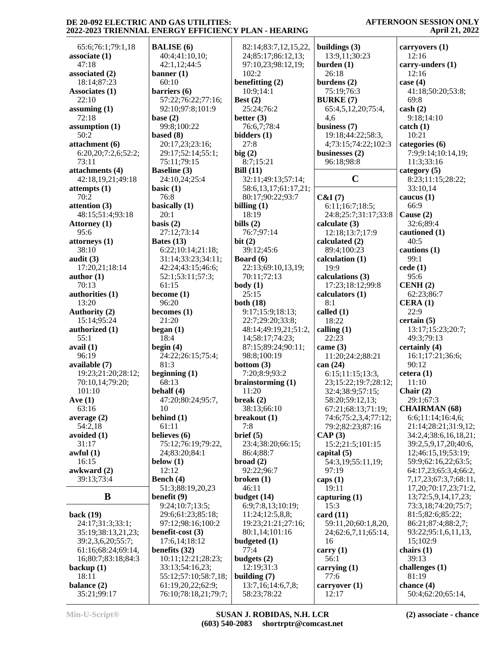**AFTERNOON SESSION ONLY April 21, 2022**

 65:6;76:1;79:1,18 **associate (1)** 47:18 **associated (2)** 18:14;87:23 **Associates (1)** 22:10 **assuming (1)** 72:18 **assumption (1)** 50:2 **attachment (6)** 6:20,20;7:2,6;52:2; 73:11 **attachments (4)** 42:18,19,21;49:18 **attempts (1)** 70:2 **attention (3)** 48:15;51:4;93:18 **Attorney (1)** 95:6 **attorneys (1)** 38:10 **audit (3)** 17:20,21;18:14 **author (1)** 70:13 **authorities (1)** 13:20 **Authority (2)** 15:14;95:24 **authorized (1)** 55:1 **avail (1)** 96:19 **available (7)** 19:23;21:20;28:12; 70:10,14;79:20; 101:10 **Ave (1)** 63:16 **average (2)** 54:2,18 **avoided (1)** 31:17 **awful (1)** 16:15 **awkward (2)** 39:13;73:4 **B back (19)** 24:17;31:3;33:1; 35:19;38:13,21,23; 39:2,3,6,20;55:7; 61:16;68:24;69:14, 16;80:7;83:18;84:3 **backup (1)** 18:11 **balance (2)**

**BALISE (6)** 40:4;41:10,10; 42:1,12;44:5 **banner (1)** 60:10 **barriers (6)** 57:22;76:22;77:16; 92:10;97:8;101:9 **base (2)** 99:8;100:22 **based (8)** 20:17,23;23:16; 29:17;52:14;55:1; 75:11;79:15 **Baseline (3)** 24:10,24;25:4 **basic (1)** 76:8 **basically (1)** 20:1 **basis (2)** 27:12;73:14 **Bates (13)** 6:22;10:14;21:18; 31:14;33:23;34:11; 42:24;43:15;46:6; 52:1;53:11;57:3; 61:15 **become (1)** 96:20 **becomes (1)** 21:20 **began (1)** 18:4 **begin (4)** 24:22;26:15;75:4; 81:3 **beginning (1)** 68:13 **behalf (4)** 47:20;80:24;95:7, 10 **behind (1)** 61:11 **believes (6)** 75:12;76:19;79:22, 24;83:20;84:1 **below (1)** 12:12 **Bench (4)** 51:3;88:19,20,23 **benefit (9)** 9:24;10:7;13:5; 29:6;61:23;85:18; 97:12;98:16;100:2 **benefit-cost (3)** 17:6,14;18:12 **benefits (32)** 10:11;12:21;28:23; 33:13;54:16,23; 55:12;57:10;58:7,18; 61:19,20,22;62:9; 76:10;78:18,21;79:7;

 82:14;83:7,12,15,22, 24;85:17;86:12,13; 97:10,23;98:12,19; 102:2 **benefitting (2)** 10:9;14:1 **Best (2)** 25:24;76:2 **better (3)** 76:6,7;78:4 **bidders (1)** 27:8 **big (2)** 8:7;15:21 **Bill (11)** 32:11;49:13;57:14; 58:6,13,17;61:17,21; 80:17;90:22;93:7 **billing (1)** 18:19 **bills (2)** 76:7;97:14 **bit (2)** 39:12;45:6 **Board (6)** 22:13;69:10,13,19; 70:11;72:13 **body (1)** 25:15 **both (18)** 9:17;15:9;18:13; 22:7;29:20;33:8; 48:14;49:19,21;51:2, 14;58:17;74:23; 87:15;89:24;90:11; 98:8;100:19 **bottom (3)** 7:20;8:9;93:2 **brainstorming (1)** 11:20 **break (2)** 38:13;66:10 **breakout (1)** 7:8 **brief (5)** 23:4;38:20;66:15; 86:4;88:7 **broad (2)** 92:22;96:7 **broken (1)** 46:11 **budget (14)** 6:9;7:8,13;10:19; 11:24;12:5,8,8; 19:23;21:21;27:16; 80:1,14;101:16 **budgeted (1)** 77:4 **budgets (2)** 12:19;31:3 **building (7)** 13:7,16;14:6,7,8; 58:23;78:22

**buildings (3)** 13:9,11;30:23 **burden (1)** 26:18 **burdens (2)** 75:19;76:3 **BURKE (7)** 65:4,5,12,20;75:4, 4,6 **business (7)** 19:18;44:22;58:3, 4;73:15;74:22;102:3 **businesses (2)** 96:18;98:8 **C** 8 **C&I (7)** 6:11;16:7;18:5; 24:8;25:7;31:17;33:8 **calculate (3)** 12:18;13:7;17:9 **calculated (2)** 89:4;100:23 **calculation (1)** 19:9 **calculations (3)** 17:23;18:12;99:8 **calculators (1)** 8:1 **called (1)** 18:22 **calling (1)** 22:23 **came (3)** 11:20;24:2;88:21 **can (24)** 6:15;11:15;13:3, 23;15:22;19:7;28:12; 32:4;38:9;57:15; 58:20;59:12,13; 67:21;68:13;71:19; 74:6;75:2,3,4;77:12; 79:2;82:23;87:16 **CAP (3)** 15:2;21:5;101:15 **capital (5)** 54:3,19;55:11,19; 97:19 **caps (1)** 19:11 **capturing (1)** 15:3 **card (11)** 59:11,20;60:1,8,20, 24;62:6,7,11;65:14, 16 **carry (1)** 56:1 **carrying (1)** 77:6 **carryover (1)** 12:17

**carryovers (1)** 12:16 **carry-unders (1)** 12:16 **case (4)** 41:18;50:20;53:8; 69:8 **cash (2)** 9:18;14:10 **catch (1)** 10:21 **categories (6)** 7:9;9:14;10:14,19; 11:3;33:16 **category (5)** 8:23;11:15;28:22; 33:10,14 **caucus (1)** 66:9 **Cause (2)** 32:6;89:4 **cautioned (1)** 40:5 **cautions (1)** 99:1 **cede (1)** 95:6 **CENH (2)** 62:23;86:7 **CERA (1)** 22:9 **certain (5)** 13:17;15:23;20:7; 49:3;79:13 **certainly (4)** 16:1;17:21;36:6; 90:12 **cetera (1)** 11:10 **Chair (2)** 29:1;67:3 **CHAIRMAN (68)** 6:6;11:14;16:4,6; 21:14;28:21;31:9,12; 34:2,4;38:6,16,18,21; 39:2,5,9,17,20;40:6, 12;46:15,19;53:19; 59:9;62:16,22;63:5; 64:17,23;65:3,4;66:2, 7,17,23;67:3,7;68:11, 17,20;70:17,23;71:2, 13;72:5,9,14,17,23; 73:3,18;74:20;75:7; 81:5;82:6;85:22; 86:21;87:4;88:2,7; 93:22;95:1,6,11,13, 15;102:9 **chairs (1)** 39:13 **challenges (1)** 81:19 **chance (4)** 50:4;62:20;65:14,

35:21;99:17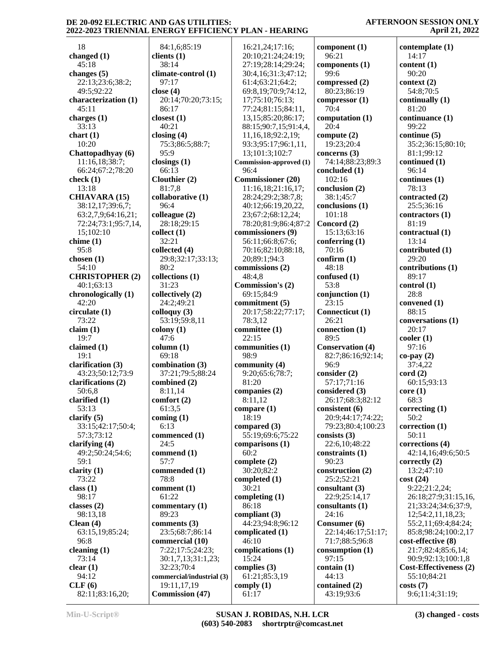**AFTERNOON SESSION ONLY April 21, 2022**

| 18                     | 84:1,6;85:19              | 16:21,24;17:16;          | component (1)           | contemplate (1)        |
|------------------------|---------------------------|--------------------------|-------------------------|------------------------|
| changed $(1)$          | clients $(1)$             | 20:10;21:24;24:19;       | 96:21                   | 14:17                  |
| 45:18                  | 38:14                     | 27:19;28:14;29:24;       | components $(1)$        | content (1)            |
| changes $(5)$          | climate-control (1)       | 30:4,16;31:3;47:12;      | 99:6                    | 90:20                  |
| 22:13;23:6;38:2;       | 97:17                     | 61:4;63:21;64:2;         | compressed (2)          | context (2)            |
| 49:5;92:22             | close $(4)$               | 69:8,19:70:9:74:12,      | 80:23;86:19             | 54:8;70:5              |
| characterization (1)   | 20:14;70:20;73:15;        | 17;75:10;76:13;          | compressor $(1)$        | continually $(1)$      |
| 45:11                  | 86:17                     | 77:24;81:15;84:11,       | 70:4                    | 81:20                  |
| charges $(1)$          | closest $(1)$             | 13, 15; 85: 20; 86: 17;  | computation (1)         | continuance (1)        |
| 33:13                  | 40:21                     | 88:15:90:7,15:91:4,4,    | 20:4                    | 99:22                  |
| chart $(1)$            | closing $(4)$             | 11,16,18;92:2,19;        | compute $(2)$           | continue (5)           |
| 10:20                  | 75:3;86:5;88:7;           | 93:3;95:17;96:1,11,      | 19:23;20:4              | 35:2;36:15;80:10;      |
| Chattopadhyay (6)      | 95:9                      | 13;101:3;102:7           | concerns $(3)$          | 81:1;99:12             |
| 11:16,18;38:7;         | closings $(1)$            | Commission-approved (1)  | 74:14;88:23;89:3        | continued (1)          |
| 66:24;67:2;78:20       | 66:13                     | 96:4                     | concluded (1)           | 96:14                  |
| check $(1)$            | Clouthier (2)             | <b>Commissioner</b> (20) | 102:16                  | continues $(1)$        |
| 13:18                  | 81:7,8                    | 11:16,18;21:16,17;       | conclusion $(2)$        | 78:13                  |
| <b>CHIAVARA (15)</b>   | collaborative (1)         | 28:24;29:2;38:7,8;       | 38:1;45:7               | contracted (2)         |
| 38:12,17;39:6,7;       | 96:4                      | 40:12;66:19,20,22,       | conclusions $(1)$       | 25:5;36:16             |
| 63:2,7,9;64:16,21;     | colleague (2)             | 23;67:2;68:12,24;        | 101:18                  | contractors (1)        |
| 72:24;73:1;95:7,14,    | 28:18;29:15               | 78:20;81:9;86:4;87:2     | Concord (2)             | 81:19                  |
| 15;102:10              | collect (1)               | commissioners (9)        | 15:13:63:16             | contractual (1)        |
|                        | 32:21                     |                          |                         | 13:14                  |
| chime $(1)$            |                           | 56:11;66:8;67:6;         | conferring $(1)$        |                        |
| 95:8                   | collected (4)             | 70:16;82:10;88:18,       | 70:16                   | contributed (1)        |
| chosen $(1)$           | 29:8;32:17;33:13;         | 20;89:1;94:3             | confirm (1)             | 29:20                  |
| 54:10                  | 80:2                      | commissions (2)          | 48:18                   | contributions (1)      |
| <b>CHRISTOPHER (2)</b> | collections (1)           | 48:4,8                   | confused (1)            | 89:17                  |
| 40:1;63:13             | 31:23                     | Commission's (2)         | 53:8                    | control(1)             |
| chronologically (1)    | collectively (2)          | 69:15;84:9               | conjunction $(1)$       | 28:8                   |
| 42:20                  | 24:2;49:21                | commitment (5)           | 23:15                   | convened (1)           |
| circulate (1)          | colloquy $(3)$            | 20:17;58:22;77:17;       | Connecticut (1)         | 88:15                  |
| 73:22                  | 53:19;59:8,11             | 78:3,12                  | 26:21                   | conversations (1)      |
| claim $(1)$            | $\text{colony}(1)$        | committee (1)            | connection $(1)$        | 20:17                  |
| 19:7                   | 47:6                      | 22:15                    | 89:5                    | color(1)               |
| claimed $(1)$          | column (1)                | communities (1)          | <b>Conservation (4)</b> | 97:16                  |
| 19:1                   | 69:18                     | 98:9                     | 82:7;86:16;92:14;       | $co$ -pay $(2)$        |
| clarification (3)      | combination (3)           | community (4)            | 96:9                    | 37:4,22                |
| 43:23;50:12;73:9       | 37:21;79:5;88:24          | 9:20;65:6;78:7;          | consider (2)            | $\text{cord}$ $(2)$    |
| clarifications (2)     | combined (2)              | 81:20                    | 57:17;71:16             | 60:15;93:13            |
| 50:6,8                 | 8:11,14                   | companies (2)            | considered (3)          | core(1)                |
| clarified (1)          | comfort (2)               | 8:11,12                  | 26:17;68:3;82:12        | 68:3                   |
| 53:13                  | 61:3,5                    | compare $(1)$            | consistent (6)          | correcting $(1)$       |
| clarify $(5)$          | coming $(1)$              | 18:19                    | 20:9;44:17;74:22;       | 50:2                   |
| 33:15;42:17;50:4;      | 6:13                      | compared $(3)$           |                         | correction (1)         |
|                        |                           | 55:19:69:6:75:22         | 79:23;80:4;100:23       |                        |
| 57:3;73:12             | commenced (1)             |                          | consists $(3)$          | 50:11                  |
| clarifying (4)         | 24:5                      | comparisons (1)          | 22:6,10;48:22           | corrections (4)        |
| 49:2;50:24;54:6;       | commend (1)               | 60:2                     | constraints $(1)$       | 42:14,16;49:6;50:5     |
| 59:1                   | 57:7                      | complete $(2)$           | 90:23                   | correctly $(2)$        |
| clarity $(1)$          | commended (1)             | 30:20;82:2               | construction $(2)$      | 13:2;47:10             |
| 73:22                  | 78:8                      | completed (1)            | 25:2;52:21              | cost(24)               |
| class $(1)$            | comment (1)               | 30:21                    | consultant $(3)$        | 9:22;21:2,24;          |
| 98:17                  | 61:22                     | completing $(1)$         | 22:9;25:14,17           | 26:18;27:9;31:15,16,   |
| classes $(2)$          | commentary (1)            | 86:18                    | consultants $(1)$       | 21;33:24;34:6;37:9,    |
| 98:13,18               | 89:23                     | compliant $(3)$          | 24:16                   | 12;54:2,11,18,23;      |
| Clean $(4)$            | comments (3)              | 44:23;94:8;96:12         | Consumer (6)            | 55:2,11;69:4;84:24;    |
| 63:15,19;85:24;        | 23:5;68:7;86:14           | complicated (1)          | 22:14;46:17;51:17;      | 85:8;98:24;100:2,17    |
| 96:8                   | commercial (10)           | 46:10                    | 71:7;88:5;96:8          | cost-effective (8)     |
| cleaning $(1)$         | 7:22;17:5;24:23;          | complications (1)        | consumption $(1)$       | 21:7;82:4;85:6,14;     |
| 73:14                  | 30:1,7,13;31:1,23;        | 15:24                    | 97:15                   | 90:9;92:13;100:1,8     |
| clear(1)               | 32:23;70:4                | complies $(3)$           | contain $(1)$           | Cost-Effectiveness (2) |
| 94:12                  | commercial/industrial (3) | 61:21;85:3,19            | 44:13                   | 55:10;84:21            |
| CLF(6)                 | 19:11,17,19               | comply $(1)$             | contained (2)           | costs(7)               |
| 82:11;83:16,20;        | <b>Commission (47)</b>    | 61:17                    | 43:19;93:6              | 9:6;11:4;31:19;        |
|                        |                           |                          |                         |                        |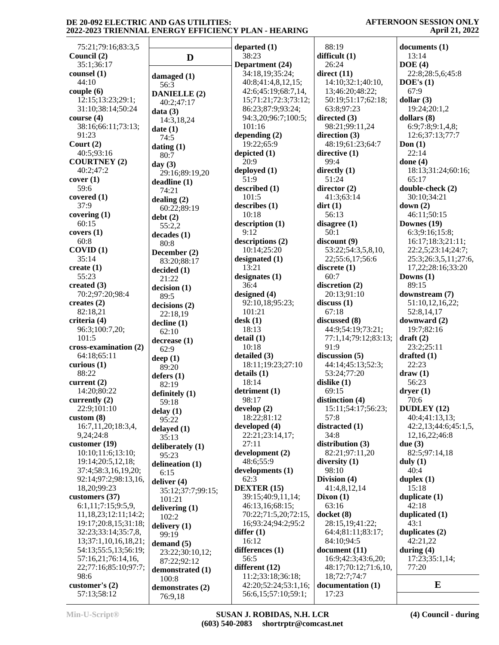#### **AFTERNOON SESSION ONLY April 21, 2022**

| 75:21;79:16;83:3,5    |                      | departed $(1)$       | 88:19                | documents (1)        |
|-----------------------|----------------------|----------------------|----------------------|----------------------|
| Council (2)           | D                    | 38:23                | difficult (1)        | 13:14                |
| 35:1:36:17            |                      | Department (24)      | 26:24                | DOE(4)               |
| counsel (1)           | damaged (1)          | 34:18,19;35:24;      | direct $(11)$        | 22:8;28:5,6;45:8     |
| 44:10                 | 56:3                 | 40:8;41:4,8,12,15;   | 14:10;32:1;40:10,    | DOE's(1)             |
| couple(6)             |                      | 42:6;45:19;68:7,14,  | 13;46:20;48:22;      | 67:9                 |
| 12:15;13:23;29:1;     | <b>DANIELLE</b> (2)  | 15;71:21;72:3;73:12; | 50:19;51:17;62:18;   | dollar $(3)$         |
| 31:10;38:14;50:24     | 40:2;47:17           | 86:23;87:9;93:24;    | 63:8;97:23           | 19:24;20:1,2         |
| course $(4)$          | data(3)              | 94:3,20;96:7;100:5;  | directed $(3)$       | dollars $(8)$        |
| 38:16;66:11;73:13;    | 14:3,18,24           | 101:16               | 98:21;99:11,24       | 6:9;7:8;9:1,4,8;     |
| 91:23                 | date(1)              | depending $(2)$      | direction (3)        | 12:6;37:13;77:7      |
| Court $(2)$           | 74:5                 | 19:22;65:9           | 48:19;61:23;64:7     |                      |
|                       | dating $(1)$         |                      |                      | Don $(1)$<br>22:14   |
| 40:5;93:16            | 80:7                 | depicted (1)         | directive $(1)$      |                      |
| <b>COURTNEY (2)</b>   | day $(3)$            | 20:9                 | 99:4                 | done $(4)$           |
| 40:2;47:2             | 29:16;89:19,20       | deployed (1)         | directly $(1)$       | 18:13;31:24;60:16;   |
| cover(1)              | deadline (1)         | 51:9                 | 51:24                | 65:17                |
| 59:6                  | 74:21                | described (1)        | director (2)         | double-check (2)     |
| covered $(1)$         | dealing $(2)$        | 101:5                | 41:3;63:14           | 30:10;34:21          |
| 37:9                  | 60:22;89:19          | describes (1)        | $\text{dirt}(1)$     | down $(2)$           |
| covering $(1)$        | debt(2)              | 10:18                | 56:13                | 46:11;50:15          |
| 60:15                 | 55:2,2               | description (1)      | disagree $(1)$       | Downes (19)          |
| covers(1)             | decades(1)           | 9:12                 | 50:1                 | 6:3;9:16;15:8;       |
| 60:8                  | 80:8                 | descriptions (2)     | discount (9)         | 16:17;18:3;21:11;    |
| COVID(1)              | December (2)         | 10:14;25:20          | 53:22;54:3,5,8,10,   | 22:2,5;23:14;24:7;   |
| 35:14                 |                      | designated (1)       | 22;55:6,17;56:6      | 25:3;26:3,5,11;27:6, |
| create $(1)$          | 83:20;88:17          | 13:21                | discrete $(1)$       | 17,22;28:16;33:20    |
| 55:23                 | decided (1)          | designates $(1)$     | 60:7                 | Downs $(1)$          |
| created $(3)$         | 21:22                | 36:4                 | discretion (2)       | 89:15                |
| 70:2;97:20;98:4       | decision(1)          |                      | 20:13;91:10          |                      |
|                       | 89:5                 | designed $(4)$       |                      | downstream (7)       |
| creates $(2)$         | decisions (2)        | 92:10,18;95:23;      | discuss(1)           | 51:10,12,16,22;      |
| 82:18,21              | 22:18,19             | 101:21               | 67:18                | 52:8,14,17           |
| criteria (4)          | $\text{decline} (1)$ | $\text{desk}(1)$     | discussed (8)        | downward (2)         |
| 96:3;100:7,20;        | 62:10                | 18:13                | 44:9;54:19;73:21;    | 19:7;82:16           |
| 101:5                 | decrease(1)          | delta(1)             | 77:1,14;79:12;83:13; | $draff(2)$           |
| cross-examination (2) | 62:9                 | 10:18                | 91:9                 | 23:2;25:11           |
| 64:18;65:11           | deep $(1)$           | detailed (3)         | discussion (5)       | drafted $(1)$        |
| curious $(1)$         | 89:20                | 18:11;19:23;27:10    | 44:14;45:13;52:3;    | 22:23                |
| 88:22                 | defers $(1)$         | details(1)           | 53:24;77:20          | draw(1)              |
| current $(2)$         | 82:19                | 18:14                | dislike $(1)$        | 56:23                |
| 14:20;80:22           |                      | detriment (1)        | 69:15                | $\bf{dryer}$ (1)     |
| currently (2)         | definitely (1)       | 98:17                | distinction (4)      | 70:6                 |
| 22:9;101:10           | 59:18                | $d$ evelop $(2)$     | 15:11;54:17;56:23;   | <b>DUDLEY</b> (12)   |
| custom $(8)$          | delay(1)             | 18:22;81:12          | 57:8                 | 40:4;41:13,13;       |
| 16:7,11,20;18:3,4,    | 95:22                | developed (4)        | distracted (1)       | 42:2,13;44:6;45:1,5, |
|                       | delayed $(1)$        | 22:21;23:14,17;      |                      |                      |
| 9,24;24:8             | 35:13                |                      | 34:8                 | 12, 16, 22, 46: 8    |
| customer $(19)$       | deliberately (1)     | 27:11                | distribution (3)     | due $(3)$            |
| 10:10;11:6;13:10;     | 95:23                | development (2)      | 82:21;97:11,20       | 82:5;97:14,18        |
| 19:14;20:5,12,18;     | delineation (1)      | 48:6;55:9            | diversity $(1)$      | duly $(1)$           |
| 37:4;58:3,16,19,20;   | 6:15                 | developments (1)     | 98:10                | 40:4                 |
| 92:14;97:2;98:13,16,  | deliver $(4)$        | 62:3                 | Division (4)         | duplex $(1)$         |
| 18,20;99:23           | 35:12;37:7;99:15;    | <b>DEXTER (15)</b>   | 41:4,8,12,14         | 15:18                |
| customers (37)        | 101:21               | 39:15;40:9,11,14;    | Dixon $(1)$          | duplicate $(1)$      |
| 6:1,11;7:15;9:5,9,    | delivering (1)       | 46:13,16;68:15;      | 63:16                | 42:18                |
| 11,18,23;12:11;14:2;  | 102:2                | 70:22;71:5,20;72:15, | docket (8)           | duplicated (1)       |
| 19:17;20:8,15;31:18;  | delivery $(1)$       | 16;93:24;94:2;95:2   | 28:15,19;41:22;      | 43:1                 |
| 32:23;33:14;35:7,8,   | 99:19                | differ $(1)$         | 64:4;81:11;83:17;    | duplicates $(2)$     |
| 13;37:1,10,16,18,21;  | demand $(5)$         | 16:12                | 84:10;94:5           | 42:21,22             |
| 54:13;55:5,13;56:19;  |                      | differences (1)      | document (11)        | during $(4)$         |
| 57:16,21;76:14,16,    | 23:22;30:10,12;      | 56:5                 | 16:9;42:3;43:6,20;   | 17:23;35:1,14;       |
| 22;77:16;85:10;97:7;  | 87:22;92:12          | different (12)       | 48:17;70:12;71:6,10, | 77:20                |
| 98:6                  | demonstrated (1)     | 11:2;33:18;36:18;    | 18;72:7;74:7         |                      |
| customer's $(2)$      | 100:8                | 42:20;52:24;53:1,16; | documentation (1)    | E                    |
|                       | demonstrates (2)     |                      |                      |                      |
| 57:13;58:12           | 76.918               | 56:6,15;57:10;59:1;  | 17:23                |                      |

76:9,18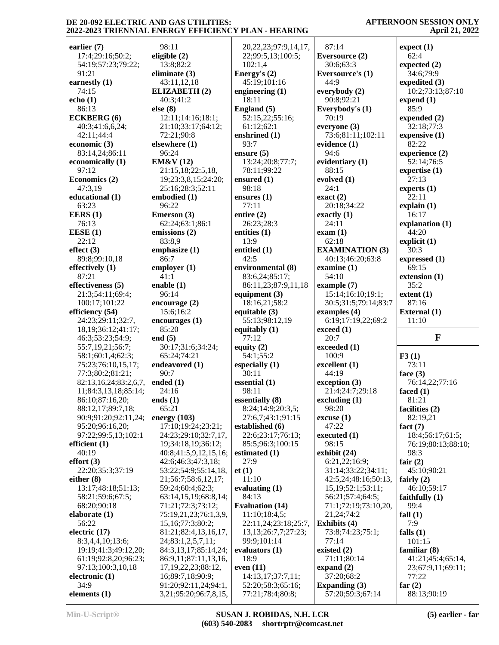**AFTERNOON SESSION ONLY April 21, 2022**

| earlier $(7)$           | 98:11                                         | 20, 22, 23; 97: 9, 14, 17,            | 87:14                               | expect(1)                |
|-------------------------|-----------------------------------------------|---------------------------------------|-------------------------------------|--------------------------|
| 17:4;29:16;50:2;        | eligible (2)                                  | 22;99:5,13;100:5;                     | Eversource (2)                      | 62:4                     |
| 54:19;57:23;79:22;      | 13:8;82:2                                     | 102:1,4                               | 30:6;63:3                           | expected $(2)$           |
| 91:21                   | eliminate $(3)$                               | Energy's (2)                          | <b>Eversource's (1)</b>             | 34:6;79:9                |
| earnestly (1)           | 43:11,12,18                                   | 45:19;101:16                          | 44:9                                | expedited (3)            |
| 74:15                   | <b>ELIZABETH (2)</b>                          | engineering $(1)$                     | everybody $(2)$                     | 10:2;73:13;87:10         |
| echo $(1)$              | 40:3;41:2                                     | 18:11                                 | 90:8;92:21                          | expand(1)                |
| 86:13                   | else (8)                                      | England (5)                           |                                     | 85:9                     |
|                         |                                               |                                       | Everybody's (1)                     |                          |
| <b>ECKBERG</b> (6)      | 12:11;14:16;18:1;                             | 52:15,22;55:16;                       | 70:19                               | expended (2)             |
| 40:3;41:6,6,24;         | 21:10:33:17:64:12;                            | 61:12;62:1                            | everyone (3)                        | 32:18;77:3               |
| 42:11;44:4              | 72:21;90:8                                    | enshrined (1)                         | 73:6;81:11;102:11                   | expensive $(1)$          |
| economic (3)            | elsewhere (1)                                 | 93:7                                  | evidence (1)                        | 82:22                    |
| 83:14,24;86:11          | 96:24                                         | ensure $(5)$                          | 94:6                                | experience (2)           |
| economically (1)        | <b>EM&amp;V</b> (12)                          | 13:24;20:8;77:7;                      | evidentiary (1)                     | 52:14;76:5               |
| 97:12                   | 21:15,18;22:5,18,                             | 78:11;99:22                           | 88:15                               | expertise (1)            |
| Economics (2)           | 19;23:3,8,15;24:20;                           | ensured $(1)$                         | evolved $(1)$                       | 27:13                    |
| 47:3,19                 | 25:16;28:3;52:11                              | 98:18                                 | 24:1                                | experts $(1)$            |
| educational (1)         | embodied (1)                                  | ensures $(1)$                         | exact $(2)$                         | 22:11                    |
| 63:23                   | 96:22                                         | 77:11                                 | 20:18;34:22                         | explain(1)               |
| EERS $(1)$              | Emerson (3)                                   | entire $(2)$                          | exactly $(1)$                       | 16:17                    |
| 76:13                   | 62:24;63:1;86:1                               | 26:23;28:3                            | 24:11                               | explanation (1)          |
| EESE(1)                 | emissions (2)                                 | entities $(1)$                        | exam(1)                             | 44:20                    |
| 22:12                   | 83:8,9                                        | 13:9                                  | 62:18                               | explicit $(1)$           |
| effect $(3)$            | emphasize (1)                                 | entitled (1)                          | <b>EXAMINATION (3)</b>              | 30:3                     |
| 89:8;99:10,18           | 86:7                                          | 42:5                                  | 40:13;46:20;63:8                    | expressed (1)            |
| effectively $(1)$       | emplover(1)                                   | environmental (8)                     | examine $(1)$                       | 69:15                    |
| 87:21                   | 41:1                                          | 83:6,24;85:17;                        | 54:10                               | extension (1)            |
| effectiveness (5)       | enable $(1)$                                  | 86:11,23;87:9,11,18                   | example $(7)$                       | 35:2                     |
|                         | 96:14                                         |                                       |                                     |                          |
| 21:3;54:11;69:4;        |                                               | equipment $(3)$                       | 15:14;16:10;19:1;                   | extent(1)                |
| 100:17;101:22           | encourage $(2)$                               | 18:16,21;58:2                         | 30:5;31:5;79:14;83:7                | 87:16                    |
| efficiency (54)         | 15:6;16:2                                     | equitable $(3)$                       | examples $(4)$                      | <b>External</b> (1)      |
| 24:23;29:11;32:7,       | encourages(1)                                 |                                       |                                     |                          |
|                         |                                               | 55:13;98:12,19                        | 6:19;17:19,22;69:2                  | 11:10                    |
| 18, 19; 36: 12; 41: 17; | 85:20                                         | equitably $(1)$                       | exceed (1)                          |                          |
| 46:3;53:23;54:9;        | end $(5)$                                     | 77:12                                 | 20:7                                | F                        |
| 55:7,19,21;56:7;        | 30:17;31:6;34:24;                             | equity $(2)$                          | exceeded (1)                        |                          |
| 58:1;60:1,4;62:3;       | 65:24;74:21                                   | 54:1;55:2                             | 100:9                               | F3(1)                    |
| 75:23;76:10,15,17;      | endeavored (1)                                | especially (1)                        | excellent (1)                       | 73:11                    |
| 77:3;80:2;81:21;        | 90:7                                          | 30:11                                 | 44:19                               | face $(3)$               |
| 82:13,16,24;83:2,6,7,   | ended $(1)$                                   | essential (1)                         | exception (3)                       | 76:14,22;77:16           |
| 11;84:3,13,18;85:14;    | 24:16                                         | 98:11                                 | 21:4;24:7;29:18                     | faced $(1)$              |
| 86:10;87:16,20;         | ends $(1)$                                    | essentially (8)                       |                                     | 81:21                    |
| 88:12,17;89:7,18;       | 65:21                                         | 8:24;14:9;20:3,5;                     | excluding (1)<br>98:20              | facilities (2)           |
| 90:9;91:20;92:11,24;    | energy $(103)$                                | 27:6,7;43:1;91:15                     | excuse(1)                           | 82:19,21                 |
| 95:20;96:16,20;         | 17:10;19:24;23:21;                            | established (6)                       | 47:22                               | fact $(7)$               |
| 97:22;99:5,13;102:1     | 24:23;29:10;32:7,17,                          | 22:6;23:17;76:13;                     | executed $(1)$                      | 18:4;56:17;61:5;         |
| efficient $(1)$         | 19;34:18,19;36:12;                            | 85:5;96:3;100:15                      | 98:15                               | 76:19;80:13;88:10;       |
| 40:19                   |                                               |                                       |                                     | 98:3                     |
|                         | 40:8;41:5,9,12,15,16;                         | estimated (1)<br>27:9                 | exhibit (24)                        |                          |
| effort $(3)$            | 42:6;46:3;47:3,18;                            |                                       | 6:21,22;16:9;                       | fair $(2)$               |
| 22:20;35:3;37:19        | 53:22;54:9;55:14,18,                          | et(1)                                 | 31:14;33:22;34:11;                  | 45:10;90:21              |
| either $(8)$            | 21;56:7;58:6,12,17;                           | 11:10                                 | 42:5,24;48:16;50:13,                | fairly $(2)$             |
| 13:17;48:18;51:13;      | 59:24;60:4;62:3;                              | evaluating $(1)$                      | 15, 19; 52: 1; 53: 11;              | 46:10:59:17              |
| 58:21;59:6;67:5;        | 63:14,15,19;68:8,14;                          | 84:13                                 | 56:21;57:4;64:5;                    | faithfully $(1)$         |
| 68:20;90:18             | 71:21;72:3;73:12;                             | <b>Evaluation (14)</b>                | 71:1;72:19;73:10,20,                | 99:4                     |
| elaborate $(1)$         | 75:19,21,23;76:1,3,9,                         | 11:10;18:4,5;                         | 21,24;74:2                          | fall $(1)$               |
| 56:22                   | 15,16;77:3;80:2;                              | 22:11,24;23:18;25:7,                  | <b>Exhibits</b> (4)                 | 7:9                      |
| electric $(17)$         | 81:21;82:4,13,16,17,                          | 13, 13, 26: 7, 7, 27: 23;             | 73:8;74:23;75:1;                    | falls $(1)$              |
| 8:3,4,4,10;13:6;        | 24;83:1,2,5,7,11;                             | 99:9;101:14                           | 77:14                               | 101:15                   |
| 19:19;41:3;49:12,20;    | 84:3,13,17;85:14,24;                          | evaluators $(1)$                      | existed $(2)$                       | familiar (8)             |
| 61:19;92:8,20;96:23;    | 86:9,11;87:11,13,16,                          | 18:9                                  | 71:11;80:14                         | 41:21;45:4;65:14,        |
| 97:13;100:3,10,18       | 17, 19, 22, 23; 88: 12,                       | even $(11)$                           | expand $(2)$                        | 23;67:9,11;69:11;        |
| electronic (1)          | 16;89:7,18;90:9;                              | 14:13,17;37:7,11;                     | 37:20;68:2                          | 77:22                    |
| 34:9<br>elements (1)    | 91:20;92:11,24;94:1,<br>3,21;95:20;96:7,8,15, | 52:20;58:3;65:16;<br>77:21;78:4;80:8; | Expanding $(3)$<br>57:20;59:3;67:14 | far $(2)$<br>88:13;90:19 |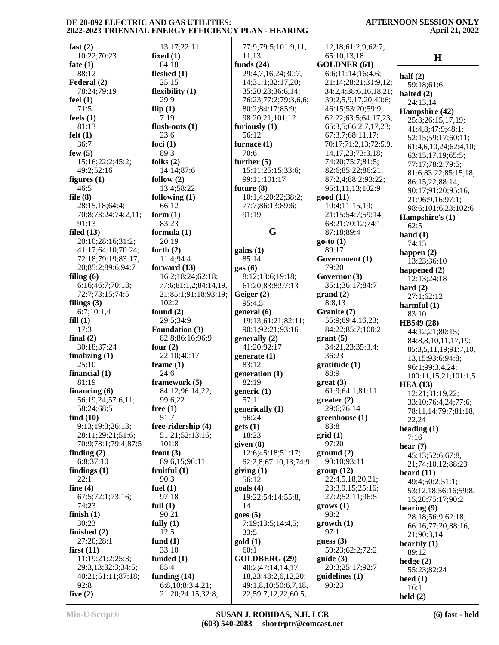| fast $(2)$                  | 13:17;22:11                     | 77:9;79:5;101:9,11,   | 12,18;61:2,9;62:7;       |                       |
|-----------------------------|---------------------------------|-----------------------|--------------------------|-----------------------|
| 10:22;70:23                 | fixed $(1)$                     | 11,13                 | 65:10,13,18              | $\mathbf H$           |
| fate $(1)$                  | 84:18                           | funds $(24)$          | <b>GOLDNER (61)</b>      |                       |
| 88:12                       | fleshed $(1)$                   | 29:4,7,16,24;30:7,    | 6:6;11:14;16:4,6;        | half $(2)$            |
| Federal (2)                 | 25:15                           | 14;31:1;32:17,20;     | 21:14;28:21;31:9,12;     | 59:18;61:6            |
| 78:24;79:19                 | flexibility $(1)$               | 35:20,23;36:6,14;     | 34:2,4;38:6,16,18,21;    | halted $(2)$          |
| feel $(1)$                  | 29:9                            | 76:23;77:2;79:3,6,6;  | 39:2,5,9,17,20;40:6;     | 24:13,14              |
| 71:5                        | flip $(1)$                      | 80:2;84:17;85:9;      | 46:15;53:20;59:9;        | Hampshire (42)        |
| feels $(1)$                 | 7:19                            | 98:20,21;101:12       | 62:22;63:5;64:17,23;     | 25:3;26:15,17,19;     |
| 81:13                       | flush-outs $(1)$                | furiously $(1)$       | 65:3,5;66:2,7,17,23;     | 41:4,8;47:9;48:1;     |
| felt(1)                     | 23:6                            | 56:12                 | 67:3,7;68:11,17;         | 52:15;59:17;60:11;    |
| 36:7                        | foci $(1)$                      | furnace $(1)$         | 70:17;71:2,13;72:5,9,    | 61:4,6,10,24;62:4,10; |
| few $(5)$                   | 89:3                            | 70:6                  | 14, 17, 23; 73: 3, 18;   | 63:15,17,19;65:5;     |
| 15:16;22:2;45:2;            | folks $(2)$                     | further $(5)$         | 74:20;75:7;81:5;         | 77:17:78:2:79:5;      |
| 49:2;52:16                  | 14:14;87:6                      | 15:11;25:15;33:6;     | 82:6;85:22;86:21;        | 81:6;83:22;85:15,18;  |
| figures $(1)$               | follow $(2)$                    | 99:11;101:17          | 87:2,4;88:2;93:22;       | 86:15,22;88:14;       |
| 46:5                        | 13:4;58:22                      | future $(8)$          | 95:1,11,13;102:9         | 90:17;91:20;95:16,    |
| file $(8)$                  | following $(1)$                 | 10:1,4;20:22;38:2;    | good(11)                 | 21;96:9,16;97:1;      |
| 28:15,18;64:4;              | 66:12                           | 77:7;86:13;89:6;      | 10:4;11:15,19;           | 98:6;101:6,23;102:6   |
| 70:8;73:24;74:2,11;         | form $(1)$                      | 91:19                 | 21:15:54:7:59:14;        | Hampshire's (1)       |
| 91:13                       | 83:23                           |                       | 68:21;70:12;74:1;        | 62:5                  |
| filed $(13)$                | formula (1)                     | G                     | 87:18;89:4               | hand $(1)$            |
| 20:10;28:16;31:2;           | 20:19                           |                       | $go-to(1)$               | 74:15                 |
| 41:17;64:10;70:24;          | forth $(2)$                     | gains(1)              | 89:17                    | happen $(2)$          |
| 72:18;79:19;83:17,          | 11:4;94:4                       | 85:14                 | Government (1)           | 13:23;36:10           |
| 20;85:2;89:6;94:7           | forward $(13)$                  | gas(6)                | 79:20                    | happened $(2)$        |
| filing $(6)$                | 16:2;18:24;62:18;               | 8:12;13:6;19:18;      | Governor (3)             | 12:13:24:18           |
| 6:16;46:7;70:18;            | 77:6;81:1,2;84:14,19,           | 61:20;83:8;97:13      | 35:1;36:17;84:7          | hard $(2)$            |
| 72:7;73:15;74:5             | 21;85:1;91:18;93:19;            | Geiger (2)            | grand(2)                 | 27:1;62:12            |
| filings $(3)$               | 102:2                           | 95:4,5                | 8:8,13                   | harmful $(1)$         |
| 6:7;10:1,4                  | found $(2)$                     | general (6)           | Granite (7)              | 83:10                 |
| fill(1)                     | 29:5;34:9                       | 19:13;61:21;82:11;    | 55:9;69:4,16,23;         | HB549 (28)            |
| 17:3                        | <b>Foundation (3)</b>           | 90:1;92:21;93:16      | 84:22;85:7;100:2         | 44:12,21;80:15;       |
| final $(2)$                 | 82:8;86:16;96:9                 | generally (2)         | grant (5)                | 84:8,8,10,11,17,19;   |
| 30:18;37:24                 | four $(2)$                      | 41:20;92:17           | 34:21,23;35:3,4;         | 85:3,5,11,19;91:7,10, |
| finalizing $(1)$            | 22:10;40:17                     | generate $(1)$        | 36:23                    | 13,15;93:6;94:8;      |
| 25:10                       | frame $(1)$                     | 83:12                 | gratitude(1)             | 96:1;99:3,4,24;       |
| financial $(1)$             | 24:6                            | generation $(1)$      | 88:9                     | 100:11,15,21;101:1,5  |
| 81:19                       | framework (5)                   | 82:19                 | $gr(3)$                  | <b>HEA</b> (13)       |
| financing $(6)$             | 84:12;96:14,22;                 | generic $(1)$         | 61:9;64:1;81:11          | 12:21;31:19,22;       |
| 56:19,24;57:6,11;           | 99:6,22                         | 57:11                 | greater <sub>(2)</sub>   | 33:10;76:4,24;77:6;   |
| 58:24;68:5                  | free $(1)$                      | generically (1)       | 29:6;76:14               | 78:11,14;79:7;81:18,  |
| find $(10)$                 | 51:7                            | 56:24                 | greenhouse (1)           | 22,24                 |
| 9:13;19:3;26:13;            | free-ridership (4)              | gets(1)               | 83:8                     | heading $(1)$         |
| 28:11;29:21;51:6;           | 51:21;52:13,16;                 | 18:23                 | grid(1)                  | 7:16                  |
| 70:9;78:1;79:4;87:5         | 101:8                           | given (8)             | 97:20                    | hear $(7)$            |
| finding $(2)$               | front $(3)$                     | 12:6;45:18;51:17;     | ground(2)                | 45:13;52:6;67:8,      |
| 6:8;37:10<br>findings $(1)$ | 89:6,15;96:11<br>fruitful $(1)$ | 62:2,8;67:10,13;74:9  | 90:10:93:11<br>group(12) | 21;74:10,12;88:23     |
| 22:1                        | 90:3                            | giving $(1)$<br>56:12 | 22:4,5,18,20,21;         | heard $(11)$          |
| fine $(4)$                  | fuel $(1)$                      | goals(4)              | 23:3,9,15;25:16;         | 49:4;50:2;51:1;       |
| 67:5;72:1;73:16;            | 97:18                           | 19:22;54:14;55:8,     | 27:2;52:11;96:5          | 53:12,18;56:16;59:8,  |
| 74:23                       | full $(1)$                      | 14                    | grows (1)                | 15,20;75:17;90:2      |
| finish $(1)$                | 90:21                           | goes(5)               | 98:2                     | hearing $(9)$         |
| 30:23                       | fully $(1)$                     | 7:19;13:5;14:4,5;     | growth(1)                | 28:18;56:9;62:18;     |
| finished $(2)$              | 12:5                            | 33:5                  | 97:1                     | 66:16;77:20;88:16,    |
| 27:20;28:1                  | fund $(1)$                      | gold(1)               | guess $(3)$              | 21:90:3.14            |
| first $(11)$                | 33:10                           | 60:1                  | 59:23;62:2;72:2          | heartily $(1)$        |
| 11:19;21:2;25:3;            | funded $(1)$                    | GOLDBERG (29)         | guide(3)                 | 89:12                 |
| 29:3,13;32:3;34:5;          | 85:4                            | 40:2;47:14,14,17,     | 20:3;25:17;92:7          | hedge $(2)$           |
| 40:21;51:11;87:18;          | funding $(14)$                  | 18,23;48:2,6,12,20;   | quidelines(1)            | 55:23;82:24           |
| 92:8                        | 6:8,10;8:3,4,21;                | 49:1,8,10;50:6,7,18,  | 90:23                    | heed $(1)$<br>16:1    |
| five $(2)$                  | 21:20;24:15;32:8;               | 22;59:7,12,22;60:5,   |                          | held $(2)$            |
|                             |                                 |                       |                          |                       |

**held (2)**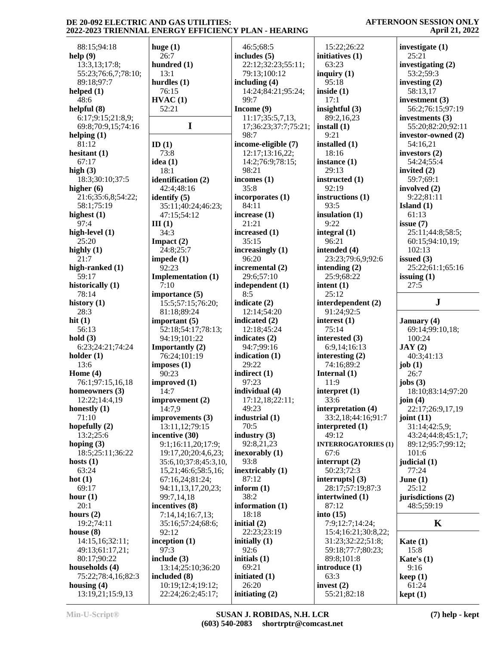| 88:15;94:18         | huge $(1)$                | 46:5;68:5            | 15:22;26:22                | investigate (1)    |
|---------------------|---------------------------|----------------------|----------------------------|--------------------|
| help(9)             | 26:7                      | includes $(5)$       | initiatives (1)            | 25:21              |
| 13:3,13;17:8;       | hundred (1)               | 22:12;32:23;55:11;   | 63:23                      | investigating (2)  |
| 55:23;76:6,7;78:10; | 13:1                      | 79:13;100:12         | inquiry $(1)$              | 53:2;59:3          |
| 89:18;97:7          | hurdles $(1)$             | including $(4)$      | 95:18                      | investing $(2)$    |
|                     |                           |                      |                            |                    |
| helped $(1)$        | 76:15                     | 14:24;84:21;95:24;   | inside $(1)$               | 58:13,17           |
| 48:6                | HVAC(1)                   | 99:7                 | 17:1                       | investment $(3)$   |
| helpful $(8)$       | 52:21                     | Income (9)           | insightful $(3)$           | 56:2;76:15;97:19   |
| 6:17;9:15;21:8,9;   |                           | 11:17;35:5,7,13,     | 89:2,16,23                 | investments (3)    |
| 69:8;70:9,15;74:16  | $\mathbf I$               | 17;36:23;37:7;75:21; | install $(1)$              | 55:20;82:20;92:11  |
| helping $(1)$       |                           | 98:7                 | 9:21                       | investor-owned (2) |
| 81:12               | ID(1)                     | income-eligible (7)  | installed (1)              | 54:16,21           |
| hesitant $(1)$      | 73:8                      | 12:17;13:16,22;      | 18:16                      | investors $(2)$    |
| 67:17               | idea $(1)$                | 14:2;76:9;78:15;     | instance $(1)$             | 54:24;55:4         |
| high $(3)$          | 18:1                      | 98:21                | 29:13                      | invited $(2)$      |
|                     |                           |                      |                            |                    |
| 18:3;30:10;37:5     | identification (2)        | incomes $(1)$        | instructed (1)             | 59:7;69:1          |
| higher $(6)$        | 42:4;48:16                | 35:8                 | 92:19                      | involved (2)       |
| 21:6;35:6,8;54:22;  | identify $(5)$            | incorporates (1)     | instructions (1)           | 9:22;81:11         |
| 58:1;75:19          | 35:11;40:24;46:23;        | 84:11                | 93:5                       | Island $(1)$       |
| highest $(1)$       | 47:15;54:12               | increase $(1)$       | insulation $(1)$           | 61:13              |
| 97:4                | III(1)                    | 21:21                | 9:22                       | issue $(7)$        |
| high-level (1)      | 34:3                      | increased (1)        | integral $(1)$             | 25:11;44:8;58:5;   |
| 25:20               | Impact $(2)$              | 35:15                | 96:21                      | 60:15;94:10,19;    |
| highly $(1)$        | 24:8;25:7                 | increasingly $(1)$   | intended (4)               | 102:13             |
| 21:7                | impede $(1)$              | 96:20                | 23:23;79:6,9;92:6          | issued $(3)$       |
|                     |                           |                      |                            |                    |
| high-ranked (1)     | 92:23                     | incremental (2)      | intending $(2)$            | 25:22;61:1;65:16   |
| 59:17               | <b>Implementation (1)</b> | 29:6;57:10           | 25:9;68:22                 | issuing $(1)$      |
| historically (1)    | 7:10                      | independent (1)      | intent $(1)$               | 27:5               |
| 78:14               | importance (5)            | 8:5                  | 25:12                      |                    |
| history $(1)$       | 15:5;57:15;76:20;         | indicate (2)         | interdependent (2)         | ${\bf J}$          |
| 28:3                | 81:18;89:24               | 12:14;54:20          | 91:24;92:5                 |                    |
| hit $(1)$           | important $(5)$           | indicated (2)        | interest $(1)$             | January (4)        |
| 56:13               | 52:18;54:17;78:13;        | 12:18;45:24          | 75:14                      | 69:14;99:10,18;    |
| hold(3)             | 94:19;101:22              | indicates $(2)$      | interested (3)             | 100:24             |
| 6:23;24:21;74:24    |                           | 94:7;99:16           | 6:9,14;16:13               | JAY(2)             |
|                     | <b>Importantly (2)</b>    |                      |                            |                    |
| holder $(1)$        | 76:24;101:19              | indication $(1)$     | interesting $(2)$          | 40:3;41:13         |
| 13:6                | imposes(1)                | 29:22                | 74:16;89:2                 | job $(1)$          |
| Home $(4)$          | 90:23                     | indirect (1)         | Internal $(1)$             | 26:7               |
| 76:1;97:15,16,18    | improved (1)              | 97:23                | 11:9                       | jobs $(3)$         |
| homeowners (3)      | 14:7                      | individual (4)       | interpret $(1)$            | 18:10;83:14;97:20  |
| 12:22;14:4,19       | improvement (2)           | 17:12,18;22:11;      | 33:6                       | join $(4)$         |
| honestly $(1)$      | 14:7,9                    | 49:23                | interpretation (4)         | 22:17;26:9,17,19   |
| 71:10               | improvements (3)          | industrial (1)       | 33:2,18;44:16;91:7         | joint $(11)$       |
| hopefully $(2)$     | 13:11,12;79:15            | 70:5                 | interpreted $(1)$          | 31:14;42:5,9;      |
| 13:2;25:6           | incentive (30)            | industry $(3)$       | 49:12                      | 43:24;44:8;45:1,7; |
| hoping $(3)$        | 9:1;16:11,20;17:9;        | 92:8,21,23           | <b>INTERROGATORIES (1)</b> |                    |
|                     |                           |                      |                            | 89:12;95:7;99:12;  |
| 18:5;25:11;36:22    | 19:17,20;20:4,6,23;       | inexorably $(1)$     | 67:6                       | 101:6              |
| hosts $(1)$         | 35:6, 10; 37:8; 45:3, 10, | 93:8                 | interrupt $(2)$            | judicial (1)       |
| 63:24               | 15,21;46:6;58:5,16;       | inextricably $(1)$   | 50:23;72:3                 | 77:24              |
| hot $(1)$           | 67:16,24;81:24;           | 87:12                | interrupts] $(3)$          | June $(1)$         |
| 69:17               | 94:11,13,17,20,23;        | inform $(1)$         | 28:17;57:19;87:3           | 25:12              |
| hour $(1)$          | 99:7,14,18                | 38:2                 | intertwined (1)            | jurisdictions (2)  |
| 20:1                | incentives (8)            | information (1)      | 87:12                      | 48:5;59:19         |
| hours $(2)$         | 7:14,14;16:7,13;          | 18:18                | into $(15)$                |                    |
| 19:2;74:11          | 35:16;57:24;68:6;         | initial $(2)$        | 7:9;12:7;14:24;            | $\mathbf K$        |
| house $(8)$         | 92:12                     | 22:23;23:19          | 15:4;16:21;30:8,22;        |                    |
|                     |                           |                      |                            |                    |
| 14:15,16;32:11;     | inception $(1)$           | initially (1)        | 31:23;32:22;51:8;          | Kate $(1)$         |
| 49:13;61:17,21;     | 97:3                      | 92:6                 | 59:18;77:7;80:23;          | 15:8               |
| 80:17;90:22         | include $(3)$             | initials $(1)$       | 89:8;101:8                 | Kate's $(1)$       |
| households (4)      | 13:14;25:10;36:20         | 69:21                | introduce (1)              | 9:16               |
| 75:22;78:4,16;82:3  | included (8)              | initiated (1)        | 63:3                       | keep(1)            |
| housing $(4)$       | 10:19;12:4;19:12;         | 26:20                | invest $(2)$               | 61:24              |
| 13:19,21;15:9,13    | 22:24;26:2;45:17;         | initiating $(2)$     | 55:21;82:18                | kept(1)            |
|                     |                           |                      |                            |                    |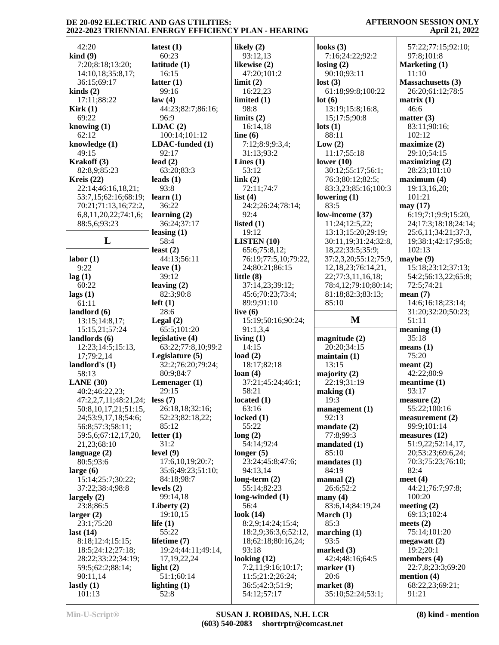| 42:20                                                                                                                                                    | latest $(1)$           | likely $(2)$                   | looks $(3)$                       | 57:22;77:15;92:10;       |
|----------------------------------------------------------------------------------------------------------------------------------------------------------|------------------------|--------------------------------|-----------------------------------|--------------------------|
| $\operatorname{kind}(9)$                                                                                                                                 | 60:23                  | 93:12,13                       | 7:16;24:22;92:2                   | 97:8;101:8               |
| 7:20;8:18;13:20;                                                                                                                                         | latitude $(1)$         | likewise (2)                   | $\text{losing} (2)$               | Marketing (1)            |
|                                                                                                                                                          | 16:15                  |                                |                                   | 11:10                    |
| 14:10,18;35:8,17;                                                                                                                                        |                        | 47:20;101:2                    | 90:10;93:11                       |                          |
| 36:15;69:17                                                                                                                                              | latter $(1)$           | limit(2)                       | lost(3)                           | <b>Massachusetts</b> (3) |
| $\text{kinds}(2)$                                                                                                                                        | 99:16                  | 16:22,23                       | 61:18;99:8;100:22                 | 26:20;61:12;78:5         |
| 17:11;88:22                                                                                                                                              | law(4)                 | limited $(1)$                  | lot(6)                            | matrix(1)                |
| Kirk(1)                                                                                                                                                  | 44:23;82:7;86:16;      | 98:8                           | 13:19;15:8;16:8,                  | 46:6                     |
| 69:22                                                                                                                                                    | 96:9                   | limits $(2)$                   | 15;17:5;90:8                      | matter $(3)$             |
| knowing $(1)$                                                                                                                                            | LDAC(2)                | 16:14,18                       | $\text{lots}$ (1)                 | 83:11;90:16;             |
| 62:12                                                                                                                                                    | 100:14;101:12          | line $(6)$                     | 88:11                             | 102:12                   |
|                                                                                                                                                          |                        |                                |                                   |                          |
| knowledge (1)                                                                                                                                            | LDAC-funded (1)        | 7:12;8:9;9:3,4;                | Low(2)                            | maximize (2)             |
| 49:15                                                                                                                                                    | 92:17                  | 31:13;93:2                     | 11:17;55:18                       | 29:10:54:15              |
| Krakoff (3)                                                                                                                                              | lead $(2)$             | Lines $(1)$                    | lower $(10)$                      | maximizing(2)            |
| 82:8,9;85:23                                                                                                                                             | 63:20;83:3             | 53:12                          | 30:12;55:17;56:1;                 | 28:23;101:10             |
| Kreis $(22)$                                                                                                                                             | leads $(1)$            | link(2)                        | 76:3;80:12;82:5;                  | maximum(4)               |
| 22:14;46:16,18,21;                                                                                                                                       | 93:8                   | 72:11;74:7                     | 83:3,23;85:16;100:3               | 19:13,16,20;             |
| 53:7,15;62:16;68:19;                                                                                                                                     | learn $(1)$            | list $(4)$                     | lowering $(1)$                    | 101:21                   |
|                                                                                                                                                          | 36:22                  |                                | 83:5                              |                          |
| 70:21;71:13,16;72:2,                                                                                                                                     |                        | 24:2;26:24;78:14;              |                                   | may (17)                 |
| 6,8,11,20,22;74:1,6;                                                                                                                                     | learning $(2)$         | 92:4                           | low-income (37)                   | 6:19;7:1;9:9;15:20,      |
| 88:5,6;93:23                                                                                                                                             | 36:24;37:17            | listed $(1)$                   | 11:24;12:5,22;                    | 24;17:3;18:18;24:14;     |
|                                                                                                                                                          | leasing $(1)$          | 19:12                          | 13:13;15:20;29:19;                | 25:6,11;34:21;37:3,      |
| L                                                                                                                                                        | 58:4                   | <b>LISTEN</b> $(10)$           | 30:11,19;31:24;32:8,              | 19;38:1;42:17;95:8;      |
|                                                                                                                                                          | least $(2)$            | 65:6;75:8,12;                  | 18,22;33:5;35:9;                  | 102:13                   |
| labor(1)                                                                                                                                                 | 44:13;56:11            | 76:19;77:5,10;79:22,           | 37:2,3,20;55:12;75:9,             | maybe (9)                |
|                                                                                                                                                          |                        |                                |                                   |                          |
| 9:22                                                                                                                                                     | leave $(1)$            | 24;80:21;86:15                 | 12, 18, 23; 76: 14, 21,           | 15:18:23:12:37:13;       |
| lag(1)                                                                                                                                                   | 39:12                  | little $(8)$                   | 22;77:3,11,16,18;                 | 54:2;56:13,22;65:8;      |
| 60:22                                                                                                                                                    | leaving $(2)$          | 37:14,23;39:12;                | 78:4,12;79:10;80:14;              | 72:5;74:21               |
| lags(1)                                                                                                                                                  | 82:3;90:8              | 45:6;70:23;73:4;               | 81:18;82:3;83:13;                 | mean $(7)$               |
| 61:11                                                                                                                                                    | $left(1\right)$        | 89:9;91:10                     | 85:10                             | 14:6;16:18;23:14;        |
| landlord $(6)$                                                                                                                                           | 28:6                   | live $(6)$                     |                                   | 31:20;32:20;50:23;       |
| 13:15;14:8,17;                                                                                                                                           | Legal $(2)$            | 15:19;50:16;90:24;             | M                                 | 51:11                    |
|                                                                                                                                                          |                        |                                |                                   | meaning $(1)$            |
| 15:15,21;57:24                                                                                                                                           | 65:5;101:20            | 91:1,3,4                       |                                   |                          |
|                                                                                                                                                          |                        |                                |                                   |                          |
|                                                                                                                                                          | legislative (4)        | living $(1)$                   | magnitude (2)                     | 35:18                    |
| 12:23;14:5;15:13,                                                                                                                                        | 63:22;77:8,10;99:2     | 14:15                          | 20:20;34:15                       | means (1)                |
| 17;79:2,14                                                                                                                                               | Legislature (5)        | load $(2)$                     | maintain(1)                       | 75:20                    |
|                                                                                                                                                          |                        |                                |                                   |                          |
|                                                                                                                                                          | 32:2;76:20;79:24;      | 18:17;82:18                    | 13:15                             | meant $(2)$              |
| 58:13                                                                                                                                                    | 80:9;84:7              | loan $(4)$                     | majority $(2)$                    | 42:22:80:9               |
|                                                                                                                                                          | Lemenager $(1)$        | 37:21;45:24;46:1;              | 22:19;31:19                       | meantime $(1)$           |
| 40:2;46:22,23;                                                                                                                                           | 29:15                  | 58:21                          | making (1)                        | 93:17                    |
| $47:2,2,7,11;48:21,24;$ less (7)                                                                                                                         |                        | located(1)                     | 19:3                              | measure $(2)$            |
| 50:8, 10, 17, 21; 51: 15,                                                                                                                                | 26:18,18;32:16;        | 63:16                          | management $(1)$                  | 55:22;100:16             |
| 24;53:9,17,18;54:6;                                                                                                                                      | 52:23;82:18,22;        | locked $(1)$                   | 92:13                             | measurement(2)           |
|                                                                                                                                                          | 85:12                  | 55:22                          | mandate $(2)$                     | 99:9;101:14              |
| 56:8;57:3;58:11;                                                                                                                                         |                        |                                |                                   |                          |
| 59:5,6;67:12,17,20,                                                                                                                                      | letter $(1)$           | long(2)                        | 77:8;99:3                         | measures $(12)$          |
| 21,23;68:10                                                                                                                                              | 31:2                   | 54:14:92:4                     | mandated $(1)$                    | 51:9,22;52:14,17,        |
|                                                                                                                                                          | level $(9)$            | longer $(5)$                   | 85:10                             | 20;53:23;69:6,24;        |
| 80:5;93:6                                                                                                                                                | 17:6, 10, 19; 20:7;    | 23:24;45:8;47:6;               | mandates(1)                       | 70:3;75:23;76:10;        |
|                                                                                                                                                          | 35:6;49:23;51:10;      | 94:13,14                       | 84:19                             | 82:4                     |
| 15:14;25:7;30:22;                                                                                                                                        | 84:18;98:7             | long-term $(2)$                | manual(2)                         | meet $(4)$               |
| 37:22;38:4;98:8                                                                                                                                          | levels $(2)$           | 55:14;82:23                    | 26:6;52:2                         | 44:21;76:7;97:8;         |
|                                                                                                                                                          |                        |                                |                                   |                          |
|                                                                                                                                                          | 99:14,18               | long-winded (1)                | many $(4)$                        | 100:20                   |
| 23:8;86:5                                                                                                                                                | Liberty $(2)$          | 56:4                           | 83:6,14;84:19,24                  | meeting $(2)$            |
|                                                                                                                                                          | 19:10,15               | look (14)                      | March $(1)$                       | 69:13;102:4              |
| 23:1;75:20                                                                                                                                               | life $(1)$             | 8:2,9;14:24;15:4;              | 85:3                              | meets $(2)$              |
|                                                                                                                                                          | 55:22                  | 18:2,9;36:3,6;52:12,           | marching $(1)$                    | 75:14;101:20             |
| 8:18;12:4;15:15;                                                                                                                                         | lifetime $(7)$         | 18;62:18;80:16,24;             | 93:5                              | megawatt $(2)$           |
| 18:5;24:12;27:18;                                                                                                                                        | 19:24;44:11;49:14,     | 93:18                          |                                   | 19:2;20:1                |
|                                                                                                                                                          |                        |                                | marked (3)                        |                          |
| 28:22;33:22;34:19;                                                                                                                                       | 17, 19, 22, 24         | looking $(12)$                 | 42:4;48:16;64:5                   | members $(4)$            |
| 59:5;62:2;88:14;                                                                                                                                         | light $(2)$            | 7:2,11;9:16;10:17;             | marker $(1)$                      | 22:7,8;23:3;69:20        |
| 90:11,14                                                                                                                                                 | 51:1;60:14             | 11:5;21:2;26:24;               | 20:6                              | mention $(4)$            |
| landlords $(6)$<br>landlord's (1)<br>LANE $(30)$<br>language $(2)$<br>large $(6)$<br>largely $(2)$<br>larger(2)<br>last $(14)$<br>lastly $(1)$<br>101:13 | lighting $(1)$<br>52:8 | 36:5;42:3;51:9;<br>54:12;57:17 | market $(8)$<br>35:10;52:24;53:1; | 68:22,23;69:21;<br>91:21 |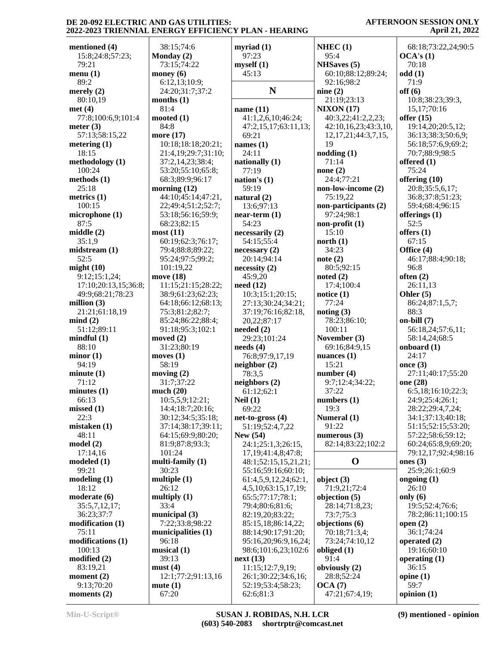|                                   |                     |                                 | NHEC $(1)$                | 68:18;73:22,24;90:5   |
|-----------------------------------|---------------------|---------------------------------|---------------------------|-----------------------|
| mentioned (4)<br>15:8;24:8;57:23; | 38:15;74:6          | myriad $(1)$<br>97:23           | 95:4                      | OCA's(1)              |
|                                   | Monday $(2)$        |                                 |                           |                       |
| 79:21                             | 73:15;74:22         | myself(1)                       | <b>NHSaves</b> (5)        | 70:18                 |
| menu(1)                           | money $(6)$         | 45:13                           | 60:10;88:12;89:24;        | odd(1)                |
| 89:2                              | 6:12,13;10:9;       |                                 | 92:16:98:2                | 71:9                  |
| merely $(2)$                      | 24:20;31:7;37:2     | N                               | nine $(2)$                | off(6)                |
| 80:10,19                          | months $(1)$        |                                 | 21:19;23:13               | 10:8;38:23;39:3,      |
| met(4)                            | 81:4                | name $(11)$                     | <b>NIXON</b> (17)         | 15,17;70:16           |
| 77:8;100:6,9;101:4                | mooted $(1)$        | 41:1,2,6,10;46:24;              | 40:3,22;41:2,2,23;        | offer $(15)$          |
| meter $(3)$                       | 84:8                | 47:2,15,17;63:11,13;            | 42:10,16,23;43:3,10,      | 19:14,20;20:5,12;     |
| 57:13;58:15,22                    | more (17)           | 69:21                           | 12, 17, 21; 44: 3, 7, 15, | 36:13;38:3;50:6,9;    |
| metering $(1)$                    | 10:18;18:18;20:21;  | names $(1)$                     | 19                        | 56:18;57:6,9;69:2;    |
| 18:15                             | 21:4,19;29:7;31:10; | 24:11                           | nodding(1)                | 70:7;88:9;98:5        |
| methodology (1)                   | 37:2,14,23;38:4;    | nationally (1)                  | 71:14                     | offered $(1)$         |
| 100:24                            | 53:20;55:10;65:8;   | 77:19                           | none $(2)$                | 75:24                 |
| methods (1)                       | 68:3;89:9;96:17     | nation's $(1)$                  | 24:4;77:21                | offering (10)         |
| 25:18                             | morning $(12)$      | 59:19                           | non-low-income (2)        | 20:8;35:5,6,17;       |
| metrics $(1)$                     | 44:10:45:14:47:21,  | natural (2)                     | 75:19,22                  | 36:8;37:8;51:23;      |
| 100:15                            | 22;49:4;51:2;52:7;  | 13:6;97:13                      | non-participants (2)      | 59:4;68:4;96:15       |
| microphone (1)                    | 53:18;56:16;59:9;   | $near-term (1)$                 | 97:24;98:1                | offerings $(1)$       |
| 87:5                              | 68:23;82:15         | 54:23                           | $non-profit(1)$           | 52:5                  |
| middle(2)                         | most(11)            | necessarily (2)                 | 15:10                     | offers $(1)$          |
| 35:1,9                            | 60:19;62:3;76:17;   | 54:15;55:4                      | north $(1)$               | 67:15                 |
| midstream(1)                      | 79:4:88:8:89:22:    | necessary(2)                    | 34:23                     | Office (4)            |
| 52:5                              | 95:24;97:5;99:2;    | 20:14;94:14                     | note $(2)$                | 46:17;88:4;90:18;     |
| might $(10)$                      | 101:19,22           | necessity(2)                    | 80:5;92:15                | 96:8                  |
| 9:12;15:1,24;                     | move (18)           | 45:9,20                         | noted $(2)$               | often $(2)$           |
| 17:10;20:13,15;36:8;              | 11:15;21:15;28:22;  | need $(12)$                     | 17:4;100:4                | 26:11,13              |
| 49:9;68:21;78:23                  | 38:9;61:23;62:23;   | 10:3;15:1;20:15;                | notice $(1)$              | Ohler $(5)$           |
| million $(3)$                     | 64:18;66:12;68:13;  | 27:13;30:24;34:21;              | 77:24                     | 86:24;87:1,5,7;       |
| 21:21;61:18,19                    | 75:3;81:2;82:7;     | 37:19;76:16;82:18,              | noting $(3)$              | 88:3                  |
| mind(2)                           | 85:24;86:22;88:4;   | 20,22;87:17                     | 78:23;86:10;              | $on$ -bill $(7)$      |
| 51:12;89:11                       | 91:18;95:3;102:1    | needed $(2)$                    | 100:11                    | 56:18,24;57:6,11;     |
| mindful(1)                        | moved $(2)$         | 29:23;101:24                    | November (3)              | 58:14,24;68:5         |
| 88:10                             | 31:23;80:19         | $\boldsymbol{\text{needs (4)}}$ | 69:16;84:9,15             | onboard $(1)$         |
| minor(1)                          | moves $(1)$         | 76:8;97:9,17,19                 | nuances $(1)$             | 24:17                 |
| 94:19                             | 58:19               | neighbour(2)                    | 15:21                     | once $(3)$            |
| minute(1)                         | moving $(2)$        | 78:3,5                          | number $(4)$              | 27:11;40:17;55:20     |
| 71:12                             | 31:7:37:22          | neighbors (2)                   | 9:7;12:4;34:22;           | one (28)              |
| minutes <sub>(1)</sub>            | much $(20)$         | 61:12;62:1                      | 37:22                     | 6:5,18;16:10;22:3;    |
| 66:13                             | 10:5,5,9;12:21;     | Neil $(1)$                      | numbers $(1)$             | 24:9;25:4;26:1;       |
| missed(1)                         | 14:4;18:7;20:16;    | 69:22                           | 19:3                      | 28:22;29:4,7,24;      |
| 22:3                              | 30:12;34:5;35:18;   | $net-to-gross(4)$               | Numeral (1)               | 34:1;37:13;40:18;     |
| mistaken(1)                       | 37:14;38:17;39:11;  | 51:19;52:4,7,22                 | 91:22                     | 51:15;52:15;53:20;    |
| 48:11                             | 64:15;69:9;80:20;   | <b>New (54)</b>                 | numerous $(3)$            | 57:22;58:6;59:12;     |
| model(2)                          | 81:9;87:8;93:3;     | 24:1;25:1,3;26:15,              | 82:14;83:22;102:2         | 60:24;65:8,9;69:20;   |
| 17:14,16                          | 101:24              | 17, 19; 41: 4, 8; 47: 8;        |                           | 79:12,17;92:4;98:16   |
| modeled(1)                        | multi-family $(1)$  | 48:1;52:15,15,21,21;            | $\mathbf 0$               | ones $(3)$            |
| 99:21                             | 30:23               | 55:16;59:16;60:10;              |                           | 25:9;26:1;60:9        |
| modeling(1)                       | multiple $(1)$      | 61:4,5,9,12,24;62:1,            | object $(3)$              | ongoing $(1)$         |
| 18:12                             | 26:12               | 4,5,10;63:15,17,19;             | 71:9,21;72:4              | 26:10                 |
| moderate (6)                      | multiply $(1)$      | 65:5;77:17;78:1;                | objection (5)             | only $(6)$            |
| 35:5,7,12,17;                     | 33:4                | 79:4;80:6;81:6;                 | 28:14;71:8,23;            | 19:5;52:4;76:6;       |
| 36:23;37:7                        | municipal (3)       | 82:19,20;83:22;                 | 73:7;75:3                 | 78:2;86:11;100:15     |
| modification(1)                   | 7:22;33:8;98:22     | 85:15,18;86:14,22;              | objections (6)            | open $(2)$            |
| 75:11                             | municipalities (1)  | 88:14;90:17;91:20;              | 70:18;71:3,4;             | 36:1;74:24            |
| modifications (1)                 | 96:18               | 95:16,20;96:9,16,24;            | 73:24;74:10,12            | operated $(2)$        |
| 100:13                            | musical $(1)$       | 98:6;101:6,23;102:6             | obliged $(1)$             | 19:16;60:10           |
| modified (2)                      | 39:13               | next(13)                        | 91:4                      | operating $(1)$       |
| 83:19,21                          | must(4)             | 11:15;12:7,9,19;                | obviously (2)             | 36:15                 |
| moment $(2)$                      |                     |                                 |                           | opine $(1)$           |
|                                   |                     |                                 |                           |                       |
|                                   | 12:1;77:2;91:13,16  | 26:1;30:22;34:6,16;             | 28:8;52:24                |                       |
| 9:13;70:20<br>moments $(2)$       | mute(1)<br>67:20    | 52:19;53:4;58:23;<br>62:6;81:3  | OCA(7)<br>47:21;67:4,19;  | 59:7<br>opinion $(1)$ |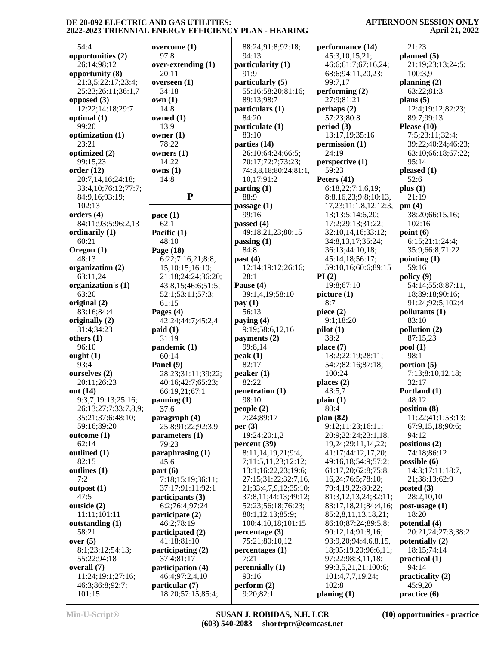18:20;57:15;85:4;

#### **AFTERNOON SESSION ONLY April 21, 2022**

| 54:4                             | overc         |
|----------------------------------|---------------|
| opportunities (2)                | 97:           |
| 26:14;98:12<br>opportunity (8)   | over-<br>20:  |
| 21:3,5;22:17;23:4;               | overs         |
| 25:23;26:11;36:1,7               | 34:           |
| opposed (3)                      | own (<br>14:  |
| 12:22;14:18;29:7<br>optimal (1)  | owne          |
| 99:20                            | 13:           |
| optimization (1)<br>23:21        | owner<br>78:  |
| optimized (2)                    | owner         |
| 99:15,23                         | 14:           |
| order(12)<br>20:7,14,16;24:18;   | owns<br>14:   |
| 33:4,10;76:12;77:7;              |               |
| 84:9,16;93:19;                   |               |
| 102:13                           |               |
| orders (4)<br>84:11;93:5;96:2,13 | pace (<br>62: |
| ordinarily (1)                   | Pacifi        |
| 60:21                            | 48:           |
| Oregon (1)<br>48:13              | Page<br>6:2   |
| organization (2)                 | 15;           |
| 63:11,24                         | 21:           |
| organization's (1)<br>63:20      | 43:<br>52:    |
| original (2)                     | 61:           |
| 83:16;84:4                       | Pages         |
| originally (2)<br>31:4;34:23     | 42:<br>paid ( |
| others (1)                       | 31:           |
| 96:10<br>ought $(1)$             | pand<br>60:   |
| 93:4                             | Panel         |
| ourselves (2)                    | 28:           |
| 20:11;26:23<br>out (14)          | 40:<br>66:    |
| 9:3,7;19:13;25:16;               | panni         |
| 26:13;27:7;33:7,8,9;             | 37:           |
| 35:21;37:6;48:10;<br>59:16;89:20 | parag<br>25:  |
| outcome (1)                      | parar         |
| 62:14                            | 79:           |
| outlined (1)<br>82:15            | parap<br>45:  |
| outlines (1)                     | part (        |
| 7:2                              | 7:1           |
| outpost(1)<br>47:5               | 37:<br>partio |
| outside (2)                      | 6:2           |
| 11:11;101:11                     | partio        |
| outstanding (1)<br>58:21         | 46:<br>partio |
| over $(5)$                       | 41:           |
| 8:1;23:12;54:13;                 | partio        |
| 55:22;94:18<br>overall (7)       | 37:<br>partio |
| 11:24;19:1;27:16;                | 46:           |
| 46:3;86:8;92:7;<br>101:15        | partio<br>18: |
|                                  |               |

| overcome (1)                        | 88:24;91:8;92:18;                          | perf           |
|-------------------------------------|--------------------------------------------|----------------|
| 97:8                                | 94:13                                      | 45             |
| over-extending (1)                  | particularity (1)                          | 46             |
| 20:11<br>overseen (1)               | 91:9<br>particularly (5)                   | 68<br>99       |
| 34:18                               | 55:16;58:20;81:16;                         | perf           |
| own (1)                             | 89:13;98:7                                 | 27             |
| 14:8                                | particulars (1)                            | perh           |
| owned (1)                           | 84:20                                      | 57             |
| 13:9<br>owner (1)                   | particulate (1)<br>83:10                   | peri<br>13     |
| 78:22                               | parties (14)                               | pern           |
| owners (1)                          | 26:10;64:24;66:5;                          | 24             |
| 14:22                               | 70:17;72:7;73:23;                          | pers           |
| owns (1)                            | 74:3,8,18;80:24;81:1,                      | 59             |
| 14:8                                | 10,17;91:2                                 | Pete           |
| $\mathbf{P}$                        | parting $(1)$<br>88:9                      | 6:<br>8:       |
|                                     | passage $(1)$                              | 17             |
| pace (1)                            | 99:16                                      | 13             |
| 62:1                                | passed (4)                                 | 17             |
| Pacific (1)                         | 49:18,21,23;80:15                          | 32             |
| 48:10<br>Page (18)                  | passing $(1)$<br>84:8                      | 34<br>36       |
| 6:22;7:16,21;8:8,                   | past $(4)$                                 | 45             |
| 15;10:15;16:10;                     | 12:14;19:12;26:16;                         | 59             |
| 21:18;24:24;36:20;                  | 28:1                                       | PI(2)          |
| 43:8,15;46:6;51:5;                  | Pause (4)                                  | 19             |
| 52:1;53:11;57:3;                    | 39:1,4,19;58:10                            | pict           |
| 61:15<br>Pages (4)                  | pay(1)<br>56:13                            | 8:<br>piec     |
| 42:24;44:7;45:2,4                   | paying (4)                                 | 9:             |
| paid (1)                            | 9:19;58:6,12,16                            | pilot          |
| 31:19                               | payments (2)                               | 38             |
| pandemic (1)                        | 99:8,14                                    | plac           |
| 60:14<br>Panel (9)                  | peak(1)<br>82:17                           | 18<br>54       |
| 28:23;31:11;39:22;                  | peaker(1)                                  | 1 <sup>1</sup> |
| 40:16;42:7;65:23;                   | 82:22                                      | plac           |
| 66:19,21;67:1                       | penetration (1)                            | 43             |
| panning (1)                         | 98:10                                      | plair          |
| 37:6<br>paragraph (4)               | people(2)<br>7:24;89:17                    | 80<br>plan     |
| 25:8;91:22;92:3,9                   | per $(3)$                                  | 9:             |
| parameters (1)                      | 19:24;20:1,2                               | 20             |
| 79:23                               | percent (39)                               | 19             |
| paraphrasing (1)<br>45:6            | 8:11,14,19,21;9:4,<br>7;11:5,11,23;12:12;  | 41<br>49       |
| part (6)                            | 13:1;16:22,23;19:6;                        | 61             |
| 7:18;15:19;36:11;                   | 27:15;31:22;32:7,16,                       | 16             |
| 37:17;91:11;92:1                    | 21;33:4,7,9,12;35:10;                      | 79             |
| participants (3)                    | 37:8,11;44:13;49:12;                       | 81             |
| 6:2;76:4;97:24                      | 52:23;56:18;76:23;                         | 83             |
| participate (2)<br>46:2;78:19       | 80:1,12,13;85:9;<br>100:4, 10, 18; 101: 15 | 85<br>86       |
| participated (2)                    | percentage $(3)$                           | 90             |
| 41:18;81:10                         | 75:21;80:10,12                             | 93             |
| participating (2)                   | percentages (1)                            | 18             |
| 37:4;81:17                          | 7:21                                       | 97             |
| participation (4)<br>46:4;97:2,4,10 | perennially (1)<br>93:16                   | 99<br>10       |
| particular (7)                      | perform $(2)$                              | 1 <sup>1</sup> |
|                                     |                                            |                |

100:4,10,18;101:15 | 86:10;87:24;89:5,8; **po performance (14)** 45:3,10,15,21; 46:6;61:7;67:16,24; 68:6;94:11,20,23; 99:7,17 **performing (2)** 27:9;81:21 **perhaps (2)** 57:23;80:8 **period (3)** 13:17,19;35:16 **permission (1)** 24:19 **perspective (1)** 59:23 **Peters (41)** 6:18,22;7:1,6,19; 8:8,16,23;9:8;10:13, 17,23;11:1,8,12;12:3, 13;13:5;14:6,20; 17:2;29:13;31:22; 32:10,14,16;33:12; 34:8,13,17;35:24; 36:13;44:10,18; 45:14,18;56:17; 59:10,16;60:6;89:15 **PI (2)** 19:8;67:10 **picture (1)** 8:7 **piece (2)** 9:1;18:20 **pilot (1)** 38:2 **place (7)** 18:2;22:19;28:11; 54:7;82:16;87:18; 100:24 **places (2)** 43:5,7 **plain (1)** 80:4 **plan (82)** 9:12;11:23;16:11; 20:9;22:24;23:1,18, 19,24;29:11,14,22; 41:17;44:12,17,20; 49:16,18;54:9;57:2; 61:17,20;62:8;75:8, 16,24;76:5;78:10; 79:4,19,22;80:22; 81:3,12,13,24;82:11; 83:17,18,21;84:4,16; 85:2,8,11,13,18,21; 90:12,14;91:8,16; 93:9,20;94:4,6,8,15, 18;95:19,20;96:6,11; 97:22;98:3,11,18; 99:3,5,21,21;100:6; 101:4,7,7,19,24; 102:8 **planing (1)**

 21:23 **planned (5)** 21:19;23:13;24:5; 100:3,9 **planning (2)** 63:22;81:3 **plans (5)** 12:4;19:12;82:23; 89:7;99:13 **Please (10)** 7:5;23:11;32:4; 39:22;40:24;46:23; 63:10;66:18;67:22; 95:14 **pleased (1)** 52:6 **plus (1)** 21:19 **pm (4)** 38:20;66:15,16; 102:16 **point (6)** 6:15;21:1;24:4; 35:9;66:8;71:22 **pointing (1)** 59:16 **policy (9)** 54:14;55:8;87:11, 18;89:18;90:16; 91:24;92:5;102:4 **pollutants (1)** 83:10 **pollution (2)** 87:15,23 **pool (1)** 98:1 **portion (5)** 7:13;8:10,12,18; 32:17 **Portland (1)** 48:12 **position (8)** 11:22;41:1;53:13; 67:9,15,18;90:6; 94:12 **positions (2)** 74:18;86:12 **possible (6)** 14:3;17:11;18:7, 21;38:13;62:9 **posted (3)** 28:2,10,10 **post-usage (1)** 18:20 **potential (4)** 20:21,24;27:3;38:2 **potentially (2)** 18:15;74:14 **practical (1)** 94:14 **practicality (2)** 45:9,20 **practice (6)**

9:20;82:1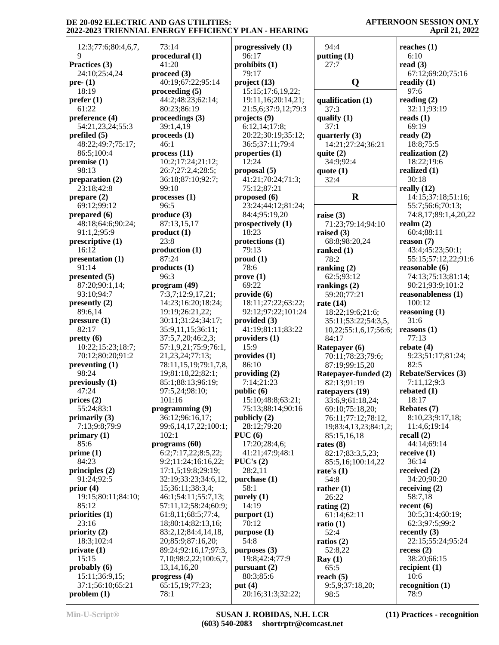| 12:3;77:6;80:4,6,7,       | 7                        |
|---------------------------|--------------------------|
| 9                         | pro                      |
| Practices (3)             | 4                        |
| 24:10;25:4,24             | pro                      |
| pre- $(1)$                | 4                        |
| 18:19                     | pro                      |
| prefer(1)                 | 4                        |
| 61:22                     | 8                        |
| preference (4)            | pro                      |
| 54:21,23,24;55:3          | 3                        |
| prefiled (5)              | pro                      |
| 48:22;49:7;75:17;         | 4                        |
| 86:5;100:4                | pro                      |
| premise (1)               | 1                        |
| 98:13                     | 2                        |
| preparation (2)           | 3                        |
| 23:18;42:8                | 9                        |
| prepare $(2)$             | pro                      |
| 69:12;99:12               | 9                        |
| prepared (6)              | pro                      |
| 48:18;64:6;90:24;         | 8                        |
| 91:1,2;95:9               | pro                      |
| prescriptive (1)          | 2                        |
| 16:12                     | pro                      |
| presentation (1)<br>91:14 | 8                        |
| presented (5)             | pro<br>9                 |
| 87:20;90:1,14;            | pro                      |
| 93:10;94:7                | 7                        |
| presently $(2)$           | $\mathbf{1}$             |
| 89:6,14                   | 1                        |
| pressure <sub>(1)</sub>   | 3                        |
| 82:17                     | 3                        |
| pretty (6)                | 3                        |
| 10:22;15:23;18:7;         | 5                        |
| 70:12;80:20;91:2          | $\overline{2}$           |
| preventing (1)            | 7                        |
| 98:24                     | $\mathbf{1}$             |
| previously (1)            | 8                        |
| 47:24                     | 9                        |
| prices (2)                | $\mathbf{1}$             |
| 55:24;83:1                | pro                      |
| primarily (3)             | 3                        |
| 7:13;9:8;79:9             | 9                        |
| primary (1)               | 1                        |
| 85:6                      | pro                      |
| prime (1)                 | $\epsilon$               |
| 84:23                     | 9                        |
| principles $(2)$          | 1                        |
| 91:24;92:5                | 3                        |
| prior $(4)$               | 1                        |
| 19:15;80:11;84:10;        | $\overline{\mathcal{A}}$ |
| 85:12                     | 5                        |
| priorities (1)            | $\epsilon$               |
| 23:16                     | $\mathbf{1}$             |
| priority (2)              | 8                        |
| 18:3;102:4                | $\overline{2}$           |
| private(1)                | 8                        |
| 15:15                     | 7                        |
| probably (6)              | 1                        |
| 15:11;36:9,15;            | pro                      |
| 37:1;56:10;65:21          | 6                        |
| problem (1)               | 7                        |

| 73:14                       | progressively (1)   |              |
|-----------------------------|---------------------|--------------|
| procedural (1)              | 96:17               | $\mathbf{r}$ |
| 41:20                       | prohibits $(1)$     |              |
| $\boldsymbol{proceed}\ (3)$ | 79:17               |              |
| 40:19;67:22;95:14           | project (13)        |              |
| proceeding (5)              | 15:15;17:6,19,22;   |              |
| 44:2;48:23;62:14;           | 19:11,16;20:14,21;  | $\mathbf 0$  |
| 80:23;86:19                 | 21:5,6;37:9,12;79:3 |              |
| proceedings (3)             | projects (9)        |              |
| 39:1,4,19                   | 6:12,14;17:8;       | q            |
|                             |                     |              |
| proceeds (1)                | 20:22;30:19;35:12;  | q            |
| 46:1                        | 36:5;37:11;79:4     |              |
| process(11)                 | properties $(1)$    | q            |
| 10:2;17:24;21:12;           | 12:24               |              |
| 26:7;27:2,4;28:5;           | proposal (5)        | q            |
| 36:18;87:10;92:7;           | 41:21;70:24;71:3;   |              |
| 99:10                       | 75:12;87:21         |              |
| processes(1)                | proposed (6)        |              |
| 96:5                        | 23:24;44:12;81:24;  |              |
| produce (3)                 | 84:4;95:19,20       | r            |
| 87:13,15,17                 |                     |              |
|                             | prospectively (1)   |              |
| product (1)                 | 18:23               | r            |
| 23:8                        | protections (1)     |              |
| production (1)              | 79:13               | r            |
| 87:24                       | prod(1)             |              |
| products(1)                 | 78:6                | r            |
| 96:3                        | prove(1)            |              |
| program (49)                | 69:22               | r            |
| 7:3,7;12:9,17,21;           | provide (6)         |              |
| 14:23;16:20;18:24;          | 18:11;27:22;63:22;  | r            |
| 19:19;26:21,22;             | 92:12;97:22;101:24  |              |
| 30:11;31:24;34:17;          | provided $(3)$      |              |
|                             |                     |              |
| 35:9,11,15;36:11;           | 41:19;81:11;83:22   |              |
| 37:5,7,20;46:2,3;           | providers (1)       |              |
| 57:1,9,21;75:9;76:1,        | 15:9                | ŀ            |
| 21, 23, 24; 77: 13;         | provides (1)        |              |
| 78:11,15,19;79:1,7,8,       | 86:10               |              |
| 19;81:18,22;82:1;           | providing (2)       | F            |
| 85:1;88:13;96:19;           | 7:14;21:23          |              |
| 97:5,24;98:10;              | public (6)          | r            |
| 101:16                      | 15:10;48:8;63:21;   |              |
| programming (9)             | 75:13;88:14;90:16   |              |
| 36:12;96:16,17;             | publicly (2)        |              |
| 99:6,14,17,22;100:1;        | 28:12;79:20         |              |
| 102:1                       | PUC(6)              |              |
|                             | 17:20;28:4,6;       |              |
| programs(60)                |                     | r            |
| 6:2;7:17,22;8:5,22;         | 41:21;47:9;48:1     |              |
| 9:2;11:24;16:16,22;         | PUC's(2)            |              |
| 17:1,5;19:8;29:19;          | 28:2,11             | r            |
| 32:19;33:23;34:6,12,        | purchase (1)        |              |
| 15;36:11;38:3,4;            | 58:1                | r            |
| 46:1;54:11;55:7,13;         | purely $(1)$        |              |
| 57:11,12;58:24;60:9;        | 14:19               | r            |
| 61:8,11;68:5;77:4,          | purport (1)         |              |
| 18;80:14;82:13,16;          | 70:12               | r            |
| 83:2,12;84:4,14,18,         | purpose (1)         |              |
| 20;85:9;87:16,20;           | 54:8                |              |
|                             |                     | r            |
| 89:24;92:16,17;97:3,        | purposes $(3)$      |              |
| 7,10;98:2,22;100:6,7,       | 19:8;42:4;77:9      | I            |
| 13, 14, 16, 20              | pursuant $(2)$      |              |
| progress (4)                | 80:3;85:6           | r            |
| 65:15,19;77:23;             | put $(4)$           |              |
| 78:1                        | 20:16;31:3;32:22;   |              |

| 94:4                             | reaches $(1)$<br>6:10               |
|----------------------------------|-------------------------------------|
| putting $(1)$<br>27:7            | read $(3)$                          |
|                                  | 67:12;69:20;75:16                   |
| Q                                | readily $(1)$                       |
|                                  | 97:6                                |
| qualification (1)                | reading $(2)$                       |
| 37:3                             | 32:11;93:19                         |
| qualify (1)                      | reads(1)                            |
| 37:1                             | 69:19                               |
| quarterly (3)                    | ready $(2)$                         |
| 14:21;27:24;36:21                | 18:8;75:5                           |
| quite $(2)$                      | realization (2)                     |
| 34:9;92:4                        | 18:22;19:6                          |
| quote (1)                        | realized (1)                        |
| 32:4                             | 30:18                               |
|                                  | really $(12)$                       |
| $\bf R$                          | 14:15;37:18;51:16;                  |
|                                  | 55:7;56:6;70:13;                    |
| raise $(3)$<br>71:23;79:14;94:10 | 74:8,17;89:1,4,20,22<br>realm $(2)$ |
| raised (3)                       | 60:4;88:11                          |
| 68:8;98:20,24                    | reason (7)                          |
| ranked $(1)$                     | 43:4;45:23;50:1;                    |
| 78:2                             | 55:15;57:12,22;91:6                 |
| ranking $(2)$                    | reasonable (6)                      |
| 62:5;93:12                       | 74:13;75:13;81:14;                  |
| rankings (2)                     | 90:21;93:9;101:2                    |
| 59:20;77:21                      | reasonableness (1)                  |
| rate $(14)$                      | 100:12                              |
| 18:22;19:6;21:6;                 | reasoning $(1)$                     |
| 35:11;53:22;54:3,5,              | 31:6<br>reasons $(1)$               |
| 10,22;55:1,6,17;56:6;<br>84:17   | 77:13                               |
| Ratepayer (6)                    | rebate $(4)$                        |
| 70:11;78:23;79:6;                | 9:23;51:17;81:24;                   |
| 87:19;99:15,20                   | 82:5                                |
| Ratepayer-funded (2)             | <b>Rebate/Services (3)</b>          |
| 82:13;91:19                      | 7:11,12;9:3                         |
| ratepayers (19)                  | rebated (1)                         |
| 33:6,9;61:18,24;                 | 18:17                               |
| 69:10;75:18,20;                  | Rebates (7)                         |
| 76:11;77:12;78:12,               | 8:10,23;9:17,18;                    |
| 19;83:4,13,23;84:1,2;            | 11:4,6;19:14<br>recall $(2)$        |
| 85:15,16,18<br>rates $(8)$       | 44:14;69:14                         |
| 82:17;83:3,5,23;                 | receive (1)                         |
| 85:5,16;100:14,22                | 36:14                               |
| rate's $(1)$                     | received (2)                        |
| 54:8                             | 34:20;90:20                         |
| rather $(1)$                     | receiving $(2)$                     |
| 26:22                            | 58:7,18                             |
| rating $(2)$                     | recent $(6)$                        |
| 61:14;62:11                      | 30:5;31:4;60:19;                    |
| ratio $(1)$<br>52:4              | 62:3;97:5;99:2<br>recently (3)      |
| ratios $(2)$                     | 22:15;55:24;95:24                   |
| 52:8,22                          | recess(2)                           |
| Ray(1)                           | 38:20;66:15                         |
| 65:5                             | recipient $(1)$                     |
| reach $(5)$                      | 10:6                                |
| 9:5,9;37:18,20;                  | recognition $(1)$                   |
| 98:5                             | 78:9                                |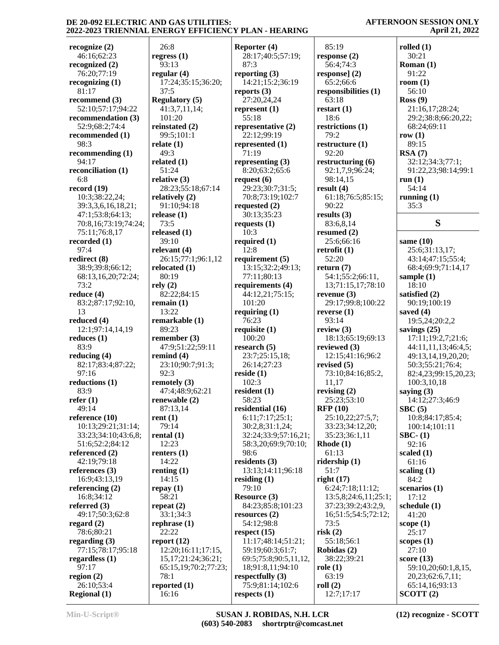26:8

93:13

37:5

101:20

**regress (1) regular (4)** 17:24;35:15;36:20; **Regulatory (5)** 41:3,7,11,14; **reinstated (2) Reporter (4)** 28:17;40:5;57:19; 87:3 **reporting (3)** 14:21;15:2;36:19 **reports (3)** 27:20,24,24 **represent (1)** 55:18 **representative (2)** 22:12;99:19 **represented (1)** 71:19 **representing (3)** 8:20;63:2;65:6 **request (6)** 29:23;30:7;31:5; 70:8;73:19;102:7

 99:5;101:1 **relate (1)** 49:3 **related (1)** 51:24 **relative (3)** 28:23;55:18;67:14 **relatively (2)** 91:10;94:18 **release (1)** 73:5 **released (1)** 39:10 **relevant (4)** 26:15;77:1;96:1,12 **relocated (1)** 80:19 **rely (2)** 82:22;84:15 **remain (1)** 13:22 **remarkable (1)** 89:23 **remember (3)** 47:9;51:22;59:11 **remind (4)** 23:10;90:7;91:3; 92:3 **remotely (3)** 47:4;48:9;62:21 **renewable (2)** 87:13,14 **rent (1)** 79:14 **rental (1)** 12:23 **renters (1)** 14:22 **renting (1)** 14:15 **repay (1)** 58:21 **repeat (2)** 33:1;34:3 **rephrase (1)** 22:22 **report (12)** 12:20;16:11;17:15, 15,17;21:24;36:21; 65:15,19;70:2;77:23; 78:1 **reported (1)** 16:16 **requested (2)** 30:13;35:23 **requests (1)** 10:3 **required (1)** 12:8 **requirement (5)** 77:11;80:13 101:20 **requiring (1)** 76:23 **requisite (1)** 100:20 **research (5)** 26:14;27:23 **reside (1)** 102:3 **resident (1)** 58:23 **residential (16)** 98:6 **residents (3) residing (1)** 79:10 **Resource (3) resources (2)** 54:12;98:8 **respect (15) respectfully (3) respects (1)**

 13:15;32:2;49:13; **requirements (4)** 44:12,21;75:15; 23:7;25:15,18; 6:11;7:17;25:1; 30:2,8;31:1,24; 32:24;33:9;57:16,21; 58:3,20;69:9;70:10; 13:13;14:11;96:18 84:23;85:8;101:23 11:17;48:14;51:21; 59:19;60:3;61:7; 69:5;75:8;90:5,11,12, 18;91:8,11;94:10 75:9;81:14;102:6 85:19 63:18 18:6 79:2 92:20 90:22 52:20 93:14 11,17 61:13 51:7 73:5 **risk (2) role (1)** 63:19 **roll (2)** 12:7;17:17

**response (2)** 56:4;74:3 **response] (2)** 65:2;66:6 **responsibilities (1) restart (1) restrictions (1) restructure (1) restructuring (6)** 92:1,7,9;96:24; 98:14,15 **result (4)** 61:18;76:5;85:15; **results (3)** 83:6,8,14 **resumed (2)** 25:6;66:16 **retrofit (1) return (7)** 54:1;55:2;66:11, 13;71:15,17;78:10 **revenue (3)** 29:17;99:8;100:22 **reverse (1) review (3)** 18:13;65:19;69:13 **reviewed (3)** 12:15;41:16;96:2 **revised (5)** 73:10;84:16;85:2, **revising (2)** 25:23;53:10 **RFP (10)** 25:10,22;27:5,7; 33:23;34:12,20; 35:23;36:1,11 **Rhode (1) ridership (1) right (17)** 6:24;7:18;11:12; 13:5,8;24:6,11;25:1; 37:23;39:2;43:2,9, 16;51:5;54:5;72:12; 55:18;56:1 **Robidas (2)** 38:22;39:21

## **AFTERNOON SESSION ONLY April 21, 2022**

**rolled (1)** 30:21 **Roman (1)** 91:22 **room (1)** 56:10 **Ross (9)** 21:16,17;28:24; 29:2;38:8;66:20,22; 68:24;69:11 **row (1)** 89:15 **RSA (7)** 32:12;34:3;77:1; 91:22,23;98:14;99:1 **run (1)** 54:14 **running (1)** 35:3

# **S**

**same (10)** 25:6;31:13,17; 43:14;47:15;55:4; 68:4;69:9;71:14,17 **sample (1)** 18:10 **satisfied (2)** 90:19;100:19 **saved (4)** 19:5,24;20:2,2 **savings (25)** 17:11;19:2,7;21:6; 44:11,11,13;46:4,5; 49:13,14,19,20,20; 50:3;55:21;76:4; 82:4,23;99:15,20,23; 100:3,10,18 **saying (3)** 14:12;27:3;46:9 **SBC (5)** 10:8;84:17;85:4; 100:14;101:11 **SBC- (1)** 92:16 **scaled (1)** 61:16 **scaling (1)** 84:2 **scenarios (1)** 17:12 **schedule (1)** 41:20 **scope (1)** 25:17 **scopes (1)** 27:10 **score (13)** 59:10,20;60:1,8,15, 20,23;62:6,7,11; 65:14,16;93:13

 76:20;77:19 **recognizing (1)** 81:17 **recommend (3)** 52:10;57:17;94:22 **recommendation (3)** 52:9;68:2;74:4 **recommended (1)** 98:3 **recommending (1)** 94:17 **reconciliation (1)** 6:8 **record (19)** 10:3;38:22,24; 39:3,3,6,16,18,21; 47:1;53:8;64:13; 70:8,16;73:19;74:24; 75:11;76:8,17 **recorded (1)** 97:4 **redirect (8)** 38:9;39:8;66:12; 68:13,16,20;72:24; 73:2 **reduce (4)** 83:2;87:17;92:10, 13 **reduced (4)** 12:1;97:14,14,19 **reduces (1)** 83:9 **reducing (4)** 82:17;83:4;87:22; 97:16 **reductions (1)** 83:9 **refer (1)** 49:14 **reference (10)** 10:13;29:21;31:14; 33:23;34:10;43:6,8; 51:6;52:2;84:12 **referenced (2)** 42:19;79:18 **references (3)** 16:9;43:13,19 **referencing (2)** 16:8;34:12 **referred (3)** 49:17;50:3;62:8 **regard (2)** 78:6;80:21 **regarding (3)** 77:15;78:17;95:18 **regardless (1)** 97:17 **region (2)** 26:10;53:4

**recognize (2)** 46:16;62:23 **recognized (2)**

**Regional (1)**

**SCOTT (2)**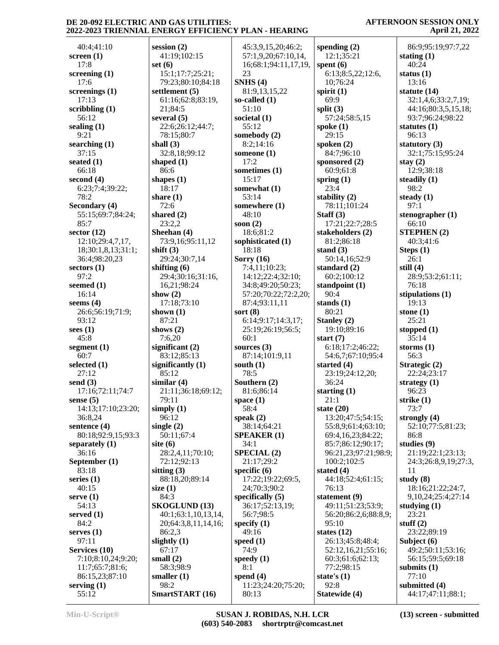| 40:4;41:10         | session $(2)$        | 45:3,9,15,20;46:2;   | spending $(2)$                     | 86:9;95:19;97:7,22   |
|--------------------|----------------------|----------------------|------------------------------------|----------------------|
| screen $(1)$       | 41:19;102:15         | 57:1,9,20;67:10,14,  | 12:1;35:21                         | stating $(1)$        |
| 17:8               | set $(6)$            | 16;68:1;94:11,17,19, | spent $(6)$                        | 40:24                |
| screening $(1)$    | 15:1;17:7;25:21;     | 23                   | 6:13;8:5,22;12:6,                  | status $(1)$         |
| 17:6               | 79:23;80:10;84:18    | SNHS(4)              | 10;76:24                           | 13:16                |
| screenings $(1)$   | settlement (5)       | 81:9,13,15,22        | spirit $(1)$                       | statute $(14)$       |
|                    |                      |                      | 69:9                               |                      |
| 17:13              | 61:16;62:8;83:19,    | so-called $(1)$      |                                    | 32:1,4,6;33:2,7,19;  |
| scribbling (1)     | 21;84:5              | 51:10                | split $(3)$                        | 44:16;80:3,5,15,18;  |
| 56:12              | several $(5)$        | societal (1)         | 57:24;58:5,15                      | 93:7;96:24;98:22     |
| sealing $(1)$      | 22:6;26:12;44:7;     | 55:12                | spoke $(1)$                        | statutes $(1)$       |
| 9:21               | 78:15;80:7           | somebody (2)         | 29:15                              | 96:13                |
| searching (1)      | shall $(3)$          | 8:2;14:16            | spoken $(2)$                       | statutory $(3)$      |
| 37:15              | 32:8,18;99:12        | someone $(1)$        | 84:7;96:10                         | 32:1;75:15;95:24     |
| seated $(1)$       | shaped $(1)$         | 17:2                 | sponsored (2)                      | stay $(2)$           |
| 66:18              | 86:6                 | sometimes (1)        | 60:9;61:8                          | 12:9;38:18           |
| second $(4)$       | shapes $(1)$         | 15:17                | spring $(1)$                       | steadily $(1)$       |
| 6:23;7:4;39:22;    | 18:17                | somewhat (1)         | 23:4                               | 98:2                 |
| 78:2               | share $(1)$          | 53:14                | stability (2)                      | steady $(1)$         |
| Secondary (4)      | 72:6                 | somewhere (1)        | 78:11;101:24                       | 97:1                 |
| 55:15;69:7;84:24;  | shared $(2)$         | 48:10                | Staff $(3)$                        | stenographer $(1)$   |
| 85:7               | 23:2,2               | soon $(2)$           | 17:21;22:7;28:5                    | 66:10                |
|                    |                      |                      |                                    |                      |
| sector $(12)$      | Sheehan (4)          | 18:6;81:2            | stakeholders (2)                   | <b>STEPHEN (2)</b>   |
| 12:10;29:4,7,17,   | 73:9,16;95:11,12     | sophisticated (1)    | 81:2;86:18                         | 40:3;41:6            |
| 18;30:1,8,13;31:1; | shift $(3)$          | 18:18                | stand $(3)$                        | Steps $(1)$          |
| 36:4;98:20,23      | 29:24;30:7,14        | Sorry $(16)$         | 50:14,16;52:9                      | 26:1                 |
| sectors $(1)$      | shifting $(6)$       | 7:4,11;10:23;        | standard $(2)$                     | still $(4)$          |
| 97:2               | 29:4;30:16;31:16,    | 14:12;22:4;32:10;    | 60:2;100:12                        | 28:9;53:2;61:11;     |
| seemed (1)         | 16,21;98:24          | 34:8;49:20;50:23;    | standpoint (1)                     | 76:18                |
| 16:14              | show $(2)$           | 57:20;70:22;72:2,20; | 90:4                               | stipulations (1)     |
| seems $(4)$        | 17:18;73:10          | 87:4;93:11,11        | stands $(1)$                       | 19:13                |
| 26:6;56:19;71:9;   | shown $(1)$          | sort $(8)$           | 80:21                              | stone $(1)$          |
| 93:12              | 87:21                | 6:14;9:17;14:3,17;   | Stanley (2)                        | 25:21                |
| sees $(1)$         | shows $(2)$          | 25:19;26:19;56:5;    | 19:10;89:16                        | stopped $(1)$        |
| 45:8               | 7:6,20               | 60:1                 | start $(7)$                        | 35:14                |
| segment (1)        | significant $(2)$    | sources $(3)$        | 6:18;17:2;46:22;                   | storms $(1)$         |
| 60:7               | 83:12;85:13          | 87:14;101:9,11       | 54:6,7;67:10;95:4                  | 56:3                 |
| selected (1)       | significantly $(1)$  | south $(1)$          | started $(4)$                      | Strategic (2)        |
| 27:12              | 85:12                | 78:5                 | 23:19;24:12,20;                    | 22:24;23:17          |
| send $(3)$         | similar $(4)$        | Southern (2)         | 36:24                              | strategy $(1)$       |
| 17:16;72:11;74:7   | 21:11;36:18;69:12;   | 81:6;86:14           | starting $(1)$                     | 96:23                |
| sense $(5)$        | 79:11                | space $(1)$          | 21:1                               | strike $(1)$         |
| 14:13;17:10;23:20; | simply $(1)$         | 58:4                 | state $(20)$                       | 73:7                 |
| 36:8,24            | 96:12                | speak $(2)$          | 13:20;47:5;54:15;                  | strongly $(4)$       |
| sentence $(4)$     | single $(2)$         | 38:14;64:21          | 55:8,9;61:4;63:10;                 | 52:10;77:5;81:23;    |
| 80:18;92:9,15;93:3 | 50:11;67:4           | <b>SPEAKER (1)</b>   | 69:4,16,23;84:22;                  | 86:8                 |
| separately $(1)$   | site $(6)$           | 34:1                 | 85:7;86:12;90:17;                  | studies $(9)$        |
| 36:16              | 28:2,4,11;70:10;     | <b>SPECIAL (2)</b>   | 96:21,23;97:21;98:9;               | 21:19;22:1;23:13;    |
| September (1)      | 72:12;92:13          | 21:17;29:2           | 100:2;102:5                        | 24:3;26:8,9,19;27:3, |
| 83:18              | sitting $(3)$        | specific $(6)$       | stated $(4)$                       | 11                   |
| series $(1)$       | 88:18,20;89:14       | 17:22;19:22;69:5,    | 44:18;52:4;61:15;                  | study $(8)$          |
| 40:15              |                      | 24;70:3;90:2         | 76:13                              | 18:16;21:22;24:7,    |
|                    | size $(1)$           |                      |                                    |                      |
| serve(1)<br>54:13  | 84:3                 | specifically $(5)$   | statement (9)<br>49:11;51:23;53:9; | 9,10,24;25:4;27:14   |
|                    | <b>SKOGLUND (13)</b> | 36:17;52:13,19;      |                                    | studying $(1)$       |
| served $(1)$       | 40:1;63:1,10,13,14,  | 56:7;98:5            | 56:20;86:2,6;88:8,9;               | 23:21                |
| 84:2               | 20;64:3,8,11,14,16;  | specify $(1)$        | 95:10                              | stuff $(2)$          |
| serves $(1)$       | 86:2.3               | 49:16                | states $(12)$                      | 23:22;89:19          |
| 97:11              | slightly $(1)$       | speed $(1)$          | 26:13;45:8;48:4;                   | Subject (6)          |
| Services (10)      | 67:17                | 74:9                 | 52:12,16,21;55:16;                 | 49:2;50:11;53:16;    |
| 7:10;8:10,24;9:20; | small $(2)$          | speedy $(1)$         | 60:3;61:6;62:13;                   | 56:15;59:5;69:18     |
| 11:7;65:7;81:6;    | 58:3;98:9            | 8:1                  | 77:2;98:15                         | submits $(1)$        |
| 86:15,23;87:10     | smaller $(1)$        | spend $(4)$          | state's $(1)$                      | 77:10                |
| serving $(1)$      | 98:2                 | 11:23;24:20;75:20;   | 92:8                               | submitted $(4)$      |
| 55:12              | SmartSTART (16)      | 80:13                | Statewide (4)                      | 44:17;47:11;88:1;    |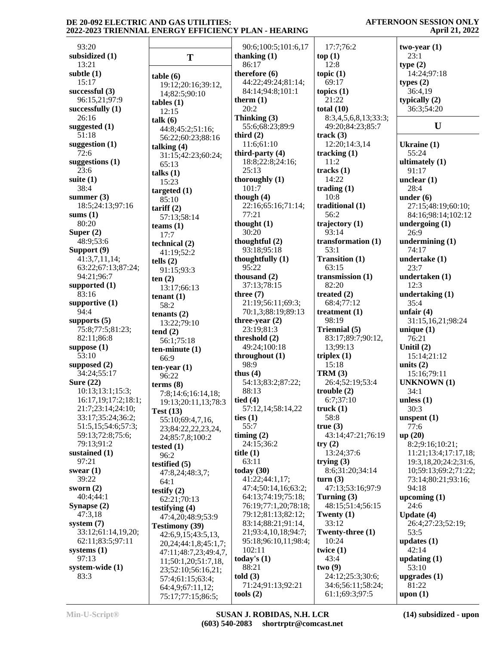|                                    |                             |                      |                           | $-1$                        |
|------------------------------------|-----------------------------|----------------------|---------------------------|-----------------------------|
| 93:20                              |                             | 90:6;100:5;101:6,17  | 17:7;76:2                 | $two-year(1)$               |
| subsidized (1)                     | T                           | thanking $(1)$       | top(1)                    | 23:1                        |
| 13:21                              |                             | 86:17                | 12:8                      | type(2)                     |
| subtle (1)                         | table(6)                    | therefore $(6)$      | topic $(1)$               | 14:24;97:18                 |
| 15:17                              | 19:12;20:16;39:12,          | 44:22;49:24;81:14;   | 69:17                     | types $(2)$                 |
| successful (3)                     | 14;82:5;90:10               | 84:14;94:8;101:1     | topics $(1)$              | 36:4,19                     |
| 96:15,21;97:9                      | $tables (1)$                | therm $(1)$          | 21:22                     | typically $(2)$             |
| successfully (1)                   | 12:15                       | 20:2                 | total $(10)$              | 36:3;54:20                  |
| 26:16                              | talk (6)                    | Thinking (3)         | 8:3,4,5,6,8,13;33:3;      |                             |
| suggested (1)                      | 44:8;45:2;51:16;            | 55:6;68:23;89:9      | 49:20;84:23;85:7          | U                           |
| 51:18                              | 56:22;60:23;88:16           | third $(2)$          | track(3)                  |                             |
| suggestion (1)                     | talking $(4)$               | 11:6;61:10           | 12:20;14:3,14             | Ukraine $(1)$               |
| 72:6                               | 31:15;42:23;60:24;          | third-party $(4)$    | tracking $(1)$            | 55:24                       |
| suggestions (1)                    | 65:13                       | 18:8;22:8;24:16;     | 11:2                      | ultimately $(1)$            |
| 23:6                               | talks $(1)$                 | 25:13                | tracks $(1)$              | 91:17                       |
| suite (1)                          | 15:23                       | thoroughly $(1)$     | 14:22                     | unclear $(1)$               |
| 38:4                               | targeted $(1)$              | 101:7                | trading $(1)$             | 28:4                        |
| summer $(3)$                       | 85:10                       | though $(4)$         | 10:8                      | under $(6)$                 |
| 18:5;24:13;97:16                   | $\text{tariff}(2)$          | 22:16;65:16;71:14;   | traditional (1)           | 27:15;48:19;60:10;          |
| sums (1)                           | 57:13;58:14                 | 77:21                | 56:2                      | 84:16:98:14:102:12          |
| 80:20                              | teams $(1)$                 | thought $(1)$        | trajectory $(1)$          | undergoing $(1)$            |
| Super $(2)$                        | 17:7                        | 30:20                | 93:14                     | 26:9                        |
| 48:9;53:6                          | technical (2)               | thoughtful $(2)$     | transformation (1)        | undermining (1)             |
| Support (9)                        | 41:19:52:2                  | 93:18;95:18          | 53:1                      | 74:17                       |
| 41:3,7,11,14;                      | tells $(2)$                 | thoughtfully (1)     | <b>Transition (1)</b>     | undertake (1)               |
| 63:22;67:13;87:24;                 | 91:15;93:3                  | 95:22                | 63:15                     | 23:7                        |
| 94:21;96:7                         | ten(2)                      | thousand $(2)$       | transmission $(1)$        | undertaken (1)              |
| supported (1)                      | 13:17;66:13                 | 37:13;78:15          | 82:20                     | 12:3                        |
| 83:16                              | tenant $(1)$                | three $(7)$          | treated $(2)$             | undertaking $(1)$           |
| supportive (1)                     | 58:2                        | 21:19;56:11;69:3;    | 68:4;77:12                | 35:4                        |
| 94:4                               | tenants $(2)$               | 70:1,3;88:19;89:13   | treatment $(1)$           | unfair $(4)$                |
| supports (5)                       | 13:22;79:10                 | three-year $(2)$     | 98:19                     | 31:15,16,21;98:24           |
| 75:8;77:5;81:23;                   | tend(2)                     | 23:19;81:3           | Triennial (5)             | unique $(1)$                |
| 82:11;86:8                         | 56:1;75:18                  | threshold (2)        | 83:17;89:7;90:12,         | 76:21                       |
| suppose (1)                        | $ten-minute(1)$             | 49:24;100:18         | 13;99:13                  | Unitil $(2)$                |
| 53:10                              | 66:9                        | throughout $(1)$     | triplex $(1)$             | 15:14;21:12                 |
| supposed (2)                       | $ten-year(1)$               | 98:9                 | 15:18                     | units $(2)$                 |
| 34:24;55:17                        | 96:22                       | thus $(4)$           | TRM(3)                    | 15:16;79:11                 |
| <b>Sure (22)</b>                   | terms $(8)$                 | 54:13;83:2;87:22;    | 26:4;52:19;53:4           | <b>UNKNOWN</b> (1)          |
| 10:13:13:1;15:3;                   | 7:8;14:6;16:14,18;          | 88:13                | trouble $(2)$             | 34:1                        |
| 16:17,19;17:2;18:1;                | 19:13;20:11,13;78:3         | tied $(4)$           | 6:7;37:10                 | unless $(1)$                |
| 21:7;23:14;24:10;                  | Test $(13)$                 | 57:12,14;58:14,22    | truek(1)                  | 30:3                        |
| 33:17;35:24;36:2;                  | 55:10;69:4,7,16,            | ties $(1)$           | 58:8                      | unspent $(1)$               |
| 51:5,15;54:6;57:3;                 | 23;84:22,22,23,24,          | 55:7                 | true(3)                   | 77:6                        |
| 59:13;72:8;75:6;                   | 24;85:7,8;100:2             | timing $(2)$         | 43:14;47:21;76:19         | up(20)                      |
| 79:13;91:2                         | tested $(1)$                | 24:15;36:2           | try(2)                    | 8:2;9:16;10:21;             |
| sustained (1)                      | 96:2                        | title $(1)$          | 13:24;37:6                | 11:21;13:4;17:17,18;        |
| 97:21                              | testified $(5)$             | 63:11                | trying $(3)$              | 19:3, 18, 20; 24: 2; 31: 6, |
| swear $(1)$                        | 47:8,24;48:3,7;             | today $(30)$         | 8:6:31:20:34:14           | 10;59:13;69:2;71:22;        |
| 39:22                              | 64:1                        | 41:22;44:1,17;       | turn(3)                   | 73:14;80:21;93:16;          |
| sworn $(2)$                        | testify $(2)$               | 47:4;50:14,16;63:2;  | 47:13;53:16;97:9          | 94:18                       |
| 40:4;44:1                          | 62:21;70:13                 | 64:13;74:19;75:18;   | Turning $(3)$             | upcoming $(1)$              |
| Synapse (2)                        | testifying $(4)$            | 76:19;77:1,20;78:18; | 48:15;51:4;56:15          | 24:6                        |
| 47:3,18                            | 47:4,20:48:9:53:9           | 79:12;81:13;82:12;   | Twenty $(1)$              | Update $(4)$                |
| system $(7)$<br>33:12;61:14,19,20; | <b>Testimony (39)</b>       | 83:14;88:21;91:14,   | 33:12<br>Twenty-three (1) | 26:4;27:23;52:19;           |
|                                    | 42:6,9,15;43:5,13,          | 21;93:4,10,18;94:7;  |                           | 53:5                        |
| 62:11;83:5;97:11                   | 20, 24; 44: 1, 8; 45: 1, 7; | 95:18;96:10,11;98:4; | 10:24                     | updates $(1)$               |
| systems (1)                        | 47:11;48:7,23;49:4,7,       | 102:11               | twice $(1)$               | 42:14                       |
| 97:13                              | 11;50:1,20;51:7,18,         | today's $(1)$        | 43:4                      | updating $(1)$              |
| system-wide (1)                    | 23;52:10;56:16,21;          | 88:21                | two(9)                    | 53:10                       |
| 83:3                               | 57:4;61:15;63:4;            | told(3)              | 24:12;25:3;30:6;          | upgrades $(1)$              |
|                                    | 64:4,9;67:11,12;            | 71:24;91:13;92:21    | 34:6;56:11;58:24;         | 81:22                       |
|                                    | 75:17;77:15;86:5;           | tools $(2)$          | 61:1;69:3;97:5            | upon $(1)$                  |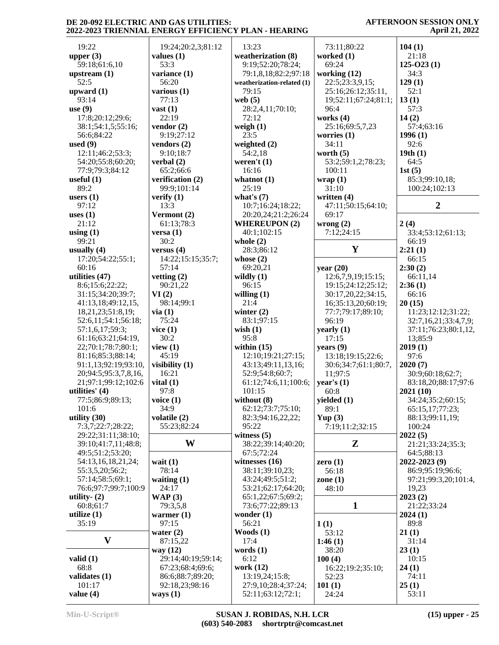| 19:22                 | 19:24;20:2,3;81:12           | 13:23                                    | 73:11;80:22          | 104(1)               |
|-----------------------|------------------------------|------------------------------------------|----------------------|----------------------|
| upper $(3)$           | values $(1)$                 | weatherization (8)                       | worked (1)           | 21:18                |
| 59:18;61:6,10         | 53:3                         | 9:19;52:20;78:24;                        | 69:24                | $125-023(1)$         |
|                       |                              |                                          |                      |                      |
| upstream $(1)$        | variance (1)                 | 79:1,8,18;82:2;97:18                     | working $(12)$       | 34:3                 |
| 52:5                  | 56:20                        | weatherization-related (1)               | 22:5;23:3,9,15;      | 129(1)               |
| upward $(1)$          | various $(1)$                | 79:15                                    | 25:16;26:12;35:11,   | 52:1                 |
| 93:14                 | 77:13                        | web $(5)$                                | 19;52:11;67:24;81:1; | 13(1)                |
| use $(9)$             | vast $(1)$                   | 28:2,4,11;70:10;                         | 96:4                 | 57:3                 |
| 17:8;20:12;29:6;      | 22:19                        | 72:12                                    | works (4)            | 14(2)                |
| 38:1;54:1,5;55:16;    | vendor $(2)$                 | weigh $(1)$                              | 25:16;69:5,7,23      | 57:4;63:16           |
|                       |                              |                                          |                      |                      |
| 56:6;84:22            | 9:19;27:12                   | 23:5                                     | worries $(1)$        | 1996(1)              |
| used $(9)$            | vendors $(2)$                | weighted $(2)$                           | 34:11                | 92:6                 |
| 12:11;46:2;53:3;      | 9:10;18:7                    | 54:2,18                                  | worth $(5)$          | 19th(1)              |
| 54:20;55:8;60:20;     | verbal $(2)$                 | weren't $(1)$                            | 53:2;59:1,2;78:23;   | 64:5                 |
| 77:9;79:3;84:12       | 65:2;66:6                    | 16:16                                    | 100:11               | 1st(5)               |
| useful $(1)$          | verification (2)             | whatnot $(1)$                            | wrap(1)              | 85:3;99:10,18;       |
| 89:2                  | 99:9;101:14                  | 25:19                                    | 31:10                | 100:24;102:13        |
|                       |                              |                                          |                      |                      |
| users $(1)$           | verify $(1)$                 | what's $(7)$                             | written (4)          |                      |
| 97:12                 | 13:3                         | 10:7;16:24;18:22;                        | 47:11;50:15;64:10;   | $\boldsymbol{2}$     |
| uses $(1)$            | Vermont (2)                  | 20:20,24;21:2;26:24                      | 69:17                |                      |
| 21:12                 | 61:13;78:3                   | <b>WHEREUPON (2)</b>                     | wrong $(2)$          | 2(4)                 |
| using $(1)$           | versa(1)                     | 40:1:102:15                              | 7:12;24:15           | 33:4;53:12;61:13;    |
| 99:21                 | 30:2                         | whole $(2)$                              |                      | 66:19                |
| usually $(4)$         | versus $(4)$                 | 28:3;86:12                               | Y                    | 2:21(1)              |
| 17:20;54:22;55:1;     |                              |                                          |                      |                      |
|                       | 14:22;15:15;35:7;            | whose $(2)$                              |                      | 66:15                |
| 60:16                 | 57:14                        | 69:20,21                                 | year $(20)$          | 2:30(2)              |
| utilities (47)        | vetting $(2)$                | wildly $(1)$                             | 12:6,7,9,19;15:15;   | 66:11,14             |
| 8:6;15:6;22:22;       | 90:21,22                     | 96:15                                    | 19:15;24:12;25:12;   | 2:36(1)              |
| 31:15;34:20;39:7;     | VI(2)                        | willing $(1)$                            | 30:17,20,22;34:15,   | 66:16                |
| 41:13,18;49:12,15,    | 98:14;99:1                   | 21:4                                     | 16;35:13,20;60:19;   | 20(15)               |
| 18,21,23;51:8,19;     | via(1)                       | winter $(2)$                             | 77:7;79:17;89:10;    | 11:23;12:12;31:22;   |
| 52:6,11;54:1;56:18;   | 75:24                        | 83:1;97:15                               | 96:19                | 32:7,16,21;33:4,7,9; |
|                       |                              |                                          |                      |                      |
| 57:1,6,17;59:3;       | vice $(1)$                   | wish $(1)$                               | yearly $(1)$         | 37:11;76:23;80:1,12, |
| 61:16;63:21;64:19,    | 30:2                         | 95:8                                     | 17:15                | 13;85:9              |
| 22;70:1;78:7;80:1;    | view $(1)$                   | within $(15)$                            | years $(9)$          | 2019(1)              |
| 81:16;85:3;88:14;     | 45:19                        | 12:10;19:21;27:15;                       | 13:18;19:15;22:6;    | 97:6                 |
| 91:1,13;92:19;93:10,  | visibility (1)               | 43:13;49:11,13,16;                       | 30:6;34:7;61:1;80:7, | 2020(7)              |
| 20;94:5;95:3,7,8,16,  | 16:21                        | 52:9;54:8;60:7;                          | 11:97:5              | 30:9;60:18;62:7;     |
| 21;97:1;99:12;102:6   | vital $(1)$                  | 61:12;74:6,11;100:6;                     | year's $(1)$         | 83:18,20;88:17;97:6  |
|                       |                              |                                          |                      |                      |
| utilities' $(4)$      | 97:8                         | 101:15                                   | 60:8                 | 2021(10)             |
| 77:5;86:9;89:13;      | voice $(1)$                  | without $(8)$                            | yielded (1)          | 34:24;35:2;60:15;    |
| 101:6                 | 34:9                         | 62:12;73:7;75:10;                        | 89:1                 | 65:15,17;77:23;      |
| utility $(30)$        | volatile (2)                 | 82:3;94:16,22,22;                        | Yup $(3)$            | 88:13;99:11,19;      |
| 7:3,7;22:7;28:22;     | 55:23;82:24                  | 95:22                                    | 7:19;11:2;32:15      | 100:24               |
| 29:22;31:11;38:10;    |                              | witness $(5)$                            |                      | 2022(5)              |
| 39:10;41:7,11;48:8;   | W                            | 38:22;39:14;40:20;                       | Z                    | 21:21;33:24;35:3;    |
| 49:5;51:2;53:20;      |                              | 67:5;72:24                               |                      | 64:5;88:13           |
|                       |                              |                                          |                      |                      |
| 54:13,16,18,21,24;    | wait $(1)$                   | witnesses $(16)$                         | zero $(1)$           | 2022-2023 (9)        |
| 55:3,5,20;56:2;       | 78:14                        | 38:11;39:10,23;                          | 56:18                | 86:9;95:19;96:6;     |
| 57:14;58:5;69:1;      | waiting $(1)$                | 43:24;49:5;51:2;                         | zone $(1)$           | 97:21;99:3,20;101:4, |
| 76:6;97:7;99:7;100:9  | 24:17                        | 53:21;62:17;64:20;                       | 48:10                | 19,23                |
| utility- $(2)$        | WAP(3)                       | 65:1,22;67:5;69:2;                       |                      | 2023(2)              |
| 60:8;61:7             | 79:3,5,8                     | 73:6;77:22;89:13                         | $\mathbf{1}$         | 21:22;33:24          |
| utilize $(1)$         | warmer $(1)$                 | wonder $(1)$                             |                      | 2024(1)              |
| 35:19                 | 97:15                        | 56:21                                    |                      | 89:8                 |
|                       |                              |                                          | 1(1)                 |                      |
|                       | water $(2)$                  | Woods $(1)$                              | 53:12                | 21(1)                |
| $\mathbf{V}$          | 87:15,22                     | 17:4                                     | 1:46(1)              | 31:14                |
|                       | way (12)                     | words $(1)$                              | 38:20                | 23(1)                |
| valid $(1)$           | 29:14;40:19;59:14;           | 6:12                                     | 100(4)               | 10:15                |
| 68:8                  | 67:23;68:4;69:6;             | work (12)                                | 16:22;19:2;35:10;    | 24(1)                |
| validates $(1)$       | 86:6;88:7;89:20;             | 13:19,24;15:8;                           | 52:23                | 74:11                |
|                       |                              |                                          |                      |                      |
|                       |                              |                                          |                      |                      |
| 101:17<br>value $(4)$ | 92:18,23;98:16<br>ways $(1)$ | 27:9,10;28:4;37:24;<br>52:11;63:12;72:1; | 101(1)<br>24:24      | 25(1)<br>53:11       |